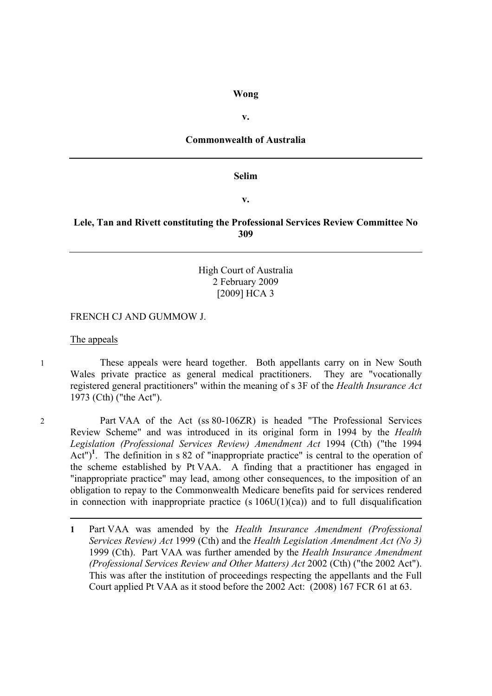#### **Wong**

**v.**

### **Commonwealth of Australia**

#### **Selim**

**v.**

### **Lele, Tan and Rivett constituting the Professional Services Review Committee No 309**

### High Court of Australia 2 February 2009 [2009] HCA 3

#### FRENCH CJ AND GUMMOW J.

#### The appeals

1 These appeals were heard together. Both appellants carry on in New South Wales private practice as general medical practitioners. They are "vocationally registered general practitioners" within the meaning of s 3F of the *Health Insurance Act* 1973 (Cth) ("the Act").

 $\overline{a}$ 

2 Part VAA of the Act (ss 80-106ZR) is headed "The Professional Services Review Scheme" and was introduced in its original form in 1994 by the *Health Legislation (Professional Services Review) Amendment Act* 1994 (Cth) ("the 1994 Act")<sup>1</sup>. The definition in s 82 of "inappropriate practice" is central to the operation of the scheme established by Pt VAA. A finding that a practitioner has engaged in "inappropriate practice" may lead, among other consequences, to the imposition of an obligation to repay to the Commonwealth Medicare benefits paid for services rendered in connection with inappropriate practice (s  $106U(1)(ca)$ ) and to full disqualification

**1** Part VAA was amended by the *Health Insurance Amendment (Professional Services Review) Act* 1999 (Cth) and the *Health Legislation Amendment Act (No 3)* 1999 (Cth). Part VAA was further amended by the *Health Insurance Amendment (Professional Services Review and Other Matters) Act* 2002 (Cth) ("the 2002 Act"). This was after the institution of proceedings respecting the appellants and the Full Court applied Pt VAA as it stood before the 2002 Act: (2008) 167 FCR 61 at 63.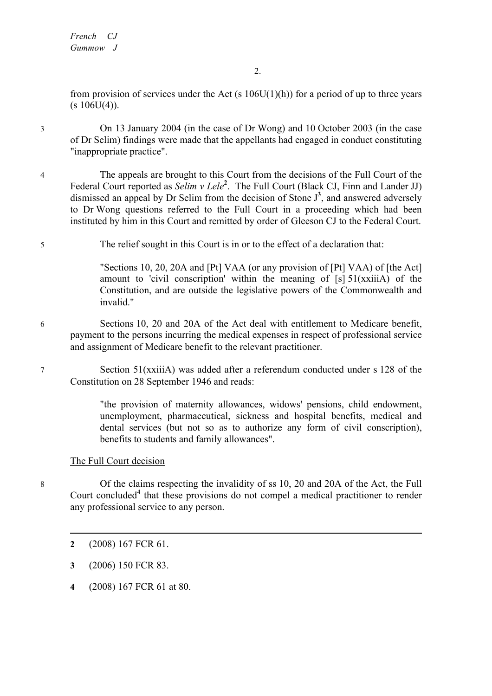*French CJ Gummow J*

from provision of services under the Act (s  $106U(1)(h)$ ) for a period of up to three years  $(s 106U(4))$ .

3 On 13 January 2004 (in the case of Dr Wong) and 10 October 2003 (in the case of Dr Selim) findings were made that the appellants had engaged in conduct constituting "inappropriate practice".

- 4 The appeals are brought to this Court from the decisions of the Full Court of the Federal Court reported as *Selim v Lele<sup>2</sup>*. The Full Court (Black CJ, Finn and Lander JJ) dismissed an appeal by Dr Selim from the decision of Stone J **3** , and answered adversely to Dr Wong questions referred to the Full Court in a proceeding which had been instituted by him in this Court and remitted by order of Gleeson CJ to the Federal Court.
- 5 The relief sought in this Court is in or to the effect of a declaration that:

"Sections 10, 20, 20A and [Pt] VAA (or any provision of [Pt] VAA) of [the Act] amount to 'civil conscription' within the meaning of [s] 51(xxiiiA) of the Constitution, and are outside the legislative powers of the Commonwealth and invalid."

- 6 Sections 10, 20 and 20A of the Act deal with entitlement to Medicare benefit, payment to the persons incurring the medical expenses in respect of professional service and assignment of Medicare benefit to the relevant practitioner.
- 7 Section 51(xxiiiA) was added after a referendum conducted under s 128 of the Constitution on 28 September 1946 and reads:

"the provision of maternity allowances, widows' pensions, child endowment, unemployment, pharmaceutical, sickness and hospital benefits, medical and dental services (but not so as to authorize any form of civil conscription), benefits to students and family allowances".

### The Full Court decision

8 Of the claims respecting the invalidity of ss 10, 20 and 20A of the Act, the Full Court concluded**<sup>4</sup>** that these provisions do not compel a medical practitioner to render any professional service to any person.

- **2** (2008) 167 FCR 61.
- **3** (2006) 150 FCR 83.
- **4** (2008) 167 FCR 61 at 80.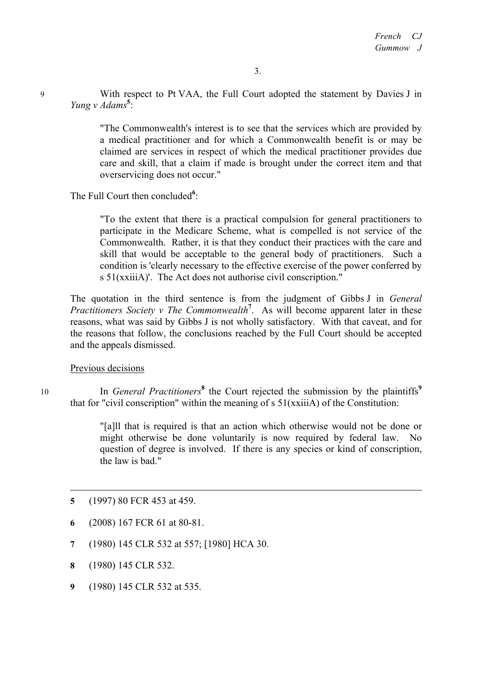9 With respect to Pt VAA, the Full Court adopted the statement by Davies J in *Yung v Adams***<sup>5</sup>** :

> "The Commonwealth's interest is to see that the services which are provided by a medical practitioner and for which a Commonwealth benefit is or may be claimed are services in respect of which the medical practitioner provides due care and skill, that a claim if made is brought under the correct item and that overservicing does not occur."

The Full Court then concluded<sup>6</sup>:

"To the extent that there is a practical compulsion for general practitioners to participate in the Medicare Scheme, what is compelled is not service of the Commonwealth. Rather, it is that they conduct their practices with the care and skill that would be acceptable to the general body of practitioners. Such a condition is 'clearly necessary to the effective exercise of the power conferred by s 51(xxiiiA)'. The Act does not authorise civil conscription."

The quotation in the third sentence is from the judgment of Gibbs J in *General Practitioners Society v The Commonwealth***<sup>7</sup>** . As will become apparent later in these reasons, what was said by Gibbs J is not wholly satisfactory. With that caveat, and for the reasons that follow, the conclusions reached by the Full Court should be accepted and the appeals dismissed.

Previous decisions

<sup>10</sup> In *General Practitioners***<sup>8</sup>** the Court rejected the submission by the plaintiffs**<sup>9</sup>** that for "civil conscription" within the meaning of  $s$  51(xxiiiA) of the Constitution:

> "[a]ll that is required is that an action which otherwise would not be done or might otherwise be done voluntarily is now required by federal law. No question of degree is involved. If there is any species or kind of conscription, the law is bad."

- **5** (1997) 80 FCR 453 at 459.
- **6** (2008) 167 FCR 61 at 80-81.
- **7** (1980) 145 CLR 532 at 557; [1980] HCA 30.
- **8** (1980) 145 CLR 532.
- **9** (1980) 145 CLR 532 at 535.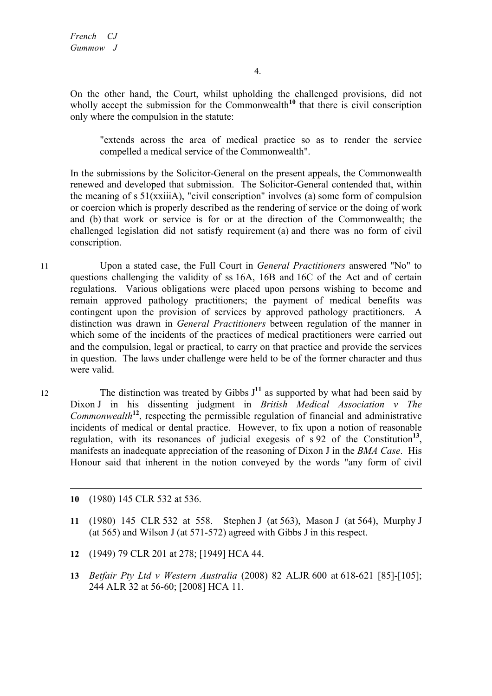On the other hand, the Court, whilst upholding the challenged provisions, did not wholly accept the submission for the Commonwealth<sup>10</sup> that there is civil conscription only where the compulsion in the statute:

"extends across the area of medical practice so as to render the service compelled a medical service of the Commonwealth".

In the submissions by the Solicitor-General on the present appeals, the Commonwealth renewed and developed that submission. The Solicitor-General contended that, within the meaning of s 51(xxiiiA), "civil conscription" involves (a) some form of compulsion or coercion which is properly described as the rendering of service or the doing of work and (b) that work or service is for or at the direction of the Commonwealth; the challenged legislation did not satisfy requirement (a) and there was no form of civil conscription.

- 11 Upon a stated case, the Full Court in *General Practitioners* answered "No" to questions challenging the validity of ss 16A, 16B and 16C of the Act and of certain regulations. Various obligations were placed upon persons wishing to become and remain approved pathology practitioners; the payment of medical benefits was contingent upon the provision of services by approved pathology practitioners. A distinction was drawn in *General Practitioners* between regulation of the manner in which some of the incidents of the practices of medical practitioners were carried out and the compulsion, legal or practical, to carry on that practice and provide the services in question. The laws under challenge were held to be of the former character and thus were valid.
- 12 The distinction was treated by Gibbs  $J<sup>11</sup>$  as supported by what had been said by Dixon J in his dissenting judgment in *British Medical Association v The*  **Commonwealth<sup>12</sup>**, respecting the permissible regulation of financial and administrative incidents of medical or dental practice. However, to fix upon a notion of reasonable regulation, with its resonances of judicial exegesis of s 92 of the Constitution**<sup>13</sup>**, manifests an inadequate appreciation of the reasoning of Dixon J in the *BMA Case*. His Honour said that inherent in the notion conveyed by the words "any form of civil
	- **10** (1980) 145 CLR 532 at 536.

- **11** (1980) 145 CLR 532 at 558. Stephen J (at 563), Mason J (at 564), Murphy J (at 565) and Wilson J (at 571-572) agreed with Gibbs J in this respect.
- **12** (1949) 79 CLR 201 at 278; [1949] HCA 44.
- **13** *Betfair Pty Ltd v Western Australia* (2008) 82 ALJR 600 at 618-621 [85]-[105]; 244 ALR 32 at 56-60; [2008] HCA 11.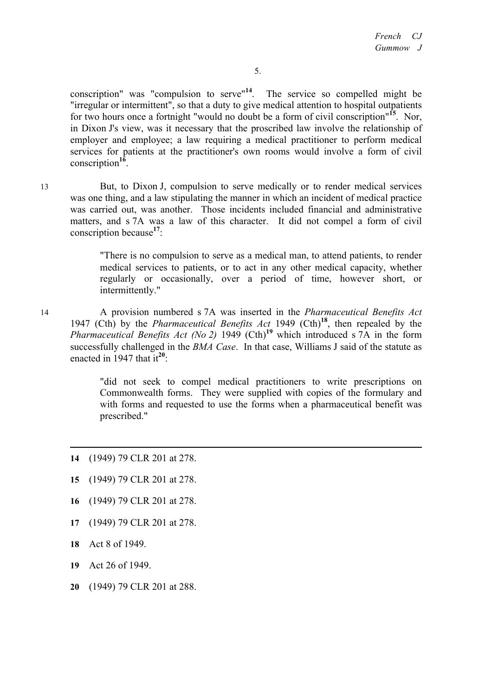conscription" was "compulsion to serve"**<sup>14</sup>**. The service so compelled might be "irregular or intermittent", so that a duty to give medical attention to hospital outpatients for two hours once a fortnight "would no doubt be a form of civil conscription"**<sup>15</sup>**. Nor, in Dixon J's view, was it necessary that the proscribed law involve the relationship of employer and employee; a law requiring a medical practitioner to perform medical services for patients at the practitioner's own rooms would involve a form of civil conscription**<sup>16</sup>**.

13 But, to Dixon J, compulsion to serve medically or to render medical services was one thing, and a law stipulating the manner in which an incident of medical practice was carried out, was another. Those incidents included financial and administrative matters, and s 7A was a law of this character. It did not compel a form of civil conscription because**<sup>17</sup>**:

> "There is no compulsion to serve as a medical man, to attend patients, to render medical services to patients, or to act in any other medical capacity, whether regularly or occasionally, over a period of time, however short, or intermittently."

14 A provision numbered s 7A was inserted in the *Pharmaceutical Benefits Act* 1947 (Cth) by the *Pharmaceutical Benefits Act* 1949 (Cth)**<sup>18</sup>**, then repealed by the *Pharmaceutical Benefits Act (No 2)* 1949 (Cth)**<sup>19</sup>** which introduced s 7A in the form successfully challenged in the *BMA Case*. In that case, Williams J said of the statute as enacted in 1947 that it**<sup>20</sup>**:

> "did not seek to compel medical practitioners to write prescriptions on Commonwealth forms. They were supplied with copies of the formulary and with forms and requested to use the forms when a pharmaceutical benefit was prescribed."

- **14** (1949) 79 CLR 201 at 278.
- **15** (1949) 79 CLR 201 at 278.
- **16** (1949) 79 CLR 201 at 278.
- **17** (1949) 79 CLR 201 at 278.
- **18** Act 8 of 1949.

- **19** Act 26 of 1949.
- **20** (1949) 79 CLR 201 at 288.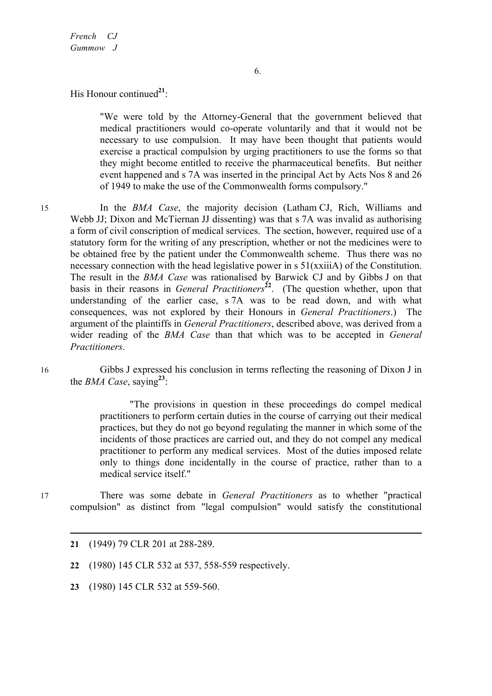His Honour continued<sup>21</sup>:

"We were told by the Attorney-General that the government believed that medical practitioners would co-operate voluntarily and that it would not be necessary to use compulsion. It may have been thought that patients would exercise a practical compulsion by urging practitioners to use the forms so that they might become entitled to receive the pharmaceutical benefits. But neither event happened and s 7A was inserted in the principal Act by Acts Nos 8 and 26 of 1949 to make the use of the Commonwealth forms compulsory."

15 In the *BMA Case*, the majority decision (Latham CJ, Rich, Williams and Webb JJ; Dixon and McTiernan JJ dissenting) was that s 7A was invalid as authorising a form of civil conscription of medical services. The section, however, required use of a statutory form for the writing of any prescription, whether or not the medicines were to be obtained free by the patient under the Commonwealth scheme. Thus there was no necessary connection with the head legislative power in s 51(xxiiiA) of the Constitution. The result in the *BMA Case* was rationalised by Barwick CJ and by Gibbs J on that basis in their reasons in *General Practitioners*<sup>22</sup>. (The question whether, upon that understanding of the earlier case, s 7A was to be read down, and with what consequences, was not explored by their Honours in *General Practitioners*.) The argument of the plaintiffs in *General Practitioners*, described above, was derived from a wider reading of the *BMA Case* than that which was to be accepted in *General Practitioners*.

16 Gibbs J expressed his conclusion in terms reflecting the reasoning of Dixon J in the *BMA Case*, saying**<sup>23</sup>**:

> "The provisions in question in these proceedings do compel medical practitioners to perform certain duties in the course of carrying out their medical practices, but they do not go beyond regulating the manner in which some of the incidents of those practices are carried out, and they do not compel any medical practitioner to perform any medical services. Most of the duties imposed relate only to things done incidentally in the course of practice, rather than to a medical service itself."

17 There was some debate in *General Practitioners* as to whether "practical compulsion" as distinct from "legal compulsion" would satisfy the constitutional

- **22** (1980) 145 CLR 532 at 537, 558-559 respectively.
- **23** (1980) 145 CLR 532 at 559-560.

**<sup>21</sup>** (1949) 79 CLR 201 at 288-289.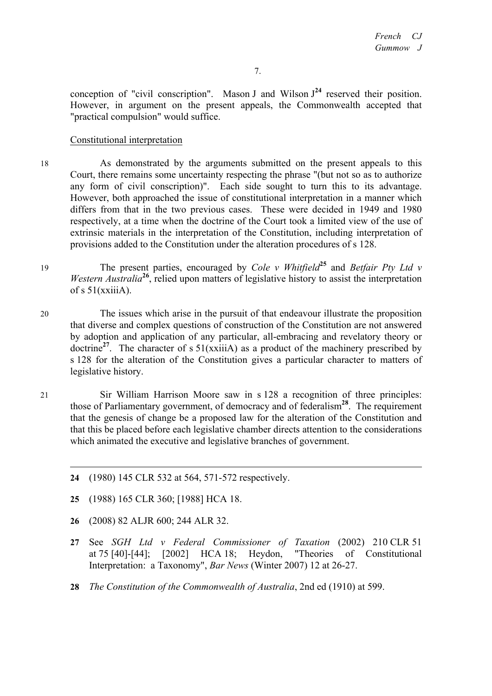conception of "civil conscription". Mason J and Wilson  $J<sup>24</sup>$  reserved their position. However, in argument on the present appeals, the Commonwealth accepted that "practical compulsion" would suffice.

## Constitutional interpretation

18 As demonstrated by the arguments submitted on the present appeals to this Court, there remains some uncertainty respecting the phrase "(but not so as to authorize any form of civil conscription)". Each side sought to turn this to its advantage. However, both approached the issue of constitutional interpretation in a manner which differs from that in the two previous cases. These were decided in 1949 and 1980 respectively, at a time when the doctrine of the Court took a limited view of the use of extrinsic materials in the interpretation of the Constitution, including interpretation of provisions added to the Constitution under the alteration procedures of s 128.

- <sup>19</sup> The present parties, encouraged by *Cole v Whitfield***<sup>25</sup>** and *Betfair Pty Ltd v Western Australia*<sup>26</sup>, relied upon matters of legislative history to assist the interpretation of  $s$  51(xxiiiA).
- 20 The issues which arise in the pursuit of that endeavour illustrate the proposition that diverse and complex questions of construction of the Constitution are not answered by adoption and application of any particular, all-embracing and revelatory theory or doctrine<sup>27</sup>. The character of s  $51(xxii)$  as a product of the machinery prescribed by s 128 for the alteration of the Constitution gives a particular character to matters of legislative history.
- 21 Sir William Harrison Moore saw in s 128 a recognition of three principles: those of Parliamentary government, of democracy and of federalism**<sup>28</sup>**. The requirement that the genesis of change be a proposed law for the alteration of the Constitution and that this be placed before each legislative chamber directs attention to the considerations which animated the executive and legislative branches of government.
	- **24** (1980) 145 CLR 532 at 564, 571-572 respectively.
	- **25** (1988) 165 CLR 360; [1988] HCA 18.
	- **26** (2008) 82 ALJR 600; 244 ALR 32.

- **27** See *SGH Ltd v Federal Commissioner of Taxation* (2002) 210 CLR 51 at 75 [40]-[44]; [2002] HCA 18; Heydon, "Theories of Constitutional Interpretation: a Taxonomy", *Bar News* (Winter 2007) 12 at 26-27.
- **28** *The Constitution of the Commonwealth of Australia*, 2nd ed (1910) at 599.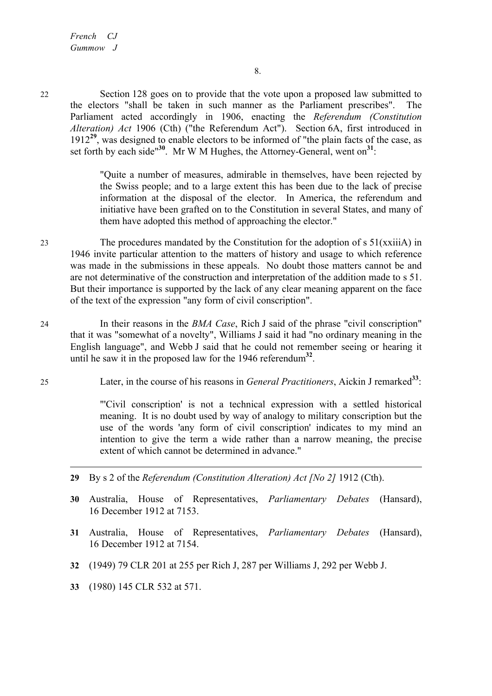22 Section 128 goes on to provide that the vote upon a proposed law submitted to the electors "shall be taken in such manner as the Parliament prescribes". The Parliament acted accordingly in 1906, enacting the *Referendum (Constitution Alteration) Act* 1906 (Cth) ("the Referendum Act"). Section 6A, first introduced in 1912**<sup>29</sup>**, was designed to enable electors to be informed of "the plain facts of the case, as set forth by each side"**<sup>30</sup>**. Mr W M Hughes, the Attorney-General, went on**<sup>31</sup>**:

> "Quite a number of measures, admirable in themselves, have been rejected by the Swiss people; and to a large extent this has been due to the lack of precise information at the disposal of the elector. In America, the referendum and initiative have been grafted on to the Constitution in several States, and many of them have adopted this method of approaching the elector."

- 23 The procedures mandated by the Constitution for the adoption of s 51(xxiiiA) in 1946 invite particular attention to the matters of history and usage to which reference was made in the submissions in these appeals. No doubt those matters cannot be and are not determinative of the construction and interpretation of the addition made to s 51. But their importance is supported by the lack of any clear meaning apparent on the face of the text of the expression "any form of civil conscription".
- 24 In their reasons in the *BMA Case*, Rich J said of the phrase "civil conscription" that it was "somewhat of a novelty", Williams J said it had "no ordinary meaning in the English language", and Webb J said that he could not remember seeing or hearing it until he saw it in the proposed law for the 1946 referendum**<sup>32</sup>**.
- <sup>25</sup> Later, in the course of his reasons in *General Practitioners*, Aickin J remarked**<sup>33</sup>**:

"'Civil conscription' is not a technical expression with a settled historical meaning. It is no doubt used by way of analogy to military conscription but the use of the words 'any form of civil conscription' indicates to my mind an intention to give the term a wide rather than a narrow meaning, the precise extent of which cannot be determined in advance."

- **29** By s 2 of the *Referendum (Constitution Alteration) Act [No 2]* 1912 (Cth).
- **30** Australia, House of Representatives, *Parliamentary Debates* (Hansard), 16 December 1912 at 7153.
- **31** Australia, House of Representatives, *Parliamentary Debates* (Hansard), 16 December 1912 at 7154.
- **32** (1949) 79 CLR 201 at 255 per Rich J, 287 per Williams J, 292 per Webb J.
- **33** (1980) 145 CLR 532 at 571.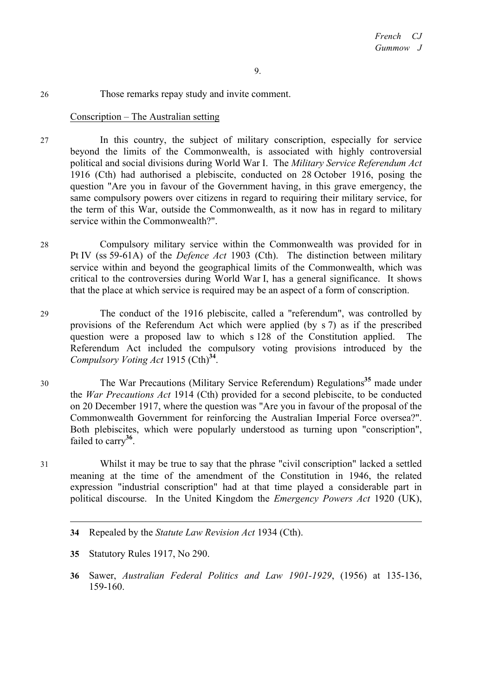### 26 Those remarks repay study and invite comment.

### Conscription – The Australian setting

- 27 In this country, the subject of military conscription, especially for service beyond the limits of the Commonwealth, is associated with highly controversial political and social divisions during World War I. The *Military Service Referendum Act* 1916 (Cth) had authorised a plebiscite, conducted on 28 October 1916, posing the question "Are you in favour of the Government having, in this grave emergency, the same compulsory powers over citizens in regard to requiring their military service, for the term of this War, outside the Commonwealth, as it now has in regard to military service within the Commonwealth?".
- 28 Compulsory military service within the Commonwealth was provided for in Pt IV (ss 59-61A) of the *Defence Act* 1903 (Cth). The distinction between military service within and beyond the geographical limits of the Commonwealth, which was critical to the controversies during World War I, has a general significance. It shows that the place at which service is required may be an aspect of a form of conscription.
- 29 The conduct of the 1916 plebiscite, called a "referendum", was controlled by provisions of the Referendum Act which were applied (by s 7) as if the prescribed question were a proposed law to which s 128 of the Constitution applied. The Referendum Act included the compulsory voting provisions introduced by the *Compulsory Voting Act* 1915 (Cth)**<sup>34</sup>**.
- <sup>30</sup> The War Precautions (Military Service Referendum) Regulations**<sup>35</sup>** made under the *War Precautions Act* 1914 (Cth) provided for a second plebiscite, to be conducted on 20 December 1917, where the question was "Are you in favour of the proposal of the Commonwealth Government for reinforcing the Australian Imperial Force oversea?". Both plebiscites, which were popularly understood as turning upon "conscription", failed to carry**<sup>36</sup>**.
- 31 Whilst it may be true to say that the phrase "civil conscription" lacked a settled meaning at the time of the amendment of the Constitution in 1946, the related expression "industrial conscription" had at that time played a considerable part in political discourse. In the United Kingdom the *Emergency Powers Act* 1920 (UK),
	- **34** Repealed by the *Statute Law Revision Act* 1934 (Cth).
	- **35** Statutory Rules 1917, No 290.

 $\overline{a}$ 

**36** Sawer, *Australian Federal Politics and Law 1901-1929*, (1956) at 135-136, 159-160.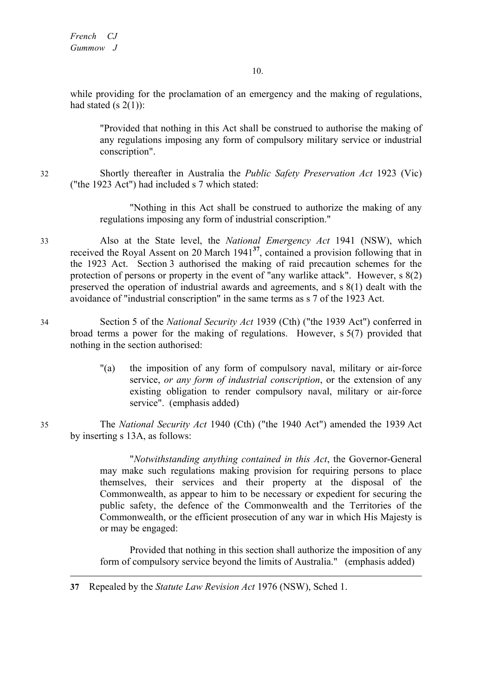while providing for the proclamation of an emergency and the making of regulations, had stated (s  $2(1)$ ):

"Provided that nothing in this Act shall be construed to authorise the making of any regulations imposing any form of compulsory military service or industrial conscription".

32 Shortly thereafter in Australia the *Public Safety Preservation Act* 1923 (Vic) ("the 1923 Act") had included s 7 which stated:

> "Nothing in this Act shall be construed to authorize the making of any regulations imposing any form of industrial conscription."

33 Also at the State level, the *National Emergency Act* 1941 (NSW), which received the Royal Assent on 20 March 1941**<sup>37</sup>**, contained a provision following that in the 1923 Act. Section 3 authorised the making of raid precaution schemes for the protection of persons or property in the event of "any warlike attack". However, s 8(2) preserved the operation of industrial awards and agreements, and s 8(1) dealt with the avoidance of "industrial conscription" in the same terms as s 7 of the 1923 Act.

- 34 Section 5 of the *National Security Act* 1939 (Cth) ("the 1939 Act") conferred in broad terms a power for the making of regulations. However, s 5(7) provided that nothing in the section authorised:
	- "(a) the imposition of any form of compulsory naval, military or air-force service, *or any form of industrial conscription*, or the extension of any existing obligation to render compulsory naval, military or air-force service". (emphasis added)

35 The *National Security Act* 1940 (Cth) ("the 1940 Act") amended the 1939 Act by inserting s 13A, as follows:

> "*Notwithstanding anything contained in this Act*, the Governor-General may make such regulations making provision for requiring persons to place themselves, their services and their property at the disposal of the Commonwealth, as appear to him to be necessary or expedient for securing the public safety, the defence of the Commonwealth and the Territories of the Commonwealth, or the efficient prosecution of any war in which His Majesty is or may be engaged:

> Provided that nothing in this section shall authorize the imposition of any form of compulsory service beyond the limits of Australia." (emphasis added)

**37** Repealed by the *Statute Law Revision Act* 1976 (NSW), Sched 1.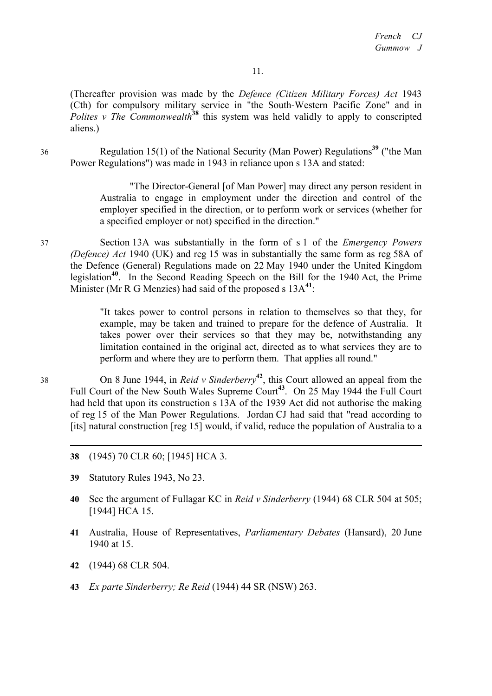(Thereafter provision was made by the *Defence (Citizen Military Forces) Act* 1943 (Cth) for compulsory military service in "the South-Western Pacific Zone" and in *Polites v The Commonwealth*<sup>38</sup> this system was held validly to apply to conscripted aliens.)

<sup>36</sup> Regulation 15(1) of the National Security (Man Power) Regulations**<sup>39</sup>** ("the Man Power Regulations") was made in 1943 in reliance upon s 13A and stated:

> "The Director-General [of Man Power] may direct any person resident in Australia to engage in employment under the direction and control of the employer specified in the direction, or to perform work or services (whether for a specified employer or not) specified in the direction."

37 Section 13A was substantially in the form of s 1 of the *Emergency Powers (Defence) Act* 1940 (UK) and reg 15 was in substantially the same form as reg 58A of the Defence (General) Regulations made on 22 May 1940 under the United Kingdom legislation**<sup>40</sup>**. In the Second Reading Speech on the Bill for the 1940 Act, the Prime Minister (Mr R G Menzies) had said of the proposed s 13A**<sup>41</sup>**:

> "It takes power to control persons in relation to themselves so that they, for example, may be taken and trained to prepare for the defence of Australia. It takes power over their services so that they may be, notwithstanding any limitation contained in the original act, directed as to what services they are to perform and where they are to perform them. That applies all round."

<sup>38</sup> On 8 June 1944, in *Reid v Sinderberry***<sup>42</sup>**, this Court allowed an appeal from the Full Court of the New South Wales Supreme Court**<sup>43</sup>**. On 25 May 1944 the Full Court had held that upon its construction s 13A of the 1939 Act did not authorise the making of reg 15 of the Man Power Regulations. Jordan CJ had said that "read according to [its] natural construction [reg 15] would, if valid, reduce the population of Australia to a

- **38** (1945) 70 CLR 60; [1945] HCA 3.
- **39** Statutory Rules 1943, No 23.
- **40** See the argument of Fullagar KC in *Reid v Sinderberry* (1944) 68 CLR 504 at 505; [1944] HCA 15.
- **41** Australia, House of Representatives, *Parliamentary Debates* (Hansard), 20 June 1940 at 15.
- **42** (1944) 68 CLR 504.
- **43** *Ex parte Sinderberry; Re Reid* (1944) 44 SR (NSW) 263.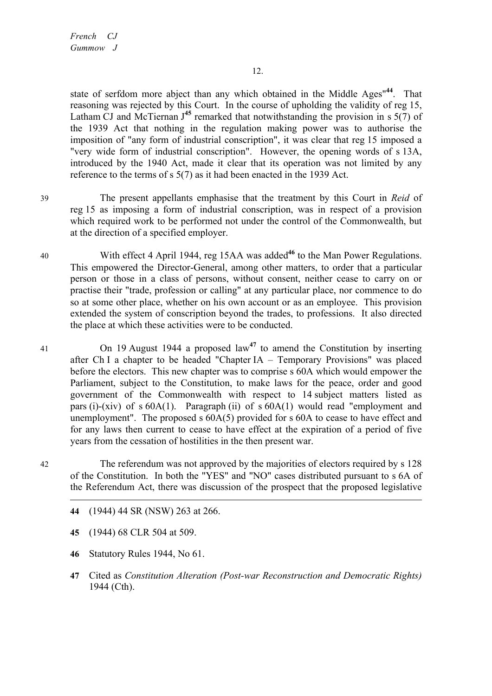*French CJ Gummow J*

state of serfdom more abject than any which obtained in the Middle Ages"**<sup>44</sup>**. That reasoning was rejected by this Court. In the course of upholding the validity of reg 15, Latham CJ and McTiernan  $J^{45}$  remarked that notwithstanding the provision in s  $5(7)$  of the 1939 Act that nothing in the regulation making power was to authorise the imposition of "any form of industrial conscription", it was clear that reg 15 imposed a "very wide form of industrial conscription". However, the opening words of s 13A, introduced by the 1940 Act, made it clear that its operation was not limited by any reference to the terms of s 5(7) as it had been enacted in the 1939 Act.

- 39 The present appellants emphasise that the treatment by this Court in *Reid* of reg 15 as imposing a form of industrial conscription, was in respect of a provision which required work to be performed not under the control of the Commonwealth, but at the direction of a specified employer.
- 40 With effect 4 April 1944, reg 15AA was added<sup>46</sup> to the Man Power Regulations. This empowered the Director-General, among other matters, to order that a particular person or those in a class of persons, without consent, neither cease to carry on or practise their "trade, profession or calling" at any particular place, nor commence to do so at some other place, whether on his own account or as an employee. This provision extended the system of conscription beyond the trades, to professions. It also directed the place at which these activities were to be conducted.
- <sup>41</sup> On 19 August 1944 a proposed law**<sup>47</sup>** to amend the Constitution by inserting after Ch I a chapter to be headed "Chapter IA – Temporary Provisions" was placed before the electors. This new chapter was to comprise s 60A which would empower the Parliament, subject to the Constitution, to make laws for the peace, order and good government of the Commonwealth with respect to 14 subject matters listed as pars (i)-(xiv) of s 60A(1). Paragraph (ii) of s 60A(1) would read "employment and unemployment". The proposed s 60A(5) provided for s 60A to cease to have effect and for any laws then current to cease to have effect at the expiration of a period of five years from the cessation of hostilities in the then present war.

42 The referendum was not approved by the majorities of electors required by s 128 of the Constitution. In both the "YES" and "NO" cases distributed pursuant to s 6A of the Referendum Act, there was discussion of the prospect that the proposed legislative

- **44** (1944) 44 SR (NSW) 263 at 266.
- **45** (1944) 68 CLR 504 at 509.
- **46** Statutory Rules 1944, No 61.
- **47** Cited as *Constitution Alteration (Post-war Reconstruction and Democratic Rights)* 1944 (Cth).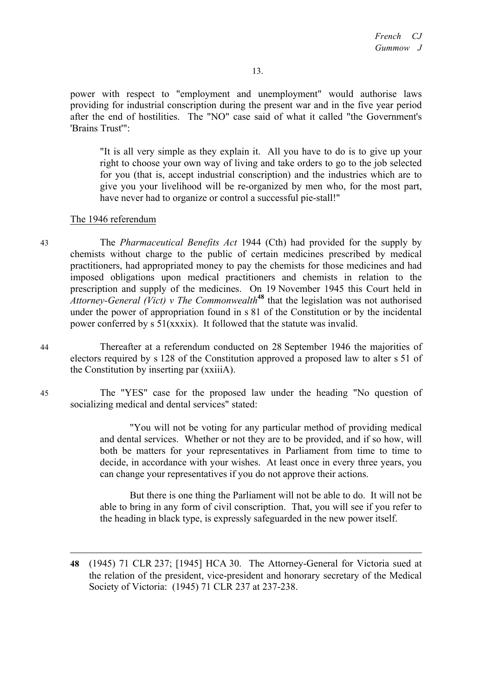power with respect to "employment and unemployment" would authorise laws providing for industrial conscription during the present war and in the five year period after the end of hostilities. The "NO" case said of what it called "the Government's 'Brains Trust'":

"It is all very simple as they explain it. All you have to do is to give up your right to choose your own way of living and take orders to go to the job selected for you (that is, accept industrial conscription) and the industries which are to give you your livelihood will be re-organized by men who, for the most part, have never had to organize or control a successful pie-stall!"

#### The 1946 referendum

43 The *Pharmaceutical Benefits Act* 1944 (Cth) had provided for the supply by chemists without charge to the public of certain medicines prescribed by medical practitioners, had appropriated money to pay the chemists for those medicines and had imposed obligations upon medical practitioners and chemists in relation to the prescription and supply of the medicines. On 19 November 1945 this Court held in *Attorney-General (Vict) v The Commonwealth***<sup>48</sup>** that the legislation was not authorised under the power of appropriation found in s 81 of the Constitution or by the incidental power conferred by s 51(xxxix). It followed that the statute was invalid.

44 Thereafter at a referendum conducted on 28 September 1946 the majorities of electors required by s 128 of the Constitution approved a proposed law to alter s 51 of the Constitution by inserting par (xxiiiA).

45 The "YES" case for the proposed law under the heading "No question of socializing medical and dental services" stated:

> "You will not be voting for any particular method of providing medical and dental services. Whether or not they are to be provided, and if so how, will both be matters for your representatives in Parliament from time to time to decide, in accordance with your wishes. At least once in every three years, you can change your representatives if you do not approve their actions.

> But there is one thing the Parliament will not be able to do. It will not be able to bring in any form of civil conscription. That, you will see if you refer to the heading in black type, is expressly safeguarded in the new power itself.

**<sup>48</sup>** (1945) 71 CLR 237; [1945] HCA 30. The Attorney-General for Victoria sued at the relation of the president, vice-president and honorary secretary of the Medical Society of Victoria: (1945) 71 CLR 237 at 237-238.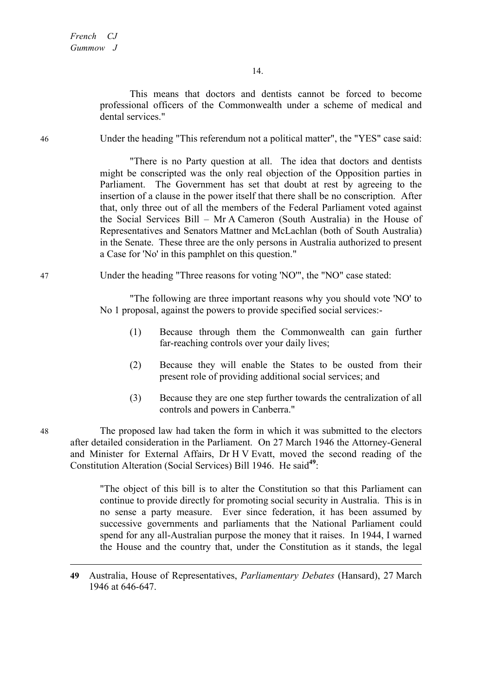This means that doctors and dentists cannot be forced to become professional officers of the Commonwealth under a scheme of medical and dental services."

46 Under the heading "This referendum not a political matter", the "YES" case said:

"There is no Party question at all. The idea that doctors and dentists might be conscripted was the only real objection of the Opposition parties in Parliament. The Government has set that doubt at rest by agreeing to the insertion of a clause in the power itself that there shall be no conscription. After that, only three out of all the members of the Federal Parliament voted against the Social Services Bill – Mr A Cameron (South Australia) in the House of Representatives and Senators Mattner and McLachlan (both of South Australia) in the Senate. These three are the only persons in Australia authorized to present a Case for 'No' in this pamphlet on this question."

#### 47 Under the heading "Three reasons for voting 'NO'", the "NO" case stated:

"The following are three important reasons why you should vote 'NO' to No 1 proposal, against the powers to provide specified social services:-

- (1) Because through them the Commonwealth can gain further far-reaching controls over your daily lives;
- (2) Because they will enable the States to be ousted from their present role of providing additional social services; and
- (3) Because they are one step further towards the centralization of all controls and powers in Canberra."

48 The proposed law had taken the form in which it was submitted to the electors after detailed consideration in the Parliament. On 27 March 1946 the Attorney-General and Minister for External Affairs, Dr H V Evatt, moved the second reading of the Constitution Alteration (Social Services) Bill 1946. He said**<sup>49</sup>**:

> "The object of this bill is to alter the Constitution so that this Parliament can continue to provide directly for promoting social security in Australia. This is in no sense a party measure. Ever since federation, it has been assumed by successive governments and parliaments that the National Parliament could spend for any all-Australian purpose the money that it raises. In 1944, I warned the House and the country that, under the Constitution as it stands, the legal

**<sup>49</sup>** Australia, House of Representatives, *Parliamentary Debates* (Hansard), 27 March 1946 at 646-647.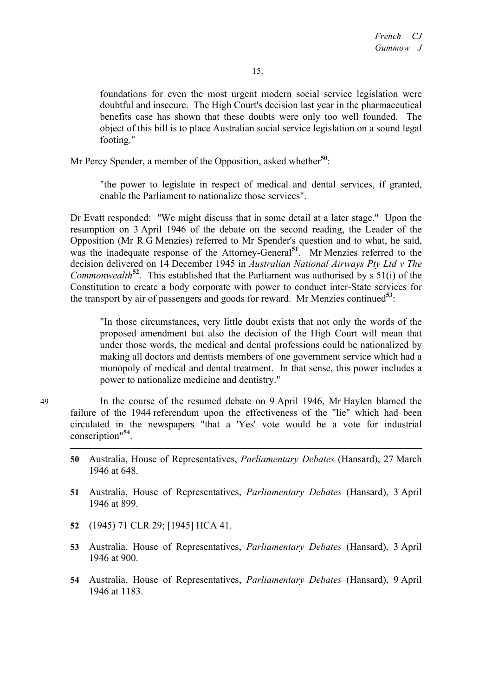foundations for even the most urgent modern social service legislation were doubtful and insecure. The High Court's decision last year in the pharmaceutical benefits case has shown that these doubts were only too well founded. The object of this bill is to place Australian social service legislation on a sound legal footing."

Mr Percy Spender, a member of the Opposition, asked whether**<sup>50</sup>**:

"the power to legislate in respect of medical and dental services, if granted, enable the Parliament to nationalize those services".

Dr Evatt responded: "We might discuss that in some detail at a later stage." Upon the resumption on 3 April 1946 of the debate on the second reading, the Leader of the Opposition (Mr R G Menzies) referred to Mr Spender's question and to what, he said, was the inadequate response of the Attorney-General<sup>51</sup>. Mr Menzies referred to the decision delivered on 14 December 1945 in *Australian National Airways Pty Ltd v The Commonwealth***<sup>52</sup>**. This established that the Parliament was authorised by s 51(i) of the Constitution to create a body corporate with power to conduct inter-State services for the transport by air of passengers and goods for reward. Mr Menzies continued**<sup>53</sup>**:

"In those circumstances, very little doubt exists that not only the words of the proposed amendment but also the decision of the High Court will mean that under those words, the medical and dental professions could be nationalized by making all doctors and dentists members of one government service which had a monopoly of medical and dental treatment. In that sense, this power includes a power to nationalize medicine and dentistry."

49 In the course of the resumed debate on 9 April 1946, Mr Haylen blamed the failure of the 1944 referendum upon the effectiveness of the "lie" which had been circulated in the newspapers "that a 'Yes' vote would be a vote for industrial conscription"**<sup>54</sup>**.

- **50** Australia, House of Representatives, *Parliamentary Debates* (Hansard), 27 March 1946 at 648.
- **51** Australia, House of Representatives, *Parliamentary Debates* (Hansard), 3 April 1946 at 899.
- **52** (1945) 71 CLR 29; [1945] HCA 41.
- **53** Australia, House of Representatives, *Parliamentary Debates* (Hansard), 3 April 1946 at 900.
- **54** Australia, House of Representatives, *Parliamentary Debates* (Hansard), 9 April 1946 at 1183.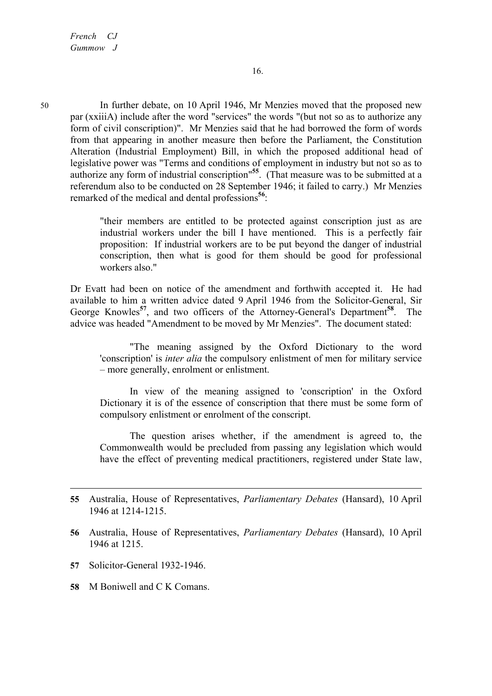50 In further debate, on 10 April 1946, Mr Menzies moved that the proposed new par (xxiiiA) include after the word "services" the words "(but not so as to authorize any form of civil conscription)". Mr Menzies said that he had borrowed the form of words from that appearing in another measure then before the Parliament, the Constitution Alteration (Industrial Employment) Bill, in which the proposed additional head of legislative power was "Terms and conditions of employment in industry but not so as to authorize any form of industrial conscription"**<sup>55</sup>**. (That measure was to be submitted at a referendum also to be conducted on 28 September 1946; it failed to carry.) Mr Menzies remarked of the medical and dental professions**<sup>56</sup>**:

> "their members are entitled to be protected against conscription just as are industrial workers under the bill I have mentioned. This is a perfectly fair proposition: If industrial workers are to be put beyond the danger of industrial conscription, then what is good for them should be good for professional workers also."

Dr Evatt had been on notice of the amendment and forthwith accepted it. He had available to him a written advice dated 9 April 1946 from the Solicitor-General, Sir George Knowles**<sup>57</sup>**, and two officers of the Attorney-General's Department**<sup>58</sup>**. The advice was headed "Amendment to be moved by Mr Menzies". The document stated:

"The meaning assigned by the Oxford Dictionary to the word 'conscription' is *inter alia* the compulsory enlistment of men for military service – more generally, enrolment or enlistment.

In view of the meaning assigned to 'conscription' in the Oxford Dictionary it is of the essence of conscription that there must be some form of compulsory enlistment or enrolment of the conscript.

The question arises whether, if the amendment is agreed to, the Commonwealth would be precluded from passing any legislation which would have the effect of preventing medical practitioners, registered under State law,

**57** Solicitor-General 1932-1946.

 $\overline{a}$ 

**58** M Boniwell and C K Comans.

**<sup>55</sup>** Australia, House of Representatives, *Parliamentary Debates* (Hansard), 10 April 1946 at 1214-1215.

**<sup>56</sup>** Australia, House of Representatives, *Parliamentary Debates* (Hansard), 10 April 1946 at 1215.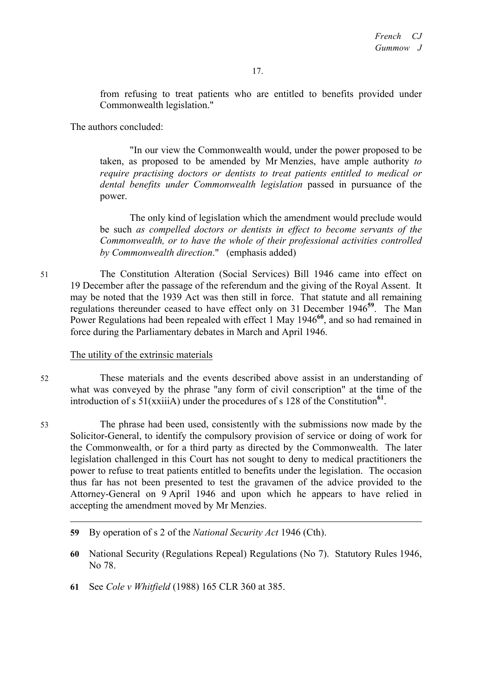from refusing to treat patients who are entitled to benefits provided under Commonwealth legislation."

The authors concluded:

"In our view the Commonwealth would, under the power proposed to be taken, as proposed to be amended by Mr Menzies, have ample authority *to require practising doctors or dentists to treat patients entitled to medical or dental benefits under Commonwealth legislation* passed in pursuance of the power.

The only kind of legislation which the amendment would preclude would be such *as compelled doctors or dentists in effect to become servants of the Commonwealth, or to have the whole of their professional activities controlled by Commonwealth direction*." (emphasis added)

51 The Constitution Alteration (Social Services) Bill 1946 came into effect on 19 December after the passage of the referendum and the giving of the Royal Assent. It may be noted that the 1939 Act was then still in force. That statute and all remaining regulations thereunder ceased to have effect only on 31 December 1946**<sup>59</sup>**. The Man Power Regulations had been repealed with effect 1 May 1946<sup>60</sup>, and so had remained in force during the Parliamentary debates in March and April 1946.

### The utility of the extrinsic materials

52 These materials and the events described above assist in an understanding of what was conveyed by the phrase "any form of civil conscription" at the time of the introduction of s  $51(xxii)$  under the procedures of s 128 of the Constitution<sup>61</sup>.

53 The phrase had been used, consistently with the submissions now made by the Solicitor-General, to identify the compulsory provision of service or doing of work for the Commonwealth, or for a third party as directed by the Commonwealth. The later legislation challenged in this Court has not sought to deny to medical practitioners the power to refuse to treat patients entitled to benefits under the legislation. The occasion thus far has not been presented to test the gravamen of the advice provided to the Attorney-General on 9 April 1946 and upon which he appears to have relied in accepting the amendment moved by Mr Menzies.

- **59** By operation of s 2 of the *National Security Act* 1946 (Cth).
- **60** National Security (Regulations Repeal) Regulations (No 7). Statutory Rules 1946, No 78.
- **61** See *Cole v Whitfield* (1988) 165 CLR 360 at 385.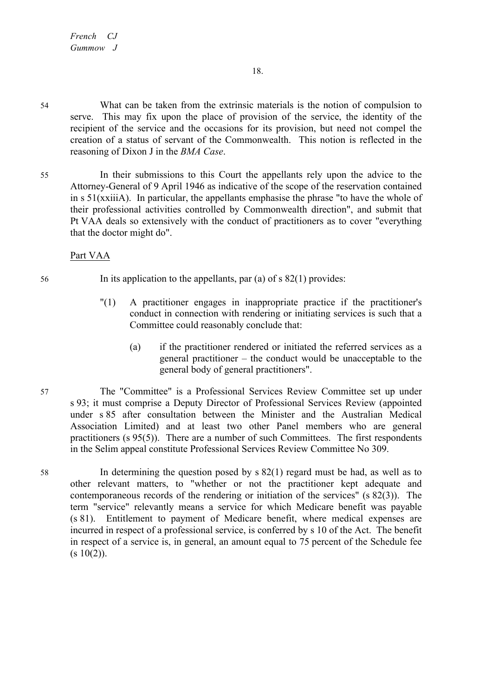54 What can be taken from the extrinsic materials is the notion of compulsion to serve. This may fix upon the place of provision of the service, the identity of the recipient of the service and the occasions for its provision, but need not compel the creation of a status of servant of the Commonwealth. This notion is reflected in the reasoning of Dixon J in the *BMA Case*.

55 In their submissions to this Court the appellants rely upon the advice to the Attorney-General of 9 April 1946 as indicative of the scope of the reservation contained in s 51(xxiiiA). In particular, the appellants emphasise the phrase "to have the whole of their professional activities controlled by Commonwealth direction", and submit that Pt VAA deals so extensively with the conduct of practitioners as to cover "everything that the doctor might do".

# Part VAA

- 56 In its application to the appellants, par (a) of s 82(1) provides:
	- "(1) A practitioner engages in inappropriate practice if the practitioner's conduct in connection with rendering or initiating services is such that a Committee could reasonably conclude that:
		- (a) if the practitioner rendered or initiated the referred services as a general practitioner – the conduct would be unacceptable to the general body of general practitioners".
- 57 The "Committee" is a Professional Services Review Committee set up under s 93; it must comprise a Deputy Director of Professional Services Review (appointed under s 85 after consultation between the Minister and the Australian Medical Association Limited) and at least two other Panel members who are general practitioners (s 95(5)). There are a number of such Committees. The first respondents in the Selim appeal constitute Professional Services Review Committee No 309.
- 58 In determining the question posed by s 82(1) regard must be had, as well as to other relevant matters, to "whether or not the practitioner kept adequate and contemporaneous records of the rendering or initiation of the services" (s 82(3)). The term "service" relevantly means a service for which Medicare benefit was payable (s 81). Entitlement to payment of Medicare benefit, where medical expenses are incurred in respect of a professional service, is conferred by s 10 of the Act. The benefit in respect of a service is, in general, an amount equal to 75 percent of the Schedule fee  $(s 10(2))$ .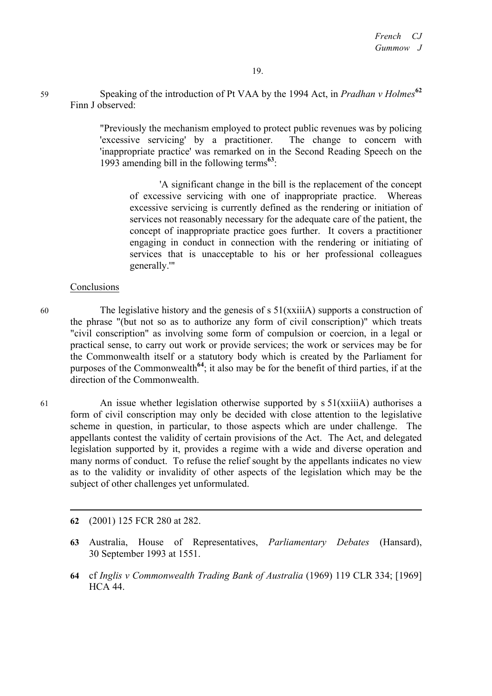<sup>59</sup> Speaking of the introduction of Pt VAA by the 1994 Act, in *Pradhan v Holmes***<sup>62</sup>** Finn J observed:

> "Previously the mechanism employed to protect public revenues was by policing 'excessive servicing' by a practitioner. The change to concern with 'inappropriate practice' was remarked on in the Second Reading Speech on the 1993 amending bill in the following terms**<sup>63</sup>**:

'A significant change in the bill is the replacement of the concept of excessive servicing with one of inappropriate practice. Whereas excessive servicing is currently defined as the rendering or initiation of services not reasonably necessary for the adequate care of the patient, the concept of inappropriate practice goes further. It covers a practitioner engaging in conduct in connection with the rendering or initiating of services that is unacceptable to his or her professional colleagues generally.'"

### **Conclusions**

60 The legislative history and the genesis of s 51(xxiiiA) supports a construction of the phrase "(but not so as to authorize any form of civil conscription)" which treats "civil conscription" as involving some form of compulsion or coercion, in a legal or practical sense, to carry out work or provide services; the work or services may be for the Commonwealth itself or a statutory body which is created by the Parliament for purposes of the Commonwealth**<sup>64</sup>**; it also may be for the benefit of third parties, if at the direction of the Commonwealth.

61 An issue whether legislation otherwise supported by s 51(xxiiiA) authorises a form of civil conscription may only be decided with close attention to the legislative scheme in question, in particular, to those aspects which are under challenge. The appellants contest the validity of certain provisions of the Act. The Act, and delegated legislation supported by it, provides a regime with a wide and diverse operation and many norms of conduct. To refuse the relief sought by the appellants indicates no view as to the validity or invalidity of other aspects of the legislation which may be the subject of other challenges yet unformulated.

**62** (2001) 125 FCR 280 at 282.

**<sup>63</sup>** Australia, House of Representatives, *Parliamentary Debates* (Hansard), 30 September 1993 at 1551.

**<sup>64</sup>** cf *Inglis v Commonwealth Trading Bank of Australia* (1969) 119 CLR 334; [1969] HCA 44.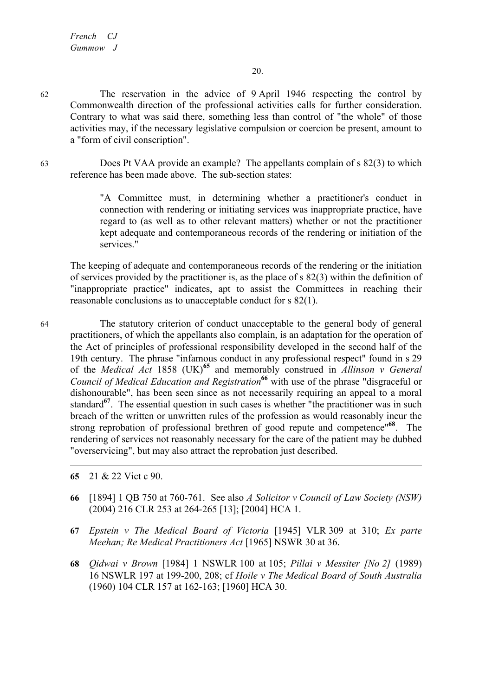62 The reservation in the advice of 9 April 1946 respecting the control by Commonwealth direction of the professional activities calls for further consideration. Contrary to what was said there, something less than control of "the whole" of those activities may, if the necessary legislative compulsion or coercion be present, amount to a "form of civil conscription".

63 Does Pt VAA provide an example? The appellants complain of s 82(3) to which reference has been made above. The sub-section states:

> "A Committee must, in determining whether a practitioner's conduct in connection with rendering or initiating services was inappropriate practice, have regard to (as well as to other relevant matters) whether or not the practitioner kept adequate and contemporaneous records of the rendering or initiation of the services."

The keeping of adequate and contemporaneous records of the rendering or the initiation of services provided by the practitioner is, as the place of s 82(3) within the definition of "inappropriate practice" indicates, apt to assist the Committees in reaching their reasonable conclusions as to unacceptable conduct for s 82(1).

64 The statutory criterion of conduct unacceptable to the general body of general practitioners, of which the appellants also complain, is an adaptation for the operation of the Act of principles of professional responsibility developed in the second half of the 19th century. The phrase "infamous conduct in any professional respect" found in s 29 of the *Medical Act* 1858 (UK)**<sup>65</sup>** and memorably construed in *Allinson v General Council of Medical Education and Registration***<sup>66</sup>** with use of the phrase "disgraceful or dishonourable", has been seen since as not necessarily requiring an appeal to a moral standard<sup>67</sup>. The essential question in such cases is whether "the practitioner was in such breach of the written or unwritten rules of the profession as would reasonably incur the strong reprobation of professional brethren of good repute and competence"**<sup>68</sup>**. The rendering of services not reasonably necessary for the care of the patient may be dubbed "overservicing", but may also attract the reprobation just described.

**65** 21 & 22 Vict c 90.

- **66** [1894] 1 QB 750 at 760-761. See also *A Solicitor v Council of Law Society (NSW)* (2004) 216 CLR 253 at 264-265 [13]; [2004] HCA 1.
- **67** *Epstein v The Medical Board of Victoria* [1945] VLR 309 at 310; *Ex parte Meehan; Re Medical Practitioners Act* [1965] NSWR 30 at 36.
- **68** *Qidwai v Brown* [1984] 1 NSWLR 100 at 105; *Pillai v Messiter [No 2]* (1989) 16 NSWLR 197 at 199-200, 208; cf *Hoile v The Medical Board of South Australia* (1960) 104 CLR 157 at 162-163; [1960] HCA 30.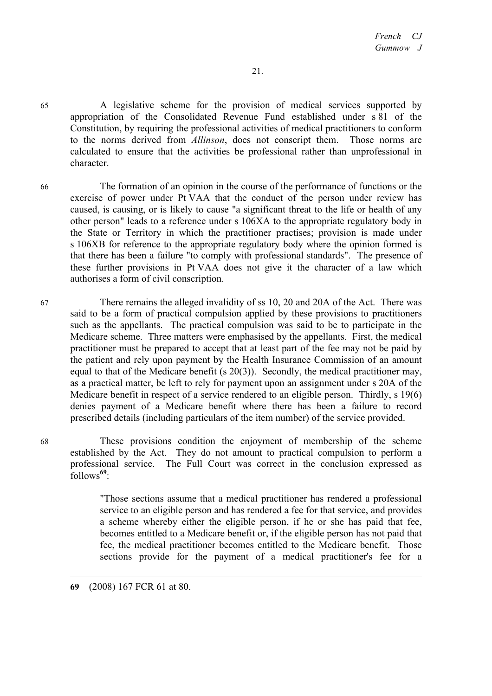65 A legislative scheme for the provision of medical services supported by appropriation of the Consolidated Revenue Fund established under s 81 of the Constitution, by requiring the professional activities of medical practitioners to conform to the norms derived from *Allinson*, does not conscript them. Those norms are calculated to ensure that the activities be professional rather than unprofessional in character.

66 The formation of an opinion in the course of the performance of functions or the exercise of power under Pt VAA that the conduct of the person under review has caused, is causing, or is likely to cause "a significant threat to the life or health of any other person" leads to a reference under s 106XA to the appropriate regulatory body in the State or Territory in which the practitioner practises; provision is made under s 106XB for reference to the appropriate regulatory body where the opinion formed is that there has been a failure "to comply with professional standards". The presence of these further provisions in Pt VAA does not give it the character of a law which authorises a form of civil conscription.

67 There remains the alleged invalidity of ss 10, 20 and 20A of the Act. There was said to be a form of practical compulsion applied by these provisions to practitioners such as the appellants. The practical compulsion was said to be to participate in the Medicare scheme. Three matters were emphasised by the appellants. First, the medical practitioner must be prepared to accept that at least part of the fee may not be paid by the patient and rely upon payment by the Health Insurance Commission of an amount equal to that of the Medicare benefit (s 20(3)). Secondly, the medical practitioner may, as a practical matter, be left to rely for payment upon an assignment under s 20A of the Medicare benefit in respect of a service rendered to an eligible person. Thirdly, s 19(6) denies payment of a Medicare benefit where there has been a failure to record prescribed details (including particulars of the item number) of the service provided.

68 These provisions condition the enjoyment of membership of the scheme established by the Act. They do not amount to practical compulsion to perform a professional service. The Full Court was correct in the conclusion expressed as follows**<sup>69</sup>**:

> "Those sections assume that a medical practitioner has rendered a professional service to an eligible person and has rendered a fee for that service, and provides a scheme whereby either the eligible person, if he or she has paid that fee, becomes entitled to a Medicare benefit or, if the eligible person has not paid that fee, the medical practitioner becomes entitled to the Medicare benefit. Those sections provide for the payment of a medical practitioner's fee for a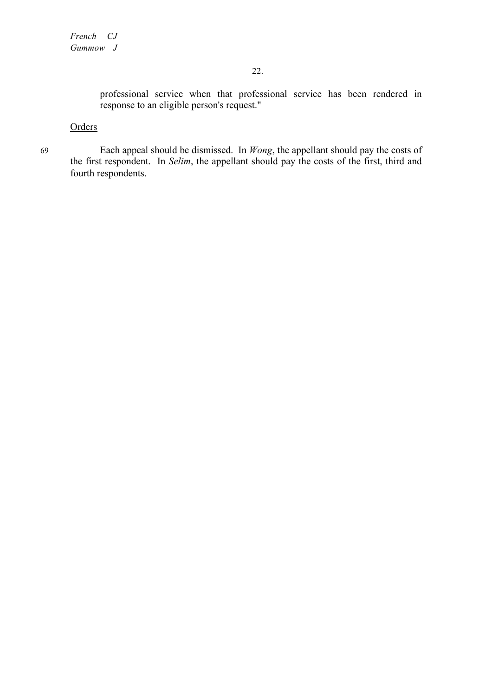professional service when that professional service has been rendered in response to an eligible person's request."

# **Orders**

69 Each appeal should be dismissed. In *Wong*, the appellant should pay the costs of the first respondent. In *Selim*, the appellant should pay the costs of the first, third and fourth respondents.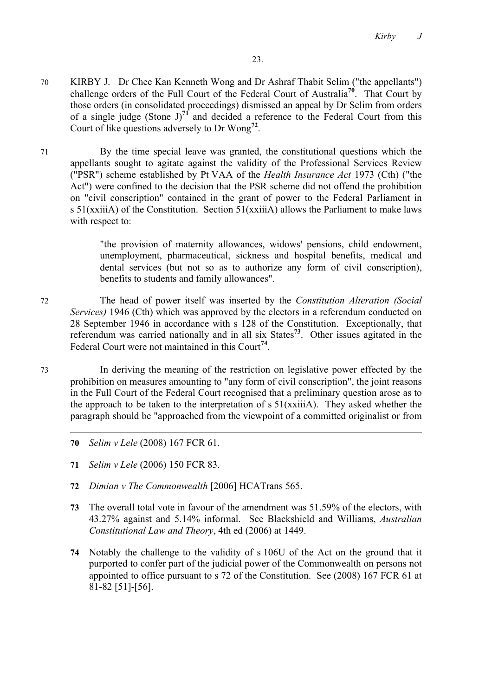- 70 KIRBY J.Dr Chee Kan Kenneth Wong and Dr Ashraf Thabit Selim ("the appellants") challenge orders of the Full Court of the Federal Court of Australia**<sup>70</sup>**. That Court by those orders (in consolidated proceedings) dismissed an appeal by Dr Selim from orders of a single judge (Stone  $J^{\pi}$ <sup>1</sup> and decided a reference to the Federal Court from this Court of like questions adversely to Dr Wong**<sup>72</sup>**.
- 71 By the time special leave was granted, the constitutional questions which the appellants sought to agitate against the validity of the Professional Services Review ("PSR") scheme established by Pt VAA of the *Health Insurance Act* 1973 (Cth) ("the Act") were confined to the decision that the PSR scheme did not offend the prohibition on "civil conscription" contained in the grant of power to the Federal Parliament in s 51(xxiiiA) of the Constitution. Section 51(xxiiiA) allows the Parliament to make laws with respect to:

"the provision of maternity allowances, widows' pensions, child endowment, unemployment, pharmaceutical, sickness and hospital benefits, medical and dental services (but not so as to authorize any form of civil conscription), benefits to students and family allowances".

72 The head of power itself was inserted by the *Constitution Alteration (Social Services)* 1946 (Cth) which was approved by the electors in a referendum conducted on 28 September 1946 in accordance with s 128 of the Constitution. Exceptionally, that referendum was carried nationally and in all six States**<sup>73</sup>**. Other issues agitated in the Federal Court were not maintained in this Court**<sup>74</sup>**.

73 In deriving the meaning of the restriction on legislative power effected by the prohibition on measures amounting to "any form of civil conscription", the joint reasons in the Full Court of the Federal Court recognised that a preliminary question arose as to the approach to be taken to the interpretation of  $s 51(xxii)$ . They asked whether the paragraph should be "approached from the viewpoint of a committed originalist or from

- **70** *Selim v Lele* (2008) 167 FCR 61.
- **71** *Selim v Lele* (2006) 150 FCR 83.
- **72** *Dimian v The Commonwealth* [2006] HCATrans 565.
- **73** The overall total vote in favour of the amendment was 51.59% of the electors, with 43.27% against and 5.14% informal. See Blackshield and Williams, *Australian Constitutional Law and Theory*, 4th ed (2006) at 1449.
- **74** Notably the challenge to the validity of s 106U of the Act on the ground that it purported to confer part of the judicial power of the Commonwealth on persons not appointed to office pursuant to s 72 of the Constitution. See (2008) 167 FCR 61 at 81-82 [51]-[56].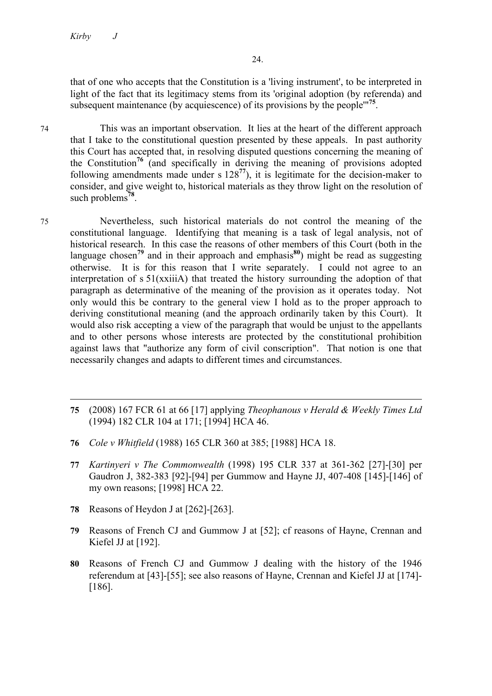$\overline{a}$ 

that of one who accepts that the Constitution is a 'living instrument', to be interpreted in light of the fact that its legitimacy stems from its 'original adoption (by referenda) and subsequent maintenance (by acquiescence) of its provisions by the people'"**<sup>75</sup>**.

74 This was an important observation. It lies at the heart of the different approach that I take to the constitutional question presented by these appeals. In past authority this Court has accepted that, in resolving disputed questions concerning the meaning of the Constitution**<sup>76</sup>** (and specifically in deriving the meaning of provisions adopted following amendments made under s 128**<sup>77</sup>**), it is legitimate for the decision-maker to consider, and give weight to, historical materials as they throw light on the resolution of such problems**<sup>78</sup>**.

- 75 Nevertheless, such historical materials do not control the meaning of the constitutional language. Identifying that meaning is a task of legal analysis, not of historical research. In this case the reasons of other members of this Court (both in the language chosen<sup>79</sup> and in their approach and emphasis<sup>80</sup>) might be read as suggesting otherwise. It is for this reason that I write separately. I could not agree to an interpretation of s 51(xxiiiA) that treated the history surrounding the adoption of that paragraph as determinative of the meaning of the provision as it operates today. Not only would this be contrary to the general view I hold as to the proper approach to deriving constitutional meaning (and the approach ordinarily taken by this Court). It would also risk accepting a view of the paragraph that would be unjust to the appellants and to other persons whose interests are protected by the constitutional prohibition against laws that "authorize any form of civil conscription". That notion is one that necessarily changes and adapts to different times and circumstances.
	- **75** (2008) 167 FCR 61 at 66 [17] applying *Theophanous v Herald & Weekly Times Ltd*  (1994) 182 CLR 104 at 171; [1994] HCA 46.
	- **76** *Cole v Whitfield* (1988) 165 CLR 360 at 385; [1988] HCA 18.
	- **77** *Kartinyeri v The Commonwealth* (1998) 195 CLR 337 at 361-362 [27]-[30] per Gaudron J, 382-383 [92]-[94] per Gummow and Hayne JJ, 407-408 [145]-[146] of my own reasons; [1998] HCA 22.
	- **78** Reasons of Heydon J at [262]-[263].
	- **79** Reasons of French CJ and Gummow J at [52]; cf reasons of Hayne, Crennan and Kiefel JJ at [192].
	- **80** Reasons of French CJ and Gummow J dealing with the history of the 1946 referendum at [43]-[55]; see also reasons of Hayne, Crennan and Kiefel JJ at [174]- [186].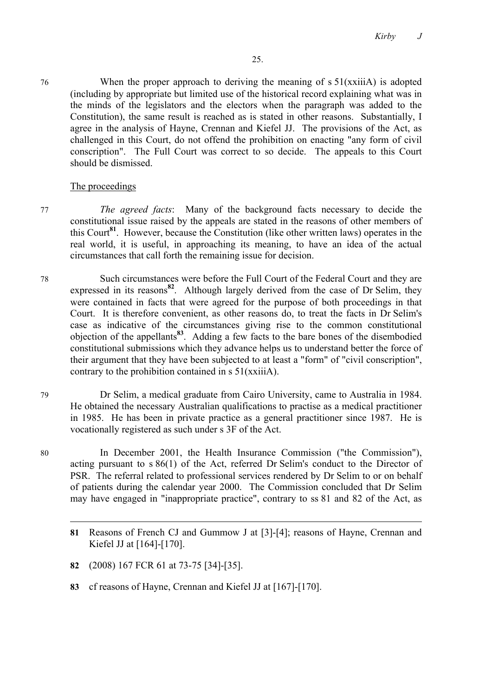*Kirby J*

76 When the proper approach to deriving the meaning of s 51(xxiiiA) is adopted (including by appropriate but limited use of the historical record explaining what was in the minds of the legislators and the electors when the paragraph was added to the Constitution), the same result is reached as is stated in other reasons. Substantially, I agree in the analysis of Hayne, Crennan and Kiefel JJ. The provisions of the Act, as challenged in this Court, do not offend the prohibition on enacting "any form of civil conscription". The Full Court was correct to so decide. The appeals to this Court should be dismissed.

### The proceedings

77 *The agreed facts*: Many of the background facts necessary to decide the constitutional issue raised by the appeals are stated in the reasons of other members of this Court**<sup>81</sup>**. However, because the Constitution (like other written laws) operates in the real world, it is useful, in approaching its meaning, to have an idea of the actual circumstances that call forth the remaining issue for decision.

78 Such circumstances were before the Full Court of the Federal Court and they are expressed in its reasons<sup>82</sup>. Although largely derived from the case of Dr Selim, they were contained in facts that were agreed for the purpose of both proceedings in that Court. It is therefore convenient, as other reasons do, to treat the facts in Dr Selim's case as indicative of the circumstances giving rise to the common constitutional objection of the appellants**<sup>83</sup>**. Adding a few facts to the bare bones of the disembodied constitutional submissions which they advance helps us to understand better the force of their argument that they have been subjected to at least a "form" of "civil conscription", contrary to the prohibition contained in s 51(xxiiiA).

79 Dr Selim, a medical graduate from Cairo University, came to Australia in 1984. He obtained the necessary Australian qualifications to practise as a medical practitioner in 1985. He has been in private practice as a general practitioner since 1987. He is vocationally registered as such under s 3F of the Act.

80 In December 2001, the Health Insurance Commission ("the Commission"), acting pursuant to s 86(1) of the Act, referred Dr Selim's conduct to the Director of PSR. The referral related to professional services rendered by Dr Selim to or on behalf of patients during the calendar year 2000. The Commission concluded that Dr Selim may have engaged in "inappropriate practice", contrary to ss 81 and 82 of the Act, as

- **82** (2008) 167 FCR 61 at 73-75 [34]-[35].
- **83** cf reasons of Hayne, Crennan and Kiefel JJ at [167]-[170].

**<sup>81</sup>** Reasons of French CJ and Gummow J at [3]-[4]; reasons of Hayne, Crennan and Kiefel JJ at [164]-[170].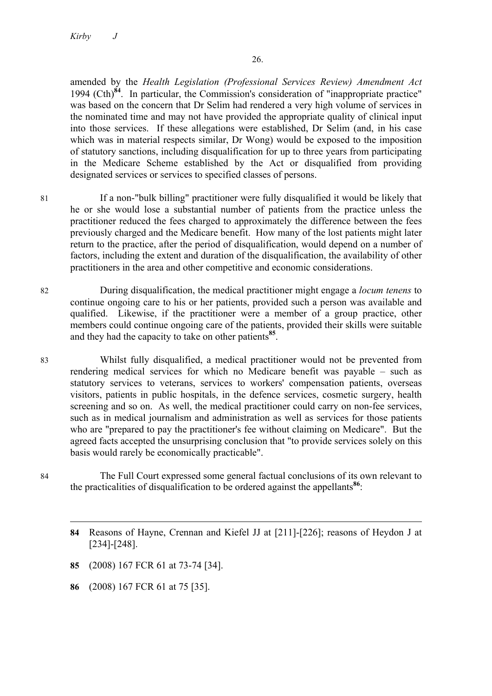amended by the *Health Legislation (Professional Services Review) Amendment Act*  1994 (Cth)**<sup>84</sup>**. In particular, the Commission's consideration of "inappropriate practice" was based on the concern that Dr Selim had rendered a very high volume of services in the nominated time and may not have provided the appropriate quality of clinical input into those services. If these allegations were established, Dr Selim (and, in his case which was in material respects similar, Dr Wong) would be exposed to the imposition of statutory sanctions, including disqualification for up to three years from participating in the Medicare Scheme established by the Act or disqualified from providing designated services or services to specified classes of persons.

- 81 If a non-"bulk billing" practitioner were fully disqualified it would be likely that he or she would lose a substantial number of patients from the practice unless the practitioner reduced the fees charged to approximately the difference between the fees previously charged and the Medicare benefit. How many of the lost patients might later return to the practice, after the period of disqualification, would depend on a number of factors, including the extent and duration of the disqualification, the availability of other practitioners in the area and other competitive and economic considerations.
- 82 During disqualification, the medical practitioner might engage a *locum tenens* to continue ongoing care to his or her patients, provided such a person was available and qualified. Likewise, if the practitioner were a member of a group practice, other members could continue ongoing care of the patients, provided their skills were suitable and they had the capacity to take on other patients**<sup>85</sup>**.
- 83 Whilst fully disqualified, a medical practitioner would not be prevented from rendering medical services for which no Medicare benefit was payable – such as statutory services to veterans, services to workers' compensation patients, overseas visitors, patients in public hospitals, in the defence services, cosmetic surgery, health screening and so on. As well, the medical practitioner could carry on non-fee services, such as in medical journalism and administration as well as services for those patients who are "prepared to pay the practitioner's fee without claiming on Medicare". But the agreed facts accepted the unsurprising conclusion that "to provide services solely on this basis would rarely be economically practicable".
- 84 The Full Court expressed some general factual conclusions of its own relevant to the practicalities of disqualification to be ordered against the appellants**<sup>86</sup>**:
	- **84** Reasons of Hayne, Crennan and Kiefel JJ at [211]-[226]; reasons of Heydon J at [234]-[248].
	- **85** (2008) 167 FCR 61 at 73-74 [34].
	- **86** (2008) 167 FCR 61 at 75 [35].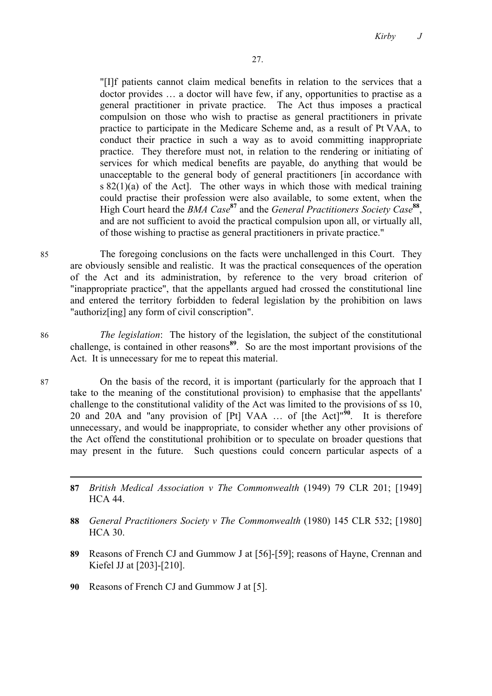"[I]f patients cannot claim medical benefits in relation to the services that a doctor provides … a doctor will have few, if any, opportunities to practise as a general practitioner in private practice. The Act thus imposes a practical compulsion on those who wish to practise as general practitioners in private practice to participate in the Medicare Scheme and, as a result of Pt VAA, to conduct their practice in such a way as to avoid committing inappropriate practice. They therefore must not, in relation to the rendering or initiating of services for which medical benefits are payable, do anything that would be unacceptable to the general body of general practitioners [in accordance with s  $82(1)(a)$  of the Act]. The other ways in which those with medical training could practise their profession were also available, to some extent, when the High Court heard the *BMA Case***<sup>87</sup>** and the *General Practitioners Society Case***<sup>88</sup>**, and are not sufficient to avoid the practical compulsion upon all, or virtually all, of those wishing to practise as general practitioners in private practice."

85 The foregoing conclusions on the facts were unchallenged in this Court. They are obviously sensible and realistic. It was the practical consequences of the operation of the Act and its administration, by reference to the very broad criterion of "inappropriate practice", that the appellants argued had crossed the constitutional line and entered the territory forbidden to federal legislation by the prohibition on laws "authoriz[ing] any form of civil conscription".

86 *The legislation*: The history of the legislation, the subject of the constitutional challenge, is contained in other reasons**<sup>89</sup>**. So are the most important provisions of the Act. It is unnecessary for me to repeat this material.

87 On the basis of the record, it is important (particularly for the approach that I take to the meaning of the constitutional provision) to emphasise that the appellants' challenge to the constitutional validity of the Act was limited to the provisions of ss 10, 20 and 20A and "any provision of [Pt] VAA ... of [the Act]<sup>"30</sup>. It is therefore unnecessary, and would be inappropriate, to consider whether any other provisions of the Act offend the constitutional prohibition or to speculate on broader questions that may present in the future. Such questions could concern particular aspects of a

- **87** *British Medical Association v The Commonwealth* (1949) 79 CLR 201; [1949] HCA 44.
- **88** *General Practitioners Society v The Commonwealth* (1980) 145 CLR 532; [1980] HCA 30.
- **89** Reasons of French CJ and Gummow J at [56]-[59]; reasons of Hayne, Crennan and Kiefel JJ at [203]-[210].
- **90** Reasons of French CJ and Gummow J at [5].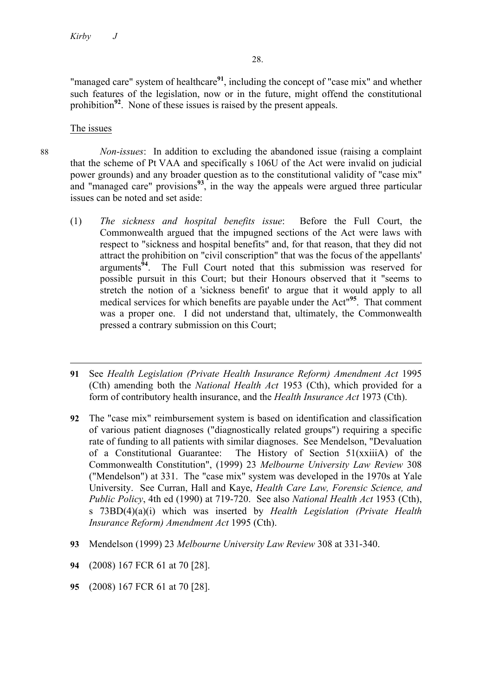"managed care" system of healthcare<sup>91</sup>, including the concept of "case mix" and whether such features of the legislation, now or in the future, might offend the constitutional prohibition**<sup>92</sup>**. None of these issues is raised by the present appeals.

## The issues

88 *Non-issues*: In addition to excluding the abandoned issue (raising a complaint that the scheme of Pt VAA and specifically s 106U of the Act were invalid on judicial power grounds) and any broader question as to the constitutional validity of "case mix" and "managed care" provisions**<sup>93</sup>**, in the way the appeals were argued three particular issues can be noted and set aside:

(1) *The sickness and hospital benefits issue*: Before the Full Court, the Commonwealth argued that the impugned sections of the Act were laws with respect to "sickness and hospital benefits" and, for that reason, that they did not attract the prohibition on "civil conscription" that was the focus of the appellants' arguments**<sup>94</sup>**. The Full Court noted that this submission was reserved for possible pursuit in this Court; but their Honours observed that it "seems to stretch the notion of a 'sickness benefit' to argue that it would apply to all medical services for which benefits are payable under the Act"**<sup>95</sup>**. That comment was a proper one. I did not understand that, ultimately, the Commonwealth pressed a contrary submission on this Court;

- **92** The "case mix" reimbursement system is based on identification and classification of various patient diagnoses ("diagnostically related groups") requiring a specific rate of funding to all patients with similar diagnoses. See Mendelson, "Devaluation of a Constitutional Guarantee: The History of Section 51(xxiiiA) of the Commonwealth Constitution", (1999) 23 *Melbourne University Law Review* 308 ("Mendelson") at 331. The "case mix" system was developed in the 1970s at Yale University. See Curran, Hall and Kaye, *Health Care Law, Forensic Science, and Public Policy*, 4th ed (1990) at 719-720. See also *National Health Act* 1953 (Cth), s 73BD(4)(a)(i) which was inserted by *Health Legislation (Private Health Insurance Reform) Amendment Act* 1995 (Cth).
- **93** Mendelson (1999) 23 *Melbourne University Law Review* 308 at 331-340.
- **94** (2008) 167 FCR 61 at 70 [28].
- **95** (2008) 167 FCR 61 at 70 [28].

l **91** See *Health Legislation (Private Health Insurance Reform) Amendment Act* 1995 (Cth) amending both the *National Health Act* 1953 (Cth), which provided for a form of contributory health insurance, and the *Health Insurance Act* 1973 (Cth).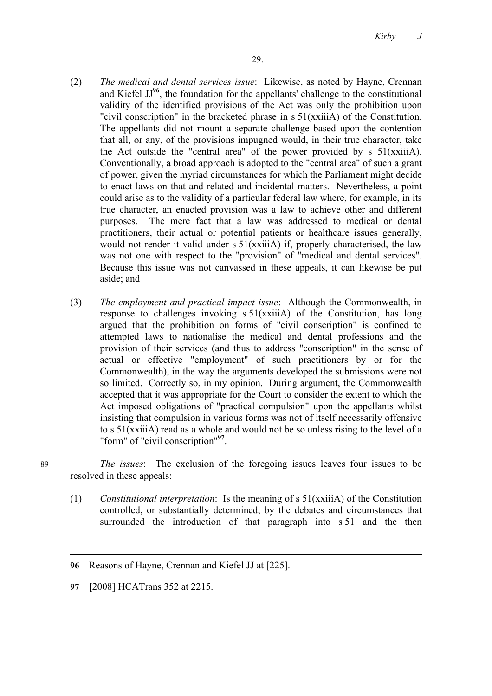- (2) *The medical and dental services issue*: Likewise, as noted by Hayne, Crennan and Kiefel JJ**<sup>96</sup>**, the foundation for the appellants' challenge to the constitutional validity of the identified provisions of the Act was only the prohibition upon "civil conscription" in the bracketed phrase in s 51(xxiiiA) of the Constitution. The appellants did not mount a separate challenge based upon the contention that all, or any, of the provisions impugned would, in their true character, take the Act outside the "central area" of the power provided by  $s$  51(xxiiiA). Conventionally, a broad approach is adopted to the "central area" of such a grant of power, given the myriad circumstances for which the Parliament might decide to enact laws on that and related and incidental matters. Nevertheless, a point could arise as to the validity of a particular federal law where, for example, in its true character, an enacted provision was a law to achieve other and different purposes. The mere fact that a law was addressed to medical or dental practitioners, their actual or potential patients or healthcare issues generally, would not render it valid under s  $51(xxiii)$  if, properly characterised, the law was not one with respect to the "provision" of "medical and dental services". Because this issue was not canvassed in these appeals, it can likewise be put aside; and
- (3) *The employment and practical impact issue*: Although the Commonwealth, in response to challenges invoking s 51(xxiiiA) of the Constitution, has long argued that the prohibition on forms of "civil conscription" is confined to attempted laws to nationalise the medical and dental professions and the provision of their services (and thus to address "conscription" in the sense of actual or effective "employment" of such practitioners by or for the Commonwealth), in the way the arguments developed the submissions were not so limited. Correctly so, in my opinion. During argument, the Commonwealth accepted that it was appropriate for the Court to consider the extent to which the Act imposed obligations of "practical compulsion" upon the appellants whilst insisting that compulsion in various forms was not of itself necessarily offensive to s 51(xxiiiA) read as a whole and would not be so unless rising to the level of a "form" of "civil conscription"**<sup>97</sup>**.

89 *The issues*: The exclusion of the foregoing issues leaves four issues to be resolved in these appeals:

(1) *Constitutional interpretation*: Is the meaning of s 51(xxiiiA) of the Constitution controlled, or substantially determined, by the debates and circumstances that surrounded the introduction of that paragraph into s 51 and the then

**<sup>96</sup>** Reasons of Hayne, Crennan and Kiefel JJ at [225].

**<sup>97</sup>** [2008] HCATrans 352 at 2215.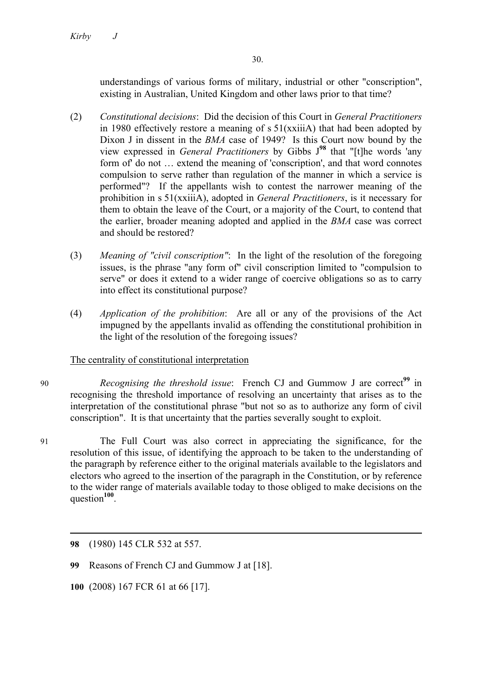understandings of various forms of military, industrial or other "conscription", existing in Australian, United Kingdom and other laws prior to that time?

- (2) *Constitutional decisions*: Did the decision of this Court in *General Practitioners* in 1980 effectively restore a meaning of s 51(xxiiiA) that had been adopted by Dixon J in dissent in the *BMA* case of 1949? Is this Court now bound by the view expressed in *General Practitioners* by Gibbs J**<sup>98</sup>** that "[t]he words 'any form of' do not … extend the meaning of 'conscription', and that word connotes compulsion to serve rather than regulation of the manner in which a service is performed"? If the appellants wish to contest the narrower meaning of the prohibition in s 51(xxiiiA), adopted in *General Practitioners*, is it necessary for them to obtain the leave of the Court, or a majority of the Court, to contend that the earlier, broader meaning adopted and applied in the *BMA* case was correct and should be restored?
- (3) *Meaning of "civil conscription"*: In the light of the resolution of the foregoing issues, is the phrase "any form of" civil conscription limited to "compulsion to serve" or does it extend to a wider range of coercive obligations so as to carry into effect its constitutional purpose?
- (4) *Application of the prohibition*: Are all or any of the provisions of the Act impugned by the appellants invalid as offending the constitutional prohibition in the light of the resolution of the foregoing issues?

# The centrality of constitutional interpretation

- 90 *Recognising the threshold issue*: French CJ and Gummow J are correct<sup>99</sup> in recognising the threshold importance of resolving an uncertainty that arises as to the interpretation of the constitutional phrase "but not so as to authorize any form of civil conscription". It is that uncertainty that the parties severally sought to exploit.
- 91 The Full Court was also correct in appreciating the significance, for the resolution of this issue, of identifying the approach to be taken to the understanding of the paragraph by reference either to the original materials available to the legislators and electors who agreed to the insertion of the paragraph in the Constitution, or by reference to the wider range of materials available today to those obliged to make decisions on the question**<sup>100</sup>**.

- **99** Reasons of French CJ and Gummow J at [18].
- **100** (2008) 167 FCR 61 at 66 [17].

**<sup>98</sup>** (1980) 145 CLR 532 at 557.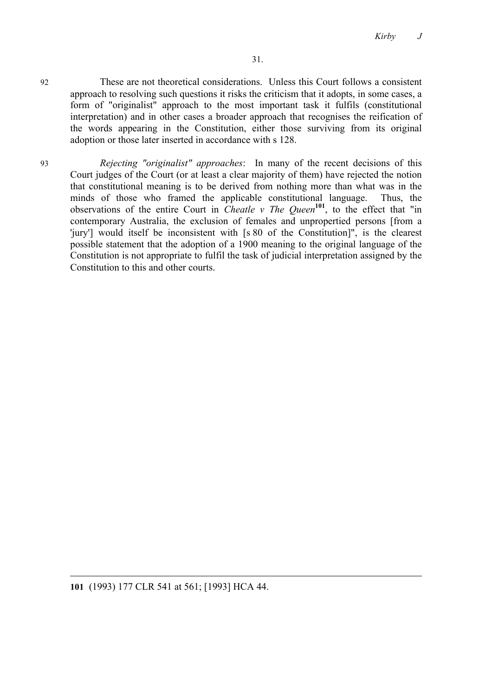*Kirby J*

- 92 These are not theoretical considerations. Unless this Court follows a consistent approach to resolving such questions it risks the criticism that it adopts, in some cases, a form of "originalist" approach to the most important task it fulfils (constitutional interpretation) and in other cases a broader approach that recognises the reification of the words appearing in the Constitution, either those surviving from its original adoption or those later inserted in accordance with s 128.
- 93 *Rejecting "originalist" approaches*: In many of the recent decisions of this Court judges of the Court (or at least a clear majority of them) have rejected the notion that constitutional meaning is to be derived from nothing more than what was in the minds of those who framed the applicable constitutional language. Thus, the observations of the entire Court in *Cheatle v The Queen***<sup>101</sup>**, to the effect that "in contemporary Australia, the exclusion of females and unpropertied persons [from a 'jury'] would itself be inconsistent with [s 80 of the Constitution]", is the clearest possible statement that the adoption of a 1900 meaning to the original language of the Constitution is not appropriate to fulfil the task of judicial interpretation assigned by the Constitution to this and other courts.

**<sup>101</sup>** (1993) 177 CLR 541 at 561; [1993] HCA 44.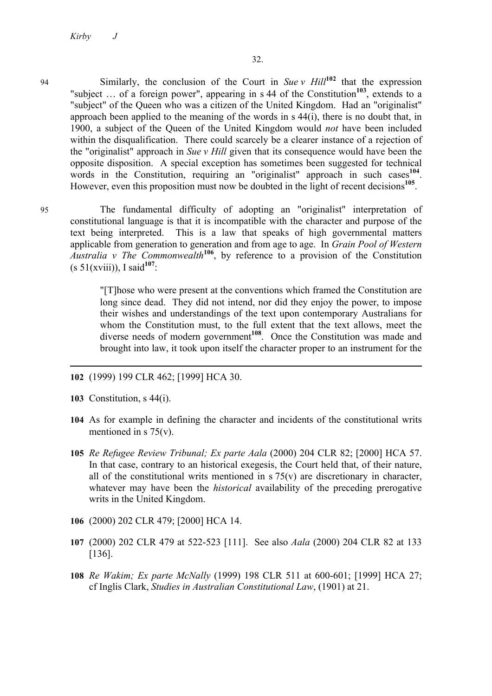<sup>94</sup> Similarly, the conclusion of the Court in *Sue v Hill***<sup>102</sup>** that the expression "subject ... of a foreign power", appearing in s 44 of the Constitution<sup>103</sup>, extends to a "subject" of the Queen who was a citizen of the United Kingdom. Had an "originalist" approach been applied to the meaning of the words in s 44(i), there is no doubt that, in 1900, a subject of the Queen of the United Kingdom would *not* have been included within the disqualification. There could scarcely be a clearer instance of a rejection of the "originalist" approach in *Sue v Hill* given that its consequence would have been the opposite disposition. A special exception has sometimes been suggested for technical words in the Constitution, requiring an "originalist" approach in such cases<sup>104</sup>. However, even this proposition must now be doubted in the light of recent decisions<sup>105</sup>.

95 The fundamental difficulty of adopting an "originalist" interpretation of constitutional language is that it is incompatible with the character and purpose of the text being interpreted. This is a law that speaks of high governmental matters applicable from generation to generation and from age to age. In *Grain Pool of Western Australia v The Commonwealth***<sup>106</sup>**, by reference to a provision of the Constitution  $(s 51(xviii))$ , I said<sup>107</sup>:

> "[T]hose who were present at the conventions which framed the Constitution are long since dead. They did not intend, nor did they enjoy the power, to impose their wishes and understandings of the text upon contemporary Australians for whom the Constitution must, to the full extent that the text allows, meet the diverse needs of modern government**<sup>108</sup>**. Once the Constitution was made and brought into law, it took upon itself the character proper to an instrument for the

- **102** (1999) 199 CLR 462; [1999] HCA 30.
- **103** Constitution, s 44(i).

- **104** As for example in defining the character and incidents of the constitutional writs mentioned in s 75(v).
- **105** *Re Refugee Review Tribunal; Ex parte Aala* (2000) 204 CLR 82; [2000] HCA 57. In that case, contrary to an historical exegesis, the Court held that, of their nature, all of the constitutional writs mentioned in  $s$  75(v) are discretionary in character, whatever may have been the *historical* availability of the preceding prerogative writs in the United Kingdom.
- **106** (2000) 202 CLR 479; [2000] HCA 14.
- **107** (2000) 202 CLR 479 at 522-523 [111]. See also *Aala* (2000) 204 CLR 82 at 133 [136].
- **108** *Re Wakim; Ex parte McNally* (1999) 198 CLR 511 at 600-601; [1999] HCA 27; cf Inglis Clark, *Studies in Australian Constitutional Law*, (1901) at 21.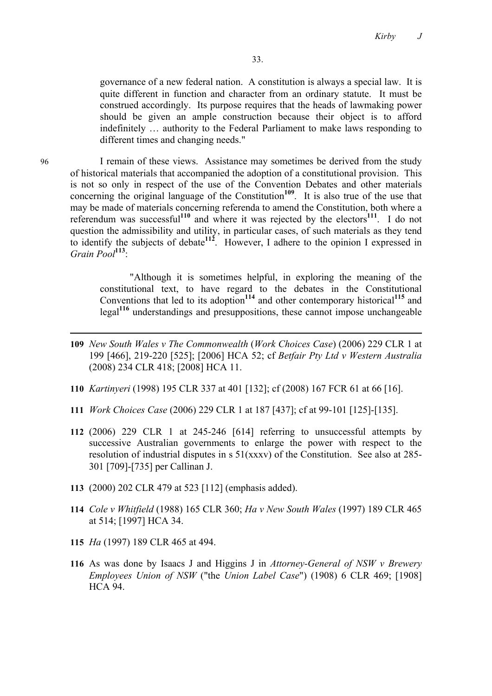governance of a new federal nation. A constitution is always a special law. It is quite different in function and character from an ordinary statute. It must be construed accordingly. Its purpose requires that the heads of lawmaking power should be given an ample construction because their object is to afford indefinitely … authority to the Federal Parliament to make laws responding to different times and changing needs."

96 I remain of these views. Assistance may sometimes be derived from the study of historical materials that accompanied the adoption of a constitutional provision. This is not so only in respect of the use of the Convention Debates and other materials concerning the original language of the Constitution<sup>109</sup>. It is also true of the use that may be made of materials concerning referenda to amend the Constitution, both where a referendum was successful**<sup>110</sup>** and where it was rejected by the electors**<sup>111</sup>**. I do not question the admissibility and utility, in particular cases, of such materials as they tend to identify the subjects of debate**<sup>112</sup>**. However, I adhere to the opinion I expressed in *Grain Pool***<sup>113</sup>**:

> "Although it is sometimes helpful, in exploring the meaning of the constitutional text, to have regard to the debates in the Constitutional Conventions that led to its adoption**<sup>114</sup>** and other contemporary historical**<sup>115</sup>** and legal**<sup>116</sup>** understandings and presuppositions, these cannot impose unchangeable

- **109** *New South Wales v The Commonwealth* (*Work Choices Case*) (2006) 229 CLR 1 at 199 [466], 219-220 [525]; [2006] HCA 52; cf *Betfair Pty Ltd v Western Australia*  (2008) 234 CLR 418; [2008] HCA 11.
- **110** *Kartinyeri* (1998) 195 CLR 337 at 401 [132]; cf (2008) 167 FCR 61 at 66 [16].
- **111** *Work Choices Case* (2006) 229 CLR 1 at 187 [437]; cf at 99-101 [125]-[135].
- **112** (2006) 229 CLR 1 at 245-246 [614] referring to unsuccessful attempts by successive Australian governments to enlarge the power with respect to the resolution of industrial disputes in s 51(xxxv) of the Constitution. See also at 285- 301 [709]-[735] per Callinan J.
- **113** (2000) 202 CLR 479 at 523 [112] (emphasis added).
- **114** *Cole v Whitfield* (1988) 165 CLR 360; *Ha v New South Wales* (1997) 189 CLR 465 at 514; [1997] HCA 34.
- **115** *Ha* (1997) 189 CLR 465 at 494.
- **116** As was done by Isaacs J and Higgins J in *Attorney-General of NSW v Brewery Employees Union of NSW* ("the *Union Label Case*") (1908) 6 CLR 469; [1908] **HCA 94**

l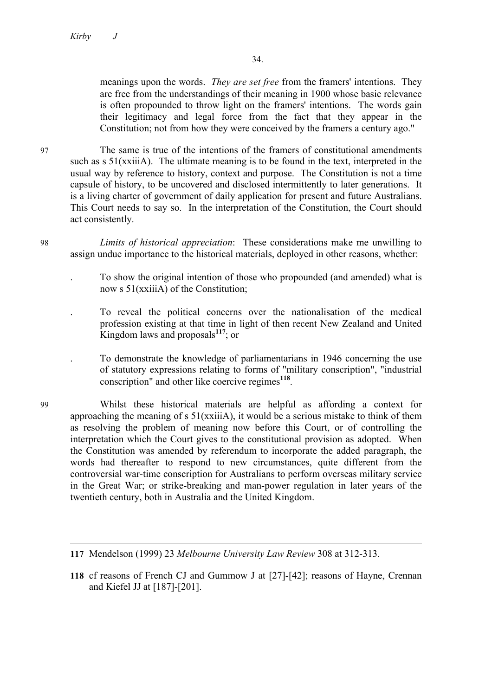meanings upon the words. *They are set free* from the framers' intentions. They are free from the understandings of their meaning in 1900 whose basic relevance is often propounded to throw light on the framers' intentions. The words gain their legitimacy and legal force from the fact that they appear in the Constitution; not from how they were conceived by the framers a century ago."

97 The same is true of the intentions of the framers of constitutional amendments such as s 51(xxiiiA). The ultimate meaning is to be found in the text, interpreted in the usual way by reference to history, context and purpose. The Constitution is not a time capsule of history, to be uncovered and disclosed intermittently to later generations. It is a living charter of government of daily application for present and future Australians. This Court needs to say so. In the interpretation of the Constitution, the Court should act consistently.

- 98 *Limits of historical appreciation*: These considerations make me unwilling to assign undue importance to the historical materials, deployed in other reasons, whether:
	- . To show the original intention of those who propounded (and amended) what is now s 51(xxiiiA) of the Constitution;
	- . To reveal the political concerns over the nationalisation of the medical profession existing at that time in light of then recent New Zealand and United Kingdom laws and proposals**<sup>117</sup>**; or
	- . To demonstrate the knowledge of parliamentarians in 1946 concerning the use of statutory expressions relating to forms of "military conscription", "industrial conscription" and other like coercive regimes**<sup>118</sup>**.
- 99 Whilst these historical materials are helpful as affording a context for approaching the meaning of  $s \frac{51}{xiiA}$ , it would be a serious mistake to think of them as resolving the problem of meaning now before this Court, or of controlling the interpretation which the Court gives to the constitutional provision as adopted. When the Constitution was amended by referendum to incorporate the added paragraph, the words had thereafter to respond to new circumstances, quite different from the controversial war-time conscription for Australians to perform overseas military service in the Great War; or strike-breaking and man-power regulation in later years of the twentieth century, both in Australia and the United Kingdom.

**118** cf reasons of French CJ and Gummow J at [27]-[42]; reasons of Hayne, Crennan and Kiefel JJ at [187]-[201].

**<sup>117</sup>** Mendelson (1999) 23 *Melbourne University Law Review* 308 at 312-313.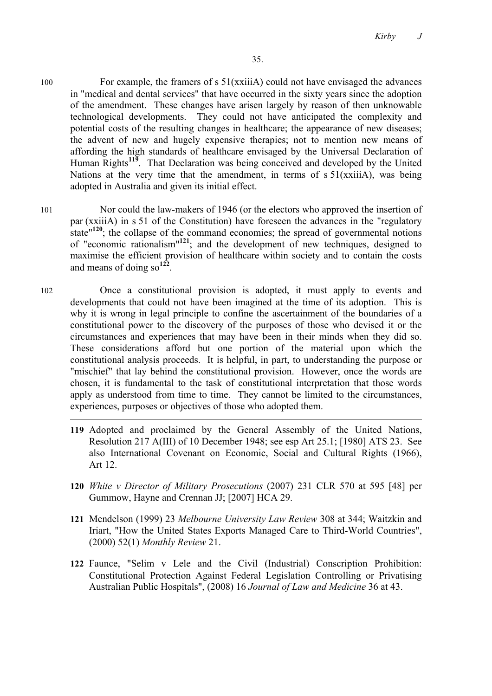- 100 For example, the framers of s 51(xxiiiA) could not have envisaged the advances in "medical and dental services" that have occurred in the sixty years since the adoption of the amendment. These changes have arisen largely by reason of then unknowable technological developments. They could not have anticipated the complexity and potential costs of the resulting changes in healthcare; the appearance of new diseases; the advent of new and hugely expensive therapies; not to mention new means of affording the high standards of healthcare envisaged by the Universal Declaration of Human Rights**<sup>119</sup>**. That Declaration was being conceived and developed by the United Nations at the very time that the amendment, in terms of  $s 51(xxii)$ , was being adopted in Australia and given its initial effect.
- 101 Nor could the law-makers of 1946 (or the electors who approved the insertion of par (xxiiiA) in s 51 of the Constitution) have foreseen the advances in the "regulatory state<sup>"120</sup>; the collapse of the command economies; the spread of governmental notions of "economic rationalism"**<sup>121</sup>**; and the development of new techniques, designed to maximise the efficient provision of healthcare within society and to contain the costs and means of doing so**<sup>122</sup>**.
- 102 Once a constitutional provision is adopted, it must apply to events and developments that could not have been imagined at the time of its adoption. This is why it is wrong in legal principle to confine the ascertainment of the boundaries of a constitutional power to the discovery of the purposes of those who devised it or the circumstances and experiences that may have been in their minds when they did so. These considerations afford but one portion of the material upon which the constitutional analysis proceeds. It is helpful, in part, to understanding the purpose or "mischief" that lay behind the constitutional provision. However, once the words are chosen, it is fundamental to the task of constitutional interpretation that those words apply as understood from time to time. They cannot be limited to the circumstances, experiences, purposes or objectives of those who adopted them.

- **119** Adopted and proclaimed by the General Assembly of the United Nations, Resolution 217 A(III) of 10 December 1948; see esp Art 25.1; [1980] ATS 23. See also International Covenant on Economic, Social and Cultural Rights (1966), Art 12.
- **120** *White v Director of Military Prosecutions* (2007) 231 CLR 570 at 595 [48] per Gummow, Hayne and Crennan JJ; [2007] HCA 29.
- **121** Mendelson (1999) 23 *Melbourne University Law Review* 308 at 344; Waitzkin and Iriart, "How the United States Exports Managed Care to Third-World Countries", (2000) 52(1) *Monthly Review* 21.
- **122** Faunce, "Selim v Lele and the Civil (Industrial) Conscription Prohibition: Constitutional Protection Against Federal Legislation Controlling or Privatising Australian Public Hospitals", (2008) 16 *Journal of Law and Medicine* 36 at 43.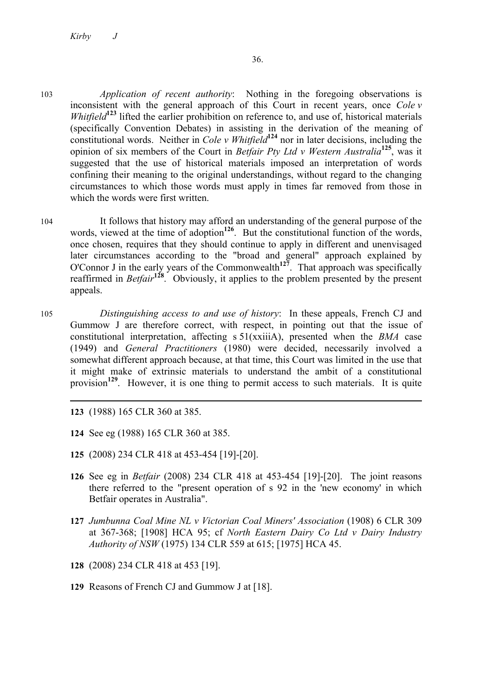- 103 *Application of recent authority*: Nothing in the foregoing observations is inconsistent with the general approach of this Court in recent years, once *Cole v Whitfield***<sup>123</sup>** lifted the earlier prohibition on reference to, and use of, historical materials (specifically Convention Debates) in assisting in the derivation of the meaning of constitutional words. Neither in *Cole v Whitfield*<sup>124</sup> nor in later decisions, including the opinion of six members of the Court in *Betfair Pty Ltd v Western Australia***<sup>125</sup>**, was it suggested that the use of historical materials imposed an interpretation of words confining their meaning to the original understandings, without regard to the changing circumstances to which those words must apply in times far removed from those in which the words were first written.
- 104 It follows that history may afford an understanding of the general purpose of the words, viewed at the time of adoption<sup>126</sup>. But the constitutional function of the words, once chosen, requires that they should continue to apply in different and unenvisaged later circumstances according to the "broad and general" approach explained by O'Connor J in the early years of the Commonwealth**<sup>127</sup>**. That approach was specifically reaffirmed in *Betfair***<sup>128</sup>**. Obviously, it applies to the problem presented by the present appeals.
- 105 *Distinguishing access to and use of history*: In these appeals, French CJ and Gummow J are therefore correct, with respect, in pointing out that the issue of constitutional interpretation, affecting s 51(xxiiiA), presented when the *BMA* case (1949) and *General Practitioners* (1980) were decided, necessarily involved a somewhat different approach because, at that time, this Court was limited in the use that it might make of extrinsic materials to understand the ambit of a constitutional provision<sup>129</sup>. However, it is one thing to permit access to such materials. It is quite
	- **123** (1988) 165 CLR 360 at 385.

- **124** See eg (1988) 165 CLR 360 at 385.
- **125** (2008) 234 CLR 418 at 453-454 [19]-[20].
- **126** See eg in *Betfair* (2008) 234 CLR 418 at 453-454 [19]-[20]. The joint reasons there referred to the "present operation of s 92 in the 'new economy' in which Betfair operates in Australia".
- **127** *Jumbunna Coal Mine NL v Victorian Coal Miners' Association* (1908) 6 CLR 309 at 367-368; [1908] HCA 95; cf *North Eastern Dairy Co Ltd v Dairy Industry Authority of NSW* (1975) 134 CLR 559 at 615; [1975] HCA 45.
- **128** (2008) 234 CLR 418 at 453 [19].
- **129** Reasons of French CJ and Gummow J at [18].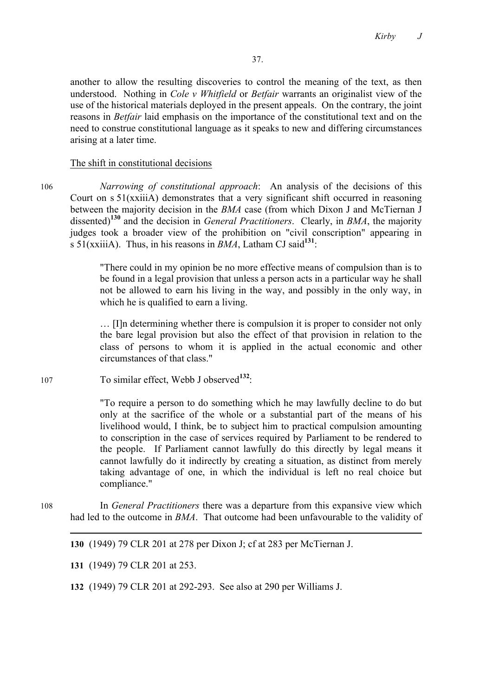another to allow the resulting discoveries to control the meaning of the text, as then understood. Nothing in *Cole v Whitfield* or *Betfair* warrants an originalist view of the use of the historical materials deployed in the present appeals. On the contrary, the joint reasons in *Betfair* laid emphasis on the importance of the constitutional text and on the need to construe constitutional language as it speaks to new and differing circumstances arising at a later time.

#### The shift in constitutional decisions

106 *Narrowing of constitutional approach*: An analysis of the decisions of this Court on s 51(xxiiiA) demonstrates that a very significant shift occurred in reasoning between the majority decision in the *BMA* case (from which Dixon J and McTiernan J dissented)**<sup>130</sup>** and the decision in *General Practitioners*. Clearly, in *BMA*, the majority judges took a broader view of the prohibition on "civil conscription" appearing in s 51(xxiiiA). Thus, in his reasons in *BMA*, Latham CJ said**<sup>131</sup>**:

> "There could in my opinion be no more effective means of compulsion than is to be found in a legal provision that unless a person acts in a particular way he shall not be allowed to earn his living in the way, and possibly in the only way, in which he is qualified to earn a living.

> … [I]n determining whether there is compulsion it is proper to consider not only the bare legal provision but also the effect of that provision in relation to the class of persons to whom it is applied in the actual economic and other circumstances of that class."

<sup>107</sup> To similar effect, Webb J observed**<sup>132</sup>**:

"To require a person to do something which he may lawfully decline to do but only at the sacrifice of the whole or a substantial part of the means of his livelihood would, I think, be to subject him to practical compulsion amounting to conscription in the case of services required by Parliament to be rendered to the people. If Parliament cannot lawfully do this directly by legal means it cannot lawfully do it indirectly by creating a situation, as distinct from merely taking advantage of one, in which the individual is left no real choice but compliance."

108 In *General Practitioners* there was a departure from this expansive view which had led to the outcome in *BMA*. That outcome had been unfavourable to the validity of

**130** (1949) 79 CLR 201 at 278 per Dixon J; cf at 283 per McTiernan J.

**131** (1949) 79 CLR 201 at 253.

**132** (1949) 79 CLR 201 at 292-293. See also at 290 per Williams J.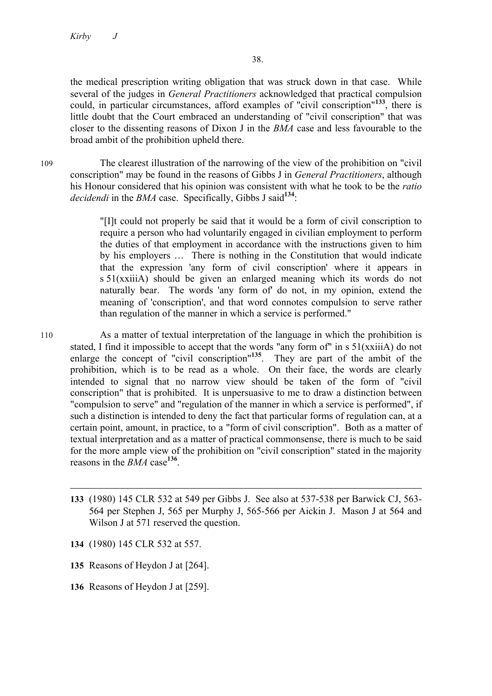the medical prescription writing obligation that was struck down in that case. While several of the judges in *General Practitioners* acknowledged that practical compulsion could, in particular circumstances, afford examples of "civil conscription"**<sup>133</sup>**, there is little doubt that the Court embraced an understanding of "civil conscription" that was closer to the dissenting reasons of Dixon J in the *BMA* case and less favourable to the broad ambit of the prohibition upheld there.

109 The clearest illustration of the narrowing of the view of the prohibition on "civil conscription" may be found in the reasons of Gibbs J in *General Practitioners*, although his Honour considered that his opinion was consistent with what he took to be the *ratio decidendi* in the *BMA* case. Specifically, Gibbs J said**<sup>134</sup>**:

> "[I]t could not properly be said that it would be a form of civil conscription to require a person who had voluntarily engaged in civilian employment to perform the duties of that employment in accordance with the instructions given to him by his employers … There is nothing in the Constitution that would indicate that the expression 'any form of civil conscription' where it appears in s 51(xxiiiA) should be given an enlarged meaning which its words do not naturally bear. The words 'any form of' do not, in my opinion, extend the meaning of 'conscription', and that word connotes compulsion to serve rather than regulation of the manner in which a service is performed."

- 110 As a matter of textual interpretation of the language in which the prohibition is stated, I find it impossible to accept that the words "any form of" in s 51(xxiiiA) do not enlarge the concept of "civil conscription"**<sup>135</sup>**. They are part of the ambit of the prohibition, which is to be read as a whole. On their face, the words are clearly intended to signal that no narrow view should be taken of the form of "civil conscription" that is prohibited. It is unpersuasive to me to draw a distinction between "compulsion to serve" and "regulation of the manner in which a service is performed", if such a distinction is intended to deny the fact that particular forms of regulation can, at a certain point, amount, in practice, to a "form of civil conscription". Both as a matter of textual interpretation and as a matter of practical commonsense, there is much to be said for the more ample view of the prohibition on "civil conscription" stated in the majority reasons in the *BMA* case**<sup>136</sup>**.
	- **133** (1980) 145 CLR 532 at 549 per Gibbs J. See also at 537-538 per Barwick CJ, 563- 564 per Stephen J, 565 per Murphy J, 565-566 per Aickin J. Mason J at 564 and Wilson J at 571 reserved the question.
	- **134** (1980) 145 CLR 532 at 557.

 $\overline{a}$ 

- **135** Reasons of Heydon J at [264].
- **136** Reasons of Heydon J at [259].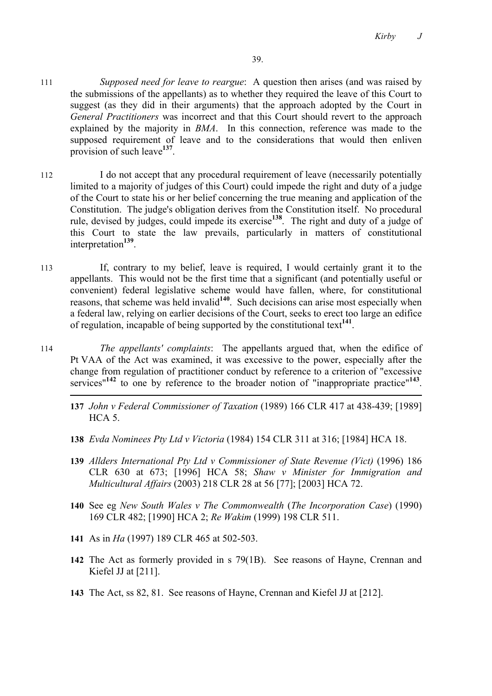- 111 *Supposed need for leave to reargue*: A question then arises (and was raised by the submissions of the appellants) as to whether they required the leave of this Court to suggest (as they did in their arguments) that the approach adopted by the Court in *General Practitioners* was incorrect and that this Court should revert to the approach explained by the majority in *BMA*. In this connection, reference was made to the supposed requirement of leave and to the considerations that would then enliven provision of such leave**<sup>137</sup>**.
- 112 I do not accept that any procedural requirement of leave (necessarily potentially limited to a majority of judges of this Court) could impede the right and duty of a judge of the Court to state his or her belief concerning the true meaning and application of the Constitution. The judge's obligation derives from the Constitution itself. No procedural rule, devised by judges, could impede its exercise**<sup>138</sup>**. The right and duty of a judge of this Court to state the law prevails, particularly in matters of constitutional interpretation**<sup>139</sup>**.
- 113 If, contrary to my belief, leave is required, I would certainly grant it to the appellants. This would not be the first time that a significant (and potentially useful or convenient) federal legislative scheme would have fallen, where, for constitutional reasons, that scheme was held invalid<sup>140</sup>. Such decisions can arise most especially when a federal law, relying on earlier decisions of the Court, seeks to erect too large an edifice of regulation, incapable of being supported by the constitutional text**<sup>141</sup>**.
- 114 *The appellants' complaints*: The appellants argued that, when the edifice of Pt VAA of the Act was examined, it was excessive to the power, especially after the change from regulation of practitioner conduct by reference to a criterion of "excessive services"**<sup>142</sup>** to one by reference to the broader notion of "inappropriate practice"**<sup>143</sup>**.
	- **137** *John v Federal Commissioner of Taxation* (1989) 166 CLR 417 at 438-439; [1989]  $HCA$  5.
	- **138** *Evda Nominees Pty Ltd v Victoria* (1984) 154 CLR 311 at 316; [1984] HCA 18.
	- **139** *Allders International Pty Ltd v Commissioner of State Revenue (Vict)* (1996) 186 CLR 630 at 673; [1996] HCA 58; *Shaw v Minister for Immigration and Multicultural Affairs* (2003) 218 CLR 28 at 56 [77]; [2003] HCA 72.
	- **140** See eg *New South Wales v The Commonwealth* (*The Incorporation Case*) (1990) 169 CLR 482; [1990] HCA 2; *Re Wakim* (1999) 198 CLR 511.
	- **141** As in *Ha* (1997) 189 CLR 465 at 502-503.
	- **142** The Act as formerly provided in s 79(1B). See reasons of Hayne, Crennan and Kiefel JJ at [211].
	- **143** The Act, ss 82, 81. See reasons of Hayne, Crennan and Kiefel JJ at [212].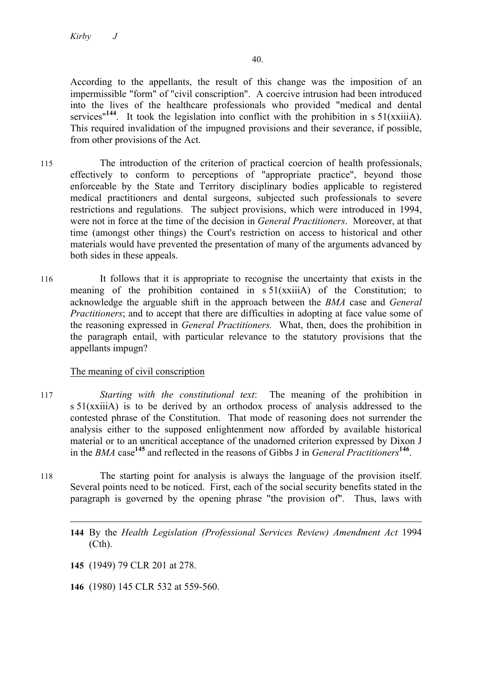According to the appellants, the result of this change was the imposition of an impermissible "form" of "civil conscription". A coercive intrusion had been introduced into the lives of the healthcare professionals who provided "medical and dental services<sup>"144</sup>. It took the legislation into conflict with the prohibition in s  $51(xxii)$ . This required invalidation of the impugned provisions and their severance, if possible, from other provisions of the Act.

- 115 The introduction of the criterion of practical coercion of health professionals, effectively to conform to perceptions of "appropriate practice", beyond those enforceable by the State and Territory disciplinary bodies applicable to registered medical practitioners and dental surgeons, subjected such professionals to severe restrictions and regulations. The subject provisions, which were introduced in 1994, were not in force at the time of the decision in *General Practitioners*. Moreover, at that time (amongst other things) the Court's restriction on access to historical and other materials would have prevented the presentation of many of the arguments advanced by both sides in these appeals.
- 116 It follows that it is appropriate to recognise the uncertainty that exists in the meaning of the prohibition contained in s 51(xxiiiA) of the Constitution; to acknowledge the arguable shift in the approach between the *BMA* case and *General Practitioners*; and to accept that there are difficulties in adopting at face value some of the reasoning expressed in *General Practitioners.* What, then, does the prohibition in the paragraph entail, with particular relevance to the statutory provisions that the appellants impugn?

# The meaning of civil conscription

- 117 *Starting with the constitutional text*: The meaning of the prohibition in s 51(xxiiiA) is to be derived by an orthodox process of analysis addressed to the contested phrase of the Constitution. That mode of reasoning does not surrender the analysis either to the supposed enlightenment now afforded by available historical material or to an uncritical acceptance of the unadorned criterion expressed by Dixon J in the *BMA* case**<sup>145</sup>** and reflected in the reasons of Gibbs J in *General Practitioners***<sup>146</sup>**.
- 118 The starting point for analysis is always the language of the provision itself. Several points need to be noticed. First, each of the social security benefits stated in the paragraph is governed by the opening phrase "the provision of". Thus, laws with
	- $\overline{a}$ **144** By the *Health Legislation (Professional Services Review) Amendment Act* 1994 (Cth).

**145** (1949) 79 CLR 201 at 278.

**146** (1980) 145 CLR 532 at 559-560.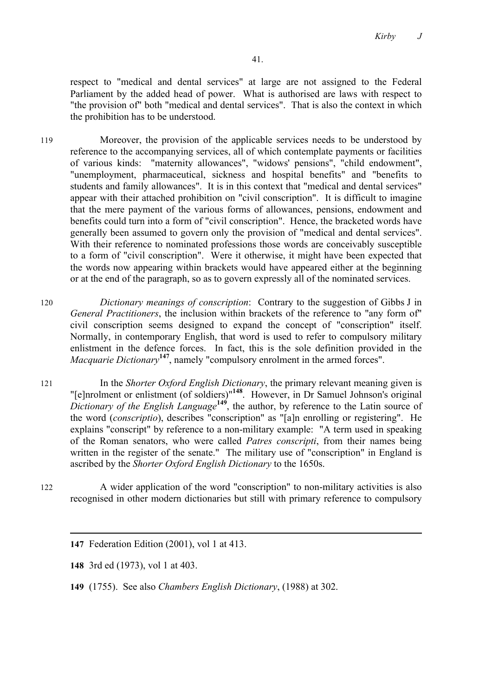*Kirby J*

respect to "medical and dental services" at large are not assigned to the Federal Parliament by the added head of power. What is authorised are laws with respect to "the provision of" both "medical and dental services". That is also the context in which the prohibition has to be understood.

119 Moreover, the provision of the applicable services needs to be understood by reference to the accompanying services, all of which contemplate payments or facilities of various kinds: "maternity allowances", "widows' pensions", "child endowment", "unemployment, pharmaceutical, sickness and hospital benefits" and "benefits to students and family allowances". It is in this context that "medical and dental services" appear with their attached prohibition on "civil conscription". It is difficult to imagine that the mere payment of the various forms of allowances, pensions, endowment and benefits could turn into a form of "civil conscription". Hence, the bracketed words have generally been assumed to govern only the provision of "medical and dental services". With their reference to nominated professions those words are conceivably susceptible to a form of "civil conscription". Were it otherwise, it might have been expected that the words now appearing within brackets would have appeared either at the beginning or at the end of the paragraph, so as to govern expressly all of the nominated services.

120 *Dictionary meanings of conscription*: Contrary to the suggestion of Gibbs J in *General Practitioners*, the inclusion within brackets of the reference to "any form of" civil conscription seems designed to expand the concept of "conscription" itself. Normally, in contemporary English, that word is used to refer to compulsory military enlistment in the defence forces. In fact, this is the sole definition provided in the *Macquarie Dictionary*<sup>147</sup>, namely "compulsory enrolment in the armed forces".

121 In the *Shorter Oxford English Dictionary*, the primary relevant meaning given is "[e]nrolment or enlistment (of soldiers)"**<sup>148</sup>**. However, in Dr Samuel Johnson's original *Dictionary of the English Language***<sup>149</sup>**, the author, by reference to the Latin source of the word (*conscriptio*), describes "conscription" as "[a]n enrolling or registering". He explains "conscript" by reference to a non-military example: "A term used in speaking of the Roman senators, who were called *Patres conscripti*, from their names being written in the register of the senate." The military use of "conscription" in England is ascribed by the *Shorter Oxford English Dictionary* to the 1650s.

122 A wider application of the word "conscription" to non-military activities is also recognised in other modern dictionaries but still with primary reference to compulsory

**147** Federation Edition (2001), vol 1 at 413.

**148** 3rd ed (1973), vol 1 at 403.

**149** (1755). See also *Chambers English Dictionary*, (1988) at 302.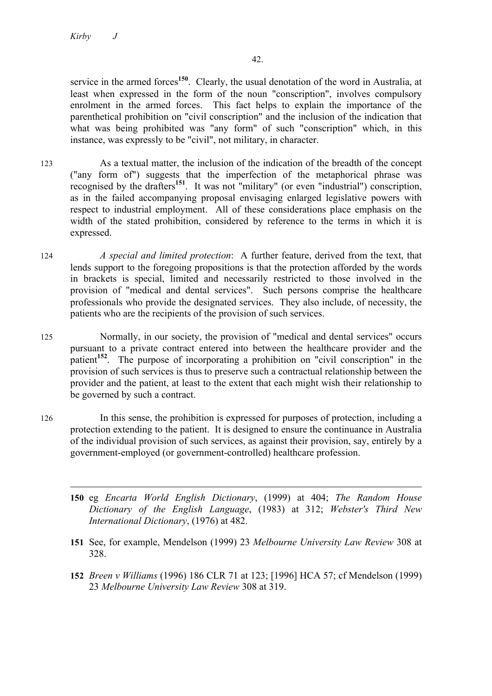service in the armed forces**<sup>150</sup>**. Clearly, the usual denotation of the word in Australia, at least when expressed in the form of the noun "conscription", involves compulsory enrolment in the armed forces. This fact helps to explain the importance of the parenthetical prohibition on "civil conscription" and the inclusion of the indication that what was being prohibited was "any form" of such "conscription" which, in this instance, was expressly to be "civil", not military, in character.

- 123 As a textual matter, the inclusion of the indication of the breadth of the concept ("any form of") suggests that the imperfection of the metaphorical phrase was recognised by the drafters**<sup>151</sup>**. It was not "military" (or even "industrial") conscription, as in the failed accompanying proposal envisaging enlarged legislative powers with respect to industrial employment. All of these considerations place emphasis on the width of the stated prohibition, considered by reference to the terms in which it is expressed.
- 124 *A special and limited protection*: A further feature, derived from the text, that lends support to the foregoing propositions is that the protection afforded by the words in brackets is special, limited and necessarily restricted to those involved in the provision of "medical and dental services". Such persons comprise the healthcare professionals who provide the designated services. They also include, of necessity, the patients who are the recipients of the provision of such services.
- 125 Normally, in our society, the provision of "medical and dental services" occurs pursuant to a private contract entered into between the healthcare provider and the patient**<sup>152</sup>**. The purpose of incorporating a prohibition on "civil conscription" in the provision of such services is thus to preserve such a contractual relationship between the provider and the patient, at least to the extent that each might wish their relationship to be governed by such a contract.
- 126 In this sense, the prohibition is expressed for purposes of protection, including a protection extending to the patient. It is designed to ensure the continuance in Australia of the individual provision of such services, as against their provision, say, entirely by a government-employed (or government-controlled) healthcare profession.
	- $\overline{a}$ **150** eg *Encarta World English Dictionary*, (1999) at 404; *The Random House Dictionary of the English Language*, (1983) at 312; *Webster's Third New International Dictionary*, (1976) at 482.
	- **151** See, for example, Mendelson (1999) 23 *Melbourne University Law Review* 308 at 328.
	- **152** *Breen v Williams* (1996) 186 CLR 71 at 123; [1996] HCA 57; cf Mendelson (1999) 23 *Melbourne University Law Review* 308 at 319.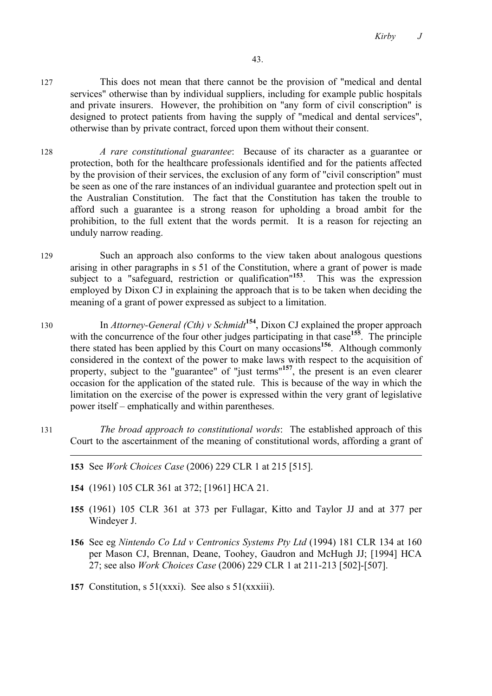- 127 This does not mean that there cannot be the provision of "medical and dental services" otherwise than by individual suppliers, including for example public hospitals and private insurers. However, the prohibition on "any form of civil conscription" is designed to protect patients from having the supply of "medical and dental services", otherwise than by private contract, forced upon them without their consent.
- 128 *A rare constitutional guarantee*: Because of its character as a guarantee or protection, both for the healthcare professionals identified and for the patients affected by the provision of their services, the exclusion of any form of "civil conscription" must be seen as one of the rare instances of an individual guarantee and protection spelt out in the Australian Constitution. The fact that the Constitution has taken the trouble to afford such a guarantee is a strong reason for upholding a broad ambit for the prohibition, to the full extent that the words permit. It is a reason for rejecting an unduly narrow reading.
- 129 Such an approach also conforms to the view taken about analogous questions arising in other paragraphs in s 51 of the Constitution, where a grant of power is made subject to a "safeguard, restriction or qualification"**<sup>153</sup>**. This was the expression employed by Dixon CJ in explaining the approach that is to be taken when deciding the meaning of a grant of power expressed as subject to a limitation.
- <sup>130</sup> In *Attorney-General (Cth) v Schmidt***<sup>154</sup>**, Dixon CJ explained the proper approach with the concurrence of the four other judges participating in that case<sup>155</sup>. The principle there stated has been applied by this Court on many occasions**<sup>156</sup>**. Although commonly considered in the context of the power to make laws with respect to the acquisition of property, subject to the "guarantee" of "just terms"**<sup>157</sup>**, the present is an even clearer occasion for the application of the stated rule. This is because of the way in which the limitation on the exercise of the power is expressed within the very grant of legislative power itself – emphatically and within parentheses.
- 131 *The broad approach to constitutional words*: The established approach of this Court to the ascertainment of the meaning of constitutional words, affording a grant of
	- **153** See *Work Choices Case* (2006) 229 CLR 1 at 215 [515].
	- **154** (1961) 105 CLR 361 at 372; [1961] HCA 21.

- **155** (1961) 105 CLR 361 at 373 per Fullagar, Kitto and Taylor JJ and at 377 per Windeyer J.
- **156** See eg *Nintendo Co Ltd v Centronics Systems Pty Ltd* (1994) 181 CLR 134 at 160 per Mason CJ, Brennan, Deane, Toohey, Gaudron and McHugh JJ; [1994] HCA 27; see also *Work Choices Case* (2006) 229 CLR 1 at 211-213 [502]-[507].
- **157** Constitution, s 51(xxxi). See also s 51(xxxiii).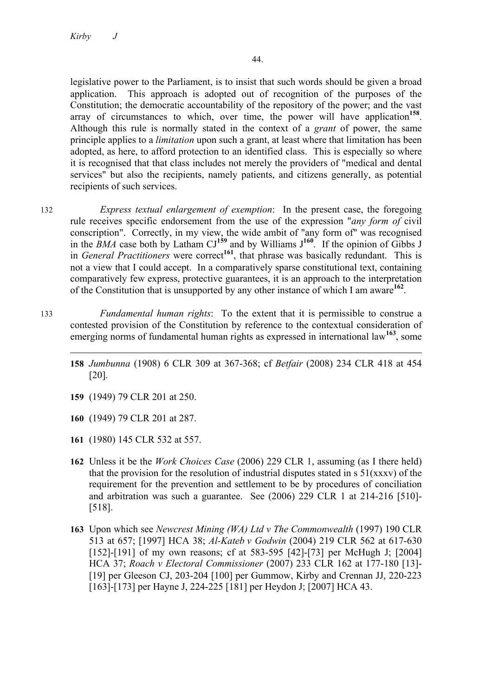legislative power to the Parliament, is to insist that such words should be given a broad application. This approach is adopted out of recognition of the purposes of the Constitution; the democratic accountability of the repository of the power; and the vast array of circumstances to which, over time, the power will have application**<sup>158</sup>**. Although this rule is normally stated in the context of a *grant* of power, the same principle applies to a *limitation* upon such a grant, at least where that limitation has been adopted, as here, to afford protection to an identified class. This is especially so where it is recognised that that class includes not merely the providers of "medical and dental services" but also the recipients, namely patients, and citizens generally, as potential recipients of such services.

- 132 *Express textual enlargement of exemption*: In the present case, the foregoing rule receives specific endorsement from the use of the expression "*any form of* civil conscription". Correctly, in my view, the wide ambit of "any form of" was recognised in the  $\overline{BMA}$  case both by Latham CJ<sup>159</sup> and by Williams  $J^{160}$ . If the opinion of Gibbs J in *General Practitioners* were correct**<sup>161</sup>**, that phrase was basically redundant. This is not a view that I could accept. In a comparatively sparse constitutional text, containing comparatively few express, protective guarantees, it is an approach to the interpretation of the Constitution that is unsupported by any other instance of which I am aware**<sup>162</sup>**.
- 133 *Fundamental human rights*: To the extent that it is permissible to construe a contested provision of the Constitution by reference to the contextual consideration of emerging norms of fundamental human rights as expressed in international law**<sup>163</sup>**, some
	- l **158** *Jumbunna* (1908) 6 CLR 309 at 367-368; cf *Betfair* (2008) 234 CLR 418 at 454 [20].
	- **159** (1949) 79 CLR 201 at 250.
	- **160** (1949) 79 CLR 201 at 287.
	- **161** (1980) 145 CLR 532 at 557.
	- **162** Unless it be the *Work Choices Case* (2006) 229 CLR 1, assuming (as I there held) that the provision for the resolution of industrial disputes stated in  $s \frac{51}{(xxx)}$  of the requirement for the prevention and settlement to be by procedures of conciliation and arbitration was such a guarantee. See (2006) 229 CLR 1 at 214-216 [510]- [518].
	- **163** Upon which see *Newcrest Mining (WA) Ltd v The Commonwealth* (1997) 190 CLR 513 at 657; [1997] HCA 38; *Al-Kateb v Godwin* (2004) 219 CLR 562 at 617-630 [152]-[191] of my own reasons; cf at 583-595 [42]-[73] per McHugh J; [2004] HCA 37; *Roach v Electoral Commissioner* (2007) 233 CLR 162 at 177-180 [13]- [19] per Gleeson CJ, 203-204 [100] per Gummow, Kirby and Crennan JJ, 220-223 [163]-[173] per Hayne J, 224-225 [181] per Heydon J; [2007] HCA 43.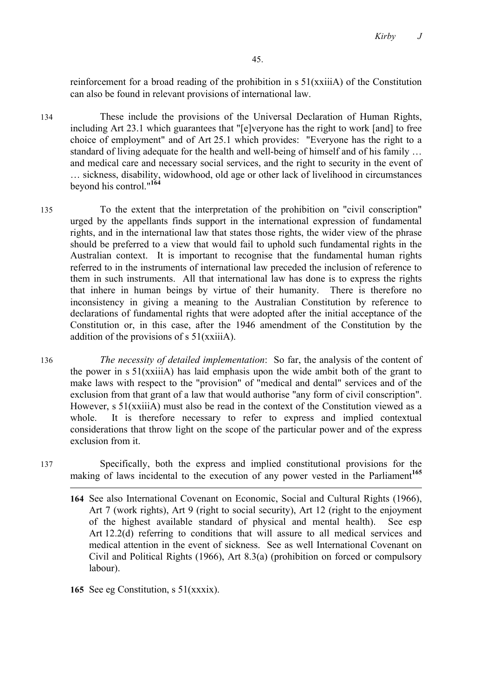reinforcement for a broad reading of the prohibition in s 51(xxiiiA) of the Constitution can also be found in relevant provisions of international law.

134 These include the provisions of the Universal Declaration of Human Rights, including Art 23.1 which guarantees that "[e]veryone has the right to work [and] to free choice of employment" and of Art 25.1 which provides: "Everyone has the right to a standard of living adequate for the health and well-being of himself and of his family … and medical care and necessary social services, and the right to security in the event of … sickness, disability, widowhood, old age or other lack of livelihood in circumstances beyond his control."**<sup>164</sup>**

135 To the extent that the interpretation of the prohibition on "civil conscription" urged by the appellants finds support in the international expression of fundamental rights, and in the international law that states those rights, the wider view of the phrase should be preferred to a view that would fail to uphold such fundamental rights in the Australian context. It is important to recognise that the fundamental human rights referred to in the instruments of international law preceded the inclusion of reference to them in such instruments. All that international law has done is to express the rights that inhere in human beings by virtue of their humanity. There is therefore no inconsistency in giving a meaning to the Australian Constitution by reference to declarations of fundamental rights that were adopted after the initial acceptance of the Constitution or, in this case, after the 1946 amendment of the Constitution by the addition of the provisions of s 51(xxiiiA).

136 *The necessity of detailed implementation*: So far, the analysis of the content of the power in s 51(xxiiiA) has laid emphasis upon the wide ambit both of the grant to make laws with respect to the "provision" of "medical and dental" services and of the exclusion from that grant of a law that would authorise "any form of civil conscription". However, s 51(xxiiiA) must also be read in the context of the Constitution viewed as a whole. It is therefore necessary to refer to express and implied contextual considerations that throw light on the scope of the particular power and of the express exclusion from it.

- 137 Specifically, both the express and implied constitutional provisions for the making of laws incidental to the execution of any power vested in the Parliament<sup>165</sup>
	- **164** See also International Covenant on Economic, Social and Cultural Rights (1966), Art 7 (work rights), Art 9 (right to social security), Art 12 (right to the enjoyment of the highest available standard of physical and mental health). See esp Art 12.2(d) referring to conditions that will assure to all medical services and medical attention in the event of sickness. See as well International Covenant on Civil and Political Rights (1966), Art 8.3(a) (prohibition on forced or compulsory labour).
	- **165** See eg Constitution, s 51(xxxix).

- 
-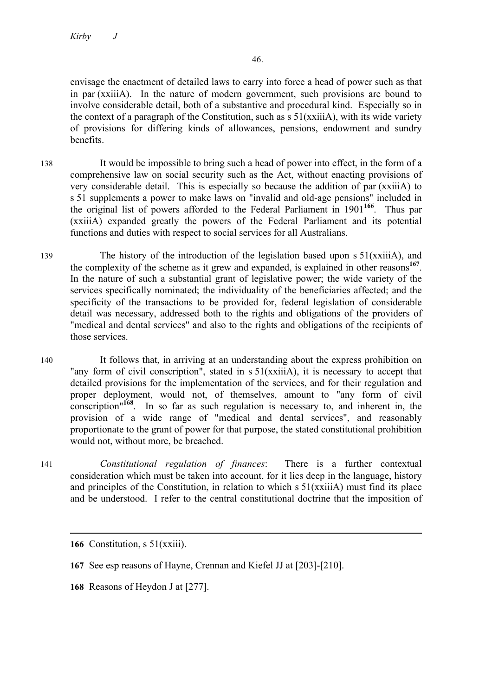envisage the enactment of detailed laws to carry into force a head of power such as that in par (xxiiiA). In the nature of modern government, such provisions are bound to involve considerable detail, both of a substantive and procedural kind. Especially so in the context of a paragraph of the Constitution, such as s 51(xxiiiA), with its wide variety of provisions for differing kinds of allowances, pensions, endowment and sundry benefits.

- 138 It would be impossible to bring such a head of power into effect, in the form of a comprehensive law on social security such as the Act, without enacting provisions of very considerable detail. This is especially so because the addition of par (xxiiiA) to s 51 supplements a power to make laws on "invalid and old-age pensions" included in the original list of powers afforded to the Federal Parliament in 1901**<sup>166</sup>**. Thus par (xxiiiA) expanded greatly the powers of the Federal Parliament and its potential functions and duties with respect to social services for all Australians.
- 139 The history of the introduction of the legislation based upon s 51(xxiiiA), and the complexity of the scheme as it grew and expanded, is explained in other reasons **<sup>167</sup>**. In the nature of such a substantial grant of legislative power; the wide variety of the services specifically nominated; the individuality of the beneficiaries affected; and the specificity of the transactions to be provided for, federal legislation of considerable detail was necessary, addressed both to the rights and obligations of the providers of "medical and dental services" and also to the rights and obligations of the recipients of those services.
- 140 It follows that, in arriving at an understanding about the express prohibition on "any form of civil conscription", stated in s 51(xxiiiA), it is necessary to accept that detailed provisions for the implementation of the services, and for their regulation and proper deployment, would not, of themselves, amount to "any form of civil conscription"**<sup>168</sup>**. In so far as such regulation is necessary to, and inherent in, the provision of a wide range of "medical and dental services", and reasonably proportionate to the grant of power for that purpose, the stated constitutional prohibition would not, without more, be breached.
- 141 *Constitutional regulation of finances*: There is a further contextual consideration which must be taken into account, for it lies deep in the language, history and principles of the Constitution, in relation to which s 51(xxiiiA) must find its place and be understood. I refer to the central constitutional doctrine that the imposition of

**166** Constitution, s 51(xxiii).

- **167** See esp reasons of Hayne, Crennan and Kiefel JJ at [203]-[210].
- **168** Reasons of Heydon J at [277].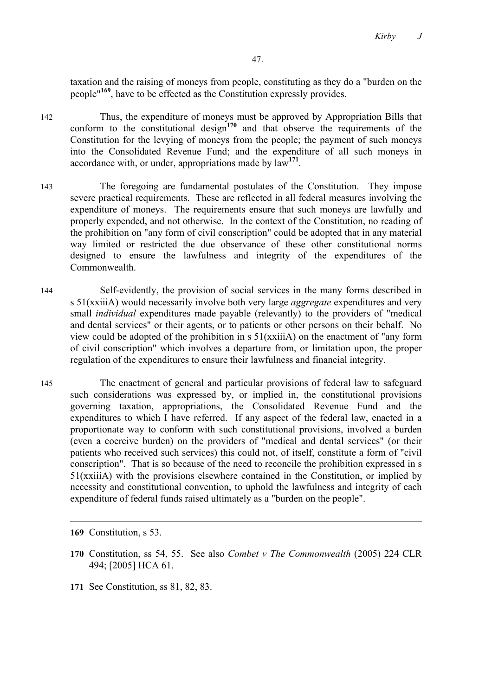taxation and the raising of moneys from people, constituting as they do a "burden on the people"**<sup>169</sup>**, have to be effected as the Constitution expressly provides.

- 142 Thus, the expenditure of moneys must be approved by Appropriation Bills that conform to the constitutional design<sup>170</sup> and that observe the requirements of the Constitution for the levying of moneys from the people; the payment of such moneys into the Consolidated Revenue Fund; and the expenditure of all such moneys in accordance with, or under, appropriations made by law**<sup>171</sup>**.
- 143 The foregoing are fundamental postulates of the Constitution. They impose severe practical requirements. These are reflected in all federal measures involving the expenditure of moneys. The requirements ensure that such moneys are lawfully and properly expended, and not otherwise. In the context of the Constitution, no reading of the prohibition on "any form of civil conscription" could be adopted that in any material way limited or restricted the due observance of these other constitutional norms designed to ensure the lawfulness and integrity of the expenditures of the Commonwealth.
- 144 Self-evidently, the provision of social services in the many forms described in s 51(xxiiiA) would necessarily involve both very large *aggregate* expenditures and very small *individual* expenditures made payable (relevantly) to the providers of "medical and dental services" or their agents, or to patients or other persons on their behalf. No view could be adopted of the prohibition in  $s 51(xxii)$  on the enactment of "any form" of civil conscription" which involves a departure from, or limitation upon, the proper regulation of the expenditures to ensure their lawfulness and financial integrity.
- 145 The enactment of general and particular provisions of federal law to safeguard such considerations was expressed by, or implied in, the constitutional provisions governing taxation, appropriations, the Consolidated Revenue Fund and the expenditures to which I have referred. If any aspect of the federal law, enacted in a proportionate way to conform with such constitutional provisions, involved a burden (even a coercive burden) on the providers of "medical and dental services" (or their patients who received such services) this could not, of itself, constitute a form of "civil conscription". That is so because of the need to reconcile the prohibition expressed in s  $51(xxii)$  with the provisions elsewhere contained in the Constitution, or implied by necessity and constitutional convention, to uphold the lawfulness and integrity of each expenditure of federal funds raised ultimately as a "burden on the people".

**169** Constitution, s 53.

 $\overline{a}$ 

- **170** Constitution, ss 54, 55. See also *Combet v The Commonwealth* (2005) 224 CLR 494; [2005] HCA 61.
- **171** See Constitution, ss 81, 82, 83.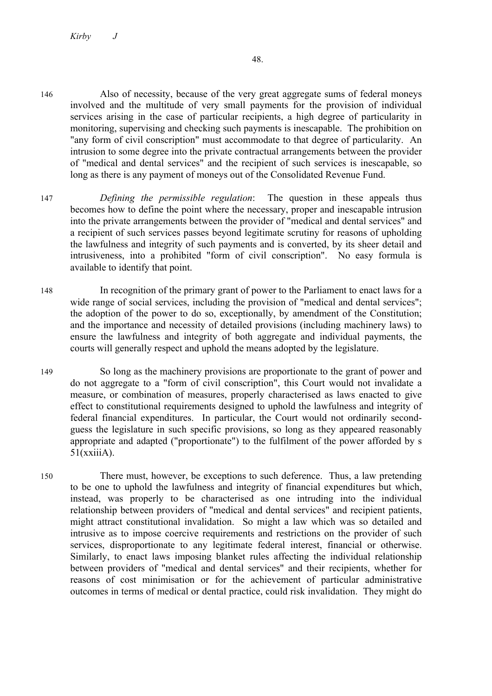- 146 Also of necessity, because of the very great aggregate sums of federal moneys involved and the multitude of very small payments for the provision of individual services arising in the case of particular recipients, a high degree of particularity in monitoring, supervising and checking such payments is inescapable. The prohibition on "any form of civil conscription" must accommodate to that degree of particularity. An intrusion to some degree into the private contractual arrangements between the provider of "medical and dental services" and the recipient of such services is inescapable, so long as there is any payment of moneys out of the Consolidated Revenue Fund.
- 147 *Defining the permissible regulation*: The question in these appeals thus becomes how to define the point where the necessary, proper and inescapable intrusion into the private arrangements between the provider of "medical and dental services" and a recipient of such services passes beyond legitimate scrutiny for reasons of upholding the lawfulness and integrity of such payments and is converted, by its sheer detail and intrusiveness, into a prohibited "form of civil conscription". No easy formula is available to identify that point.
- 148 In recognition of the primary grant of power to the Parliament to enact laws for a wide range of social services, including the provision of "medical and dental services"; the adoption of the power to do so, exceptionally, by amendment of the Constitution; and the importance and necessity of detailed provisions (including machinery laws) to ensure the lawfulness and integrity of both aggregate and individual payments, the courts will generally respect and uphold the means adopted by the legislature.
- 149 So long as the machinery provisions are proportionate to the grant of power and do not aggregate to a "form of civil conscription", this Court would not invalidate a measure, or combination of measures, properly characterised as laws enacted to give effect to constitutional requirements designed to uphold the lawfulness and integrity of federal financial expenditures. In particular, the Court would not ordinarily secondguess the legislature in such specific provisions, so long as they appeared reasonably appropriate and adapted ("proportionate") to the fulfilment of the power afforded by s 51(xxiiiA).
- 150 There must, however, be exceptions to such deference. Thus, a law pretending to be one to uphold the lawfulness and integrity of financial expenditures but which, instead, was properly to be characterised as one intruding into the individual relationship between providers of "medical and dental services" and recipient patients, might attract constitutional invalidation. So might a law which was so detailed and intrusive as to impose coercive requirements and restrictions on the provider of such services, disproportionate to any legitimate federal interest, financial or otherwise. Similarly, to enact laws imposing blanket rules affecting the individual relationship between providers of "medical and dental services" and their recipients, whether for reasons of cost minimisation or for the achievement of particular administrative outcomes in terms of medical or dental practice, could risk invalidation. They might do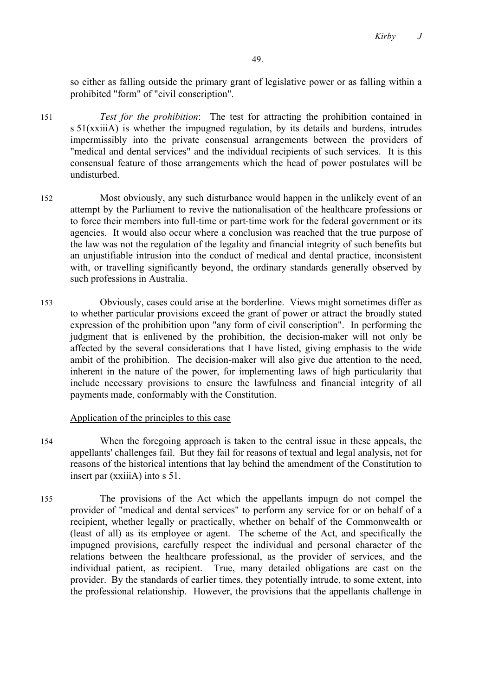so either as falling outside the primary grant of legislative power or as falling within a prohibited "form" of "civil conscription".

- 151 *Test for the prohibition*: The test for attracting the prohibition contained in s 51(xxiiiA) is whether the impugned regulation, by its details and burdens, intrudes impermissibly into the private consensual arrangements between the providers of "medical and dental services" and the individual recipients of such services. It is this consensual feature of those arrangements which the head of power postulates will be undisturbed.
- 152 Most obviously, any such disturbance would happen in the unlikely event of an attempt by the Parliament to revive the nationalisation of the healthcare professions or to force their members into full-time or part-time work for the federal government or its agencies. It would also occur where a conclusion was reached that the true purpose of the law was not the regulation of the legality and financial integrity of such benefits but an unjustifiable intrusion into the conduct of medical and dental practice, inconsistent with, or travelling significantly beyond, the ordinary standards generally observed by such professions in Australia.
- 153 Obviously, cases could arise at the borderline. Views might sometimes differ as to whether particular provisions exceed the grant of power or attract the broadly stated expression of the prohibition upon "any form of civil conscription". In performing the judgment that is enlivened by the prohibition, the decision-maker will not only be affected by the several considerations that I have listed, giving emphasis to the wide ambit of the prohibition. The decision-maker will also give due attention to the need, inherent in the nature of the power, for implementing laws of high particularity that include necessary provisions to ensure the lawfulness and financial integrity of all payments made, conformably with the Constitution.

# Application of the principles to this case

- 154 When the foregoing approach is taken to the central issue in these appeals, the appellants' challenges fail. But they fail for reasons of textual and legal analysis, not for reasons of the historical intentions that lay behind the amendment of the Constitution to insert par (xxiiiA) into s 51.
- 155 The provisions of the Act which the appellants impugn do not compel the provider of "medical and dental services" to perform any service for or on behalf of a recipient, whether legally or practically, whether on behalf of the Commonwealth or (least of all) as its employee or agent. The scheme of the Act, and specifically the impugned provisions, carefully respect the individual and personal character of the relations between the healthcare professional, as the provider of services, and the individual patient, as recipient. True, many detailed obligations are cast on the provider. By the standards of earlier times, they potentially intrude, to some extent, into the professional relationship. However, the provisions that the appellants challenge in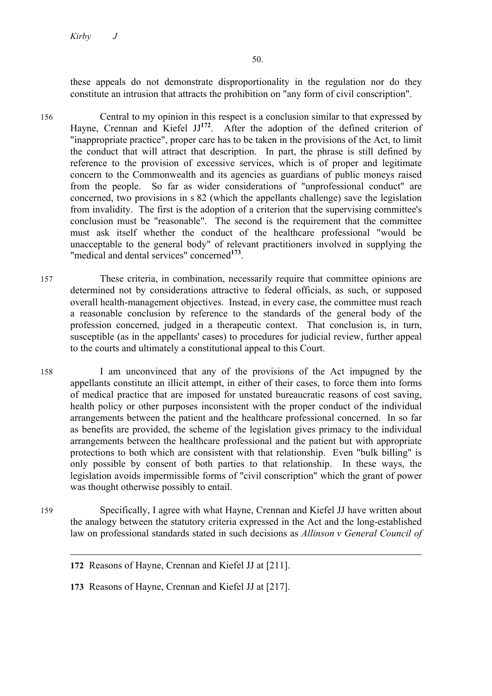these appeals do not demonstrate disproportionality in the regulation nor do they constitute an intrusion that attracts the prohibition on "any form of civil conscription".

156 Central to my opinion in this respect is a conclusion similar to that expressed by Hayne, Crennan and Kiefel JJ<sup>172</sup>. After the adoption of the defined criterion of "inappropriate practice", proper care has to be taken in the provisions of the Act, to limit the conduct that will attract that description. In part, the phrase is still defined by reference to the provision of excessive services, which is of proper and legitimate concern to the Commonwealth and its agencies as guardians of public moneys raised from the people. So far as wider considerations of "unprofessional conduct" are concerned, two provisions in s 82 (which the appellants challenge) save the legislation from invalidity. The first is the adoption of a criterion that the supervising committee's conclusion must be "reasonable". The second is the requirement that the committee must ask itself whether the conduct of the healthcare professional "would be unacceptable to the general body" of relevant practitioners involved in supplying the "medical and dental services" concerned**<sup>173</sup>**.

157 These criteria, in combination, necessarily require that committee opinions are determined not by considerations attractive to federal officials, as such, or supposed overall health-management objectives. Instead, in every case, the committee must reach a reasonable conclusion by reference to the standards of the general body of the profession concerned, judged in a therapeutic context. That conclusion is, in turn, susceptible (as in the appellants' cases) to procedures for judicial review, further appeal to the courts and ultimately a constitutional appeal to this Court.

- 158 I am unconvinced that any of the provisions of the Act impugned by the appellants constitute an illicit attempt, in either of their cases, to force them into forms of medical practice that are imposed for unstated bureaucratic reasons of cost saving, health policy or other purposes inconsistent with the proper conduct of the individual arrangements between the patient and the healthcare professional concerned. In so far as benefits are provided, the scheme of the legislation gives primacy to the individual arrangements between the healthcare professional and the patient but with appropriate protections to both which are consistent with that relationship. Even "bulk billing" is only possible by consent of both parties to that relationship. In these ways, the legislation avoids impermissible forms of "civil conscription" which the grant of power was thought otherwise possibly to entail.
- 159 Specifically, I agree with what Hayne, Crennan and Kiefel JJ have written about the analogy between the statutory criteria expressed in the Act and the long-established law on professional standards stated in such decisions as *Allinson v General Council of*

**172** Reasons of Hayne, Crennan and Kiefel JJ at [211].

**173** Reasons of Hayne, Crennan and Kiefel JJ at [217].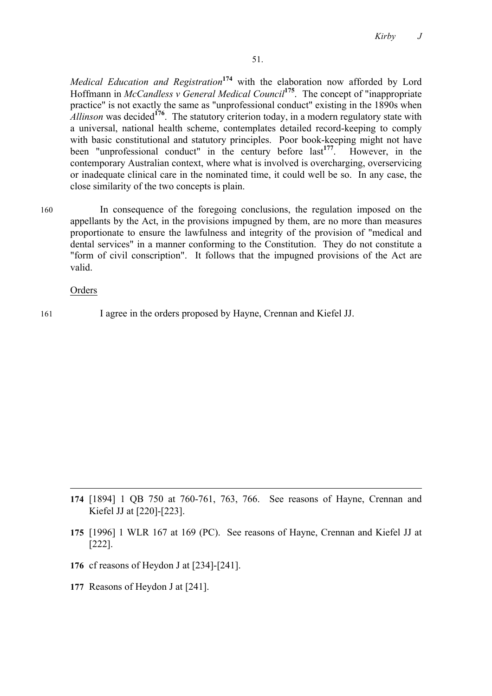*Medical Education and Registration***<sup>174</sup>** with the elaboration now afforded by Lord Hoffmann in *McCandless v General Medical Council***<sup>175</sup>**. The concept of "inappropriate practice" is not exactly the same as "unprofessional conduct" existing in the 1890s when *Allinson* was decided<sup>176</sup>. The statutory criterion today, in a modern regulatory state with a universal, national health scheme, contemplates detailed record-keeping to comply with basic constitutional and statutory principles. Poor book-keeping might not have been "unprofessional conduct" in the century before last**<sup>177</sup>**. However, in the contemporary Australian context, where what is involved is overcharging, overservicing or inadequate clinical care in the nominated time, it could well be so. In any case, the close similarity of the two concepts is plain.

160 In consequence of the foregoing conclusions, the regulation imposed on the appellants by the Act, in the provisions impugned by them, are no more than measures proportionate to ensure the lawfulness and integrity of the provision of "medical and dental services" in a manner conforming to the Constitution. They do not constitute a "form of civil conscription". It follows that the impugned provisions of the Act are valid.

Orders

 $\overline{a}$ 

161 I agree in the orders proposed by Hayne, Crennan and Kiefel JJ.

- **174** [1894] 1 QB 750 at 760-761, 763, 766. See reasons of Hayne, Crennan and Kiefel JJ at [220]-[223].
- **175** [1996] 1 WLR 167 at 169 (PC). See reasons of Hayne, Crennan and Kiefel JJ at [222].
- **176** cf reasons of Heydon J at [234]-[241].
- **177** Reasons of Heydon J at [241].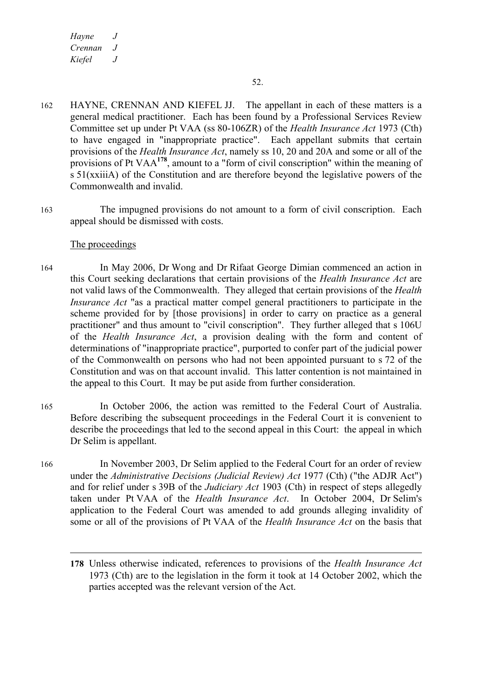- 162 HAYNE, CRENNAN AND KIEFEL JJ. The appellant in each of these matters is a general medical practitioner. Each has been found by a Professional Services Review Committee set up under Pt VAA (ss 80-106ZR) of the *Health Insurance Act* 1973 (Cth) to have engaged in "inappropriate practice". Each appellant submits that certain provisions of the *Health Insurance Act*, namely ss 10, 20 and 20A and some or all of the provisions of Pt VAA**<sup>178</sup>**, amount to a "form of civil conscription" within the meaning of s 51(xxiiiA) of the Constitution and are therefore beyond the legislative powers of the Commonwealth and invalid.
- 163 The impugned provisions do not amount to a form of civil conscription. Each appeal should be dismissed with costs.

## The proceedings

- 164 In May 2006, Dr Wong and Dr Rifaat George Dimian commenced an action in this Court seeking declarations that certain provisions of the *Health Insurance Act* are not valid laws of the Commonwealth. They alleged that certain provisions of the *Health Insurance Act* "as a practical matter compel general practitioners to participate in the scheme provided for by [those provisions] in order to carry on practice as a general practitioner" and thus amount to "civil conscription". They further alleged that s 106U of the *Health Insurance Act*, a provision dealing with the form and content of determinations of "inappropriate practice", purported to confer part of the judicial power of the Commonwealth on persons who had not been appointed pursuant to s 72 of the Constitution and was on that account invalid. This latter contention is not maintained in the appeal to this Court. It may be put aside from further consideration.
- 165 In October 2006, the action was remitted to the Federal Court of Australia. Before describing the subsequent proceedings in the Federal Court it is convenient to describe the proceedings that led to the second appeal in this Court: the appeal in which Dr Selim is appellant.
- 166 In November 2003, Dr Selim applied to the Federal Court for an order of review under the *Administrative Decisions (Judicial Review) Act* 1977 (Cth) ("the ADJR Act") and for relief under s 39B of the *Judiciary Act* 1903 (Cth) in respect of steps allegedly taken under Pt VAA of the *Health Insurance Act*. In October 2004, Dr Selim's application to the Federal Court was amended to add grounds alleging invalidity of some or all of the provisions of Pt VAA of the *Health Insurance Act* on the basis that

**<sup>178</sup>** Unless otherwise indicated, references to provisions of the *Health Insurance Act*  1973 (Cth) are to the legislation in the form it took at 14 October 2002, which the parties accepted was the relevant version of the Act.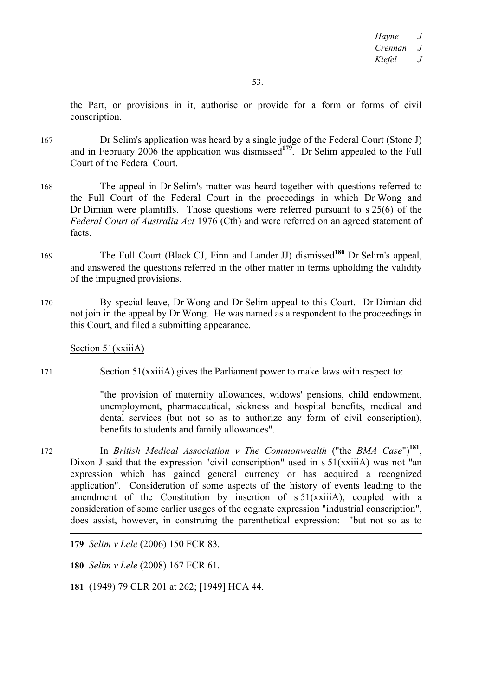the Part, or provisions in it, authorise or provide for a form or forms of civil conscription.

- 167 Dr Selim's application was heard by a single judge of the Federal Court (Stone J) and in February 2006 the application was dismissed**<sup>179</sup>**. Dr Selim appealed to the Full Court of the Federal Court.
- 168 The appeal in Dr Selim's matter was heard together with questions referred to the Full Court of the Federal Court in the proceedings in which Dr Wong and Dr Dimian were plaintiffs. Those questions were referred pursuant to s 25(6) of the *Federal Court of Australia Act* 1976 (Cth) and were referred on an agreed statement of facts.
- <sup>169</sup> The Full Court (Black CJ, Finn and Lander JJ) dismissed**<sup>180</sup>** Dr Selim's appeal, and answered the questions referred in the other matter in terms upholding the validity of the impugned provisions.
- 170 By special leave, Dr Wong and Dr Selim appeal to this Court. Dr Dimian did not join in the appeal by Dr Wong. He was named as a respondent to the proceedings in this Court, and filed a submitting appearance.

Section 51(xxiiiA)

171 Section 51(xxiiiA) gives the Parliament power to make laws with respect to:

"the provision of maternity allowances, widows' pensions, child endowment, unemployment, pharmaceutical, sickness and hospital benefits, medical and dental services (but not so as to authorize any form of civil conscription), benefits to students and family allowances".

<sup>172</sup> In *British Medical Association v The Commonwealth* ("the *BMA Case*")**<sup>181</sup>**, Dixon J said that the expression "civil conscription" used in s 51(xxiiiA) was not "an expression which has gained general currency or has acquired a recognized application". Consideration of some aspects of the history of events leading to the amendment of the Constitution by insertion of s 51(xxiiiA), coupled with a consideration of some earlier usages of the cognate expression "industrial conscription", does assist, however, in construing the parenthetical expression: "but not so as to 

**179** *Selim v Lele* (2006) 150 FCR 83.

**180** *Selim v Lele* (2008) 167 FCR 61.

**181** (1949) 79 CLR 201 at 262; [1949] HCA 44.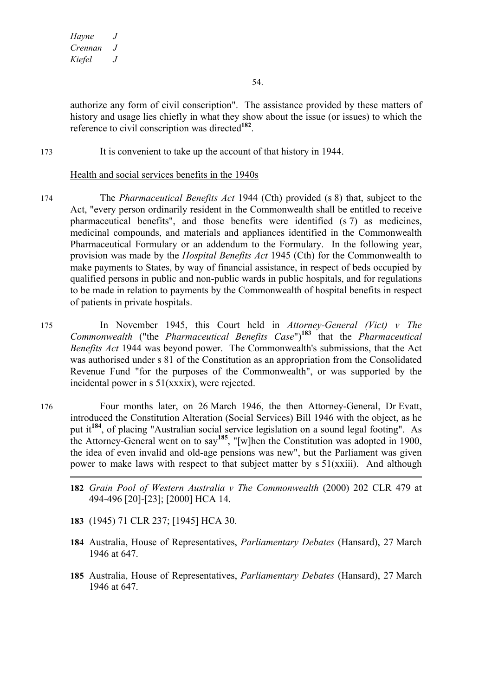54.

authorize any form of civil conscription". The assistance provided by these matters of history and usage lies chiefly in what they show about the issue (or issues) to which the reference to civil conscription was directed**<sup>182</sup>**.

173 It is convenient to take up the account of that history in 1944.

## Health and social services benefits in the 1940s

- 174 The *Pharmaceutical Benefits Act* 1944 (Cth) provided (s 8) that, subject to the Act, "every person ordinarily resident in the Commonwealth shall be entitled to receive pharmaceutical benefits", and those benefits were identified (s 7) as medicines, medicinal compounds, and materials and appliances identified in the Commonwealth Pharmaceutical Formulary or an addendum to the Formulary. In the following year, provision was made by the *Hospital Benefits Act* 1945 (Cth) for the Commonwealth to make payments to States, by way of financial assistance, in respect of beds occupied by qualified persons in public and non-public wards in public hospitals, and for regulations to be made in relation to payments by the Commonwealth of hospital benefits in respect of patients in private hospitals.
- 175 In November 1945, this Court held in *Attorney-General (Vict) v The Commonwealth* ("the *Pharmaceutical Benefits Case*")**<sup>183</sup>** that the *Pharmaceutical Benefits Act* 1944 was beyond power. The Commonwealth's submissions, that the Act was authorised under s 81 of the Constitution as an appropriation from the Consolidated Revenue Fund "for the purposes of the Commonwealth", or was supported by the incidental power in s 51(xxxix), were rejected.
- 176 Four months later, on 26 March 1946, the then Attorney-General, Dr Evatt, introduced the Constitution Alteration (Social Services) Bill 1946 with the object, as he put it**<sup>184</sup>**, of placing "Australian social service legislation on a sound legal footing". As the Attorney-General went on to say**<sup>185</sup>**, "[w]hen the Constitution was adopted in 1900, the idea of even invalid and old-age pensions was new", but the Parliament was given power to make laws with respect to that subject matter by  $s 51(xxiii)$ . And although
	- $\overline{a}$ **182** *Grain Pool of Western Australia v The Commonwealth* (2000) 202 CLR 479 at 494-496 [20]-[23]; [2000] HCA 14.
	- **183** (1945) 71 CLR 237; [1945] HCA 30.
	- **184** Australia, House of Representatives, *Parliamentary Debates* (Hansard), 27 March 1946 at 647.
	- **185** Australia, House of Representatives, *Parliamentary Debates* (Hansard), 27 March 1946 at 647.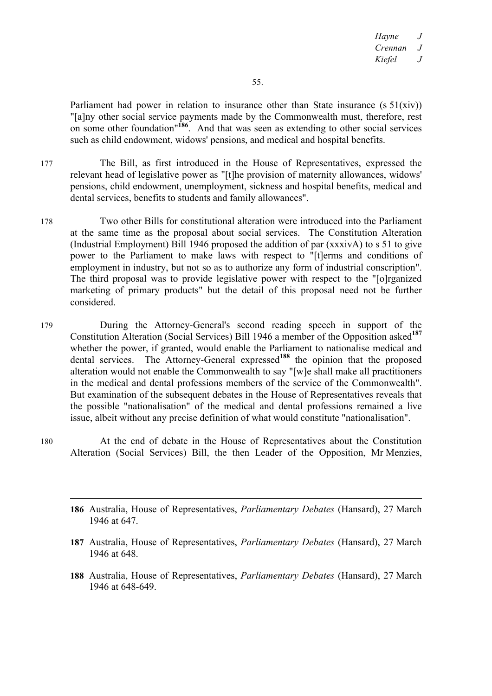Parliament had power in relation to insurance other than State insurance  $(s 51(xiv))$ "[a]ny other social service payments made by the Commonwealth must, therefore, rest on some other foundation"**<sup>186</sup>**. And that was seen as extending to other social services such as child endowment, widows' pensions, and medical and hospital benefits.

- 177 The Bill, as first introduced in the House of Representatives, expressed the relevant head of legislative power as "[t]he provision of maternity allowances, widows' pensions, child endowment, unemployment, sickness and hospital benefits, medical and dental services, benefits to students and family allowances".
- 178 Two other Bills for constitutional alteration were introduced into the Parliament at the same time as the proposal about social services. The Constitution Alteration (Industrial Employment) Bill 1946 proposed the addition of par (xxxivA) to s 51 to give power to the Parliament to make laws with respect to "[t]erms and conditions of employment in industry, but not so as to authorize any form of industrial conscription". The third proposal was to provide legislative power with respect to the "[o]rganized marketing of primary products" but the detail of this proposal need not be further considered.
- 179 During the Attorney-General's second reading speech in support of the Constitution Alteration (Social Services) Bill 1946 a member of the Opposition asked**<sup>187</sup>** whether the power, if granted, would enable the Parliament to nationalise medical and dental services. The Attorney-General expressed**<sup>188</sup>** the opinion that the proposed alteration would not enable the Commonwealth to say "[w]e shall make all practitioners in the medical and dental professions members of the service of the Commonwealth". But examination of the subsequent debates in the House of Representatives reveals that the possible "nationalisation" of the medical and dental professions remained a live issue, albeit without any precise definition of what would constitute "nationalisation".
- 180 At the end of debate in the House of Representatives about the Constitution Alteration (Social Services) Bill, the then Leader of the Opposition, Mr Menzies,
	- $\overline{a}$ **186** Australia, House of Representatives, *Parliamentary Debates* (Hansard), 27 March 1946 at 647.
	- **187** Australia, House of Representatives, *Parliamentary Debates* (Hansard), 27 March 1946 at 648.
	- **188** Australia, House of Representatives, *Parliamentary Debates* (Hansard), 27 March 1946 at 648-649.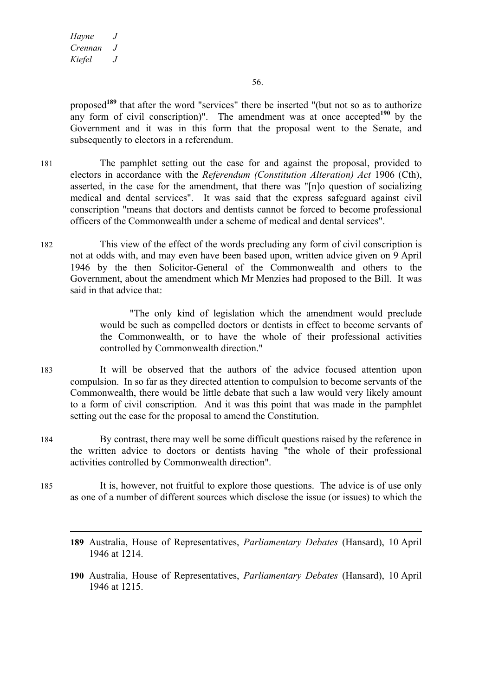$\overline{a}$ 

proposed**<sup>189</sup>** that after the word "services" there be inserted "(but not so as to authorize any form of civil conscription)". The amendment was at once accepted**<sup>190</sup>** by the Government and it was in this form that the proposal went to the Senate, and subsequently to electors in a referendum.

- 181 The pamphlet setting out the case for and against the proposal, provided to electors in accordance with the *Referendum (Constitution Alteration) Act* 1906 (Cth), asserted, in the case for the amendment, that there was "[n]o question of socializing medical and dental services". It was said that the express safeguard against civil conscription "means that doctors and dentists cannot be forced to become professional officers of the Commonwealth under a scheme of medical and dental services".
- 182 This view of the effect of the words precluding any form of civil conscription is not at odds with, and may even have been based upon, written advice given on 9 April 1946 by the then Solicitor-General of the Commonwealth and others to the Government, about the amendment which Mr Menzies had proposed to the Bill. It was said in that advice that:

"The only kind of legislation which the amendment would preclude would be such as compelled doctors or dentists in effect to become servants of the Commonwealth, or to have the whole of their professional activities controlled by Commonwealth direction."

- 183 It will be observed that the authors of the advice focused attention upon compulsion. In so far as they directed attention to compulsion to become servants of the Commonwealth, there would be little debate that such a law would very likely amount to a form of civil conscription. And it was this point that was made in the pamphlet setting out the case for the proposal to amend the Constitution.
- 184 By contrast, there may well be some difficult questions raised by the reference in the written advice to doctors or dentists having "the whole of their professional activities controlled by Commonwealth direction".
- 185 It is, however, not fruitful to explore those questions. The advice is of use only as one of a number of different sources which disclose the issue (or issues) to which the
	- **189** Australia, House of Representatives, *Parliamentary Debates* (Hansard), 10 April 1946 at 1214.
	- **190** Australia, House of Representatives, *Parliamentary Debates* (Hansard), 10 April 1946 at 1215.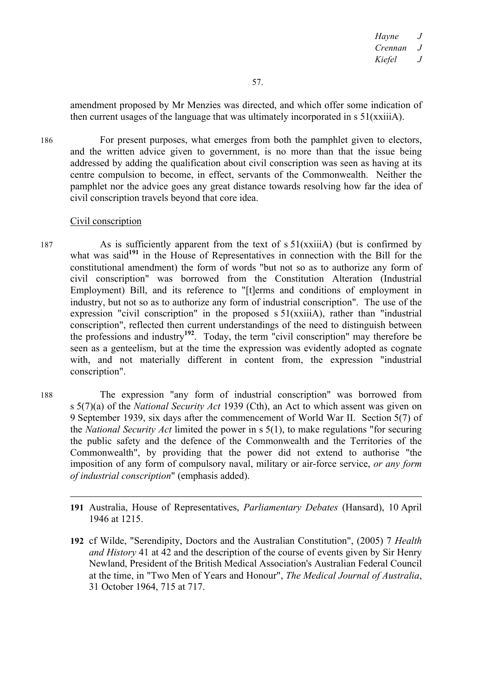amendment proposed by Mr Menzies was directed, and which offer some indication of then current usages of the language that was ultimately incorporated in s 51(xxiiiA).

186 For present purposes, what emerges from both the pamphlet given to electors, and the written advice given to government, is no more than that the issue being addressed by adding the qualification about civil conscription was seen as having at its centre compulsion to become, in effect, servants of the Commonwealth. Neither the pamphlet nor the advice goes any great distance towards resolving how far the idea of civil conscription travels beyond that core idea.

## Civil conscription

187 As is sufficiently apparent from the text of s 51(xxiiiA) (but is confirmed by what was said<sup>191</sup> in the House of Representatives in connection with the Bill for the constitutional amendment) the form of words "but not so as to authorize any form of civil conscription" was borrowed from the Constitution Alteration (Industrial Employment) Bill, and its reference to "[t]erms and conditions of employment in industry, but not so as to authorize any form of industrial conscription". The use of the expression "civil conscription" in the proposed s 51(xxiiiA), rather than "industrial conscription", reflected then current understandings of the need to distinguish between the professions and industry**<sup>192</sup>**. Today, the term "civil conscription" may therefore be seen as a genteelism, but at the time the expression was evidently adopted as cognate with, and not materially different in content from, the expression "industrial conscription".

188 The expression "any form of industrial conscription" was borrowed from s 5(7)(a) of the *National Security Act* 1939 (Cth), an Act to which assent was given on 9 September 1939, six days after the commencement of World War II. Section 5(7) of the *National Security Act* limited the power in s 5(1), to make regulations "for securing the public safety and the defence of the Commonwealth and the Territories of the Commonwealth", by providing that the power did not extend to authorise "the imposition of any form of compulsory naval, military or air-force service, *or any form of industrial conscription*" (emphasis added).

- $\overline{a}$ **191** Australia, House of Representatives, *Parliamentary Debates* (Hansard), 10 April 1946 at 1215.
- **192** cf Wilde, "Serendipity, Doctors and the Australian Constitution", (2005) 7 *Health and History* 41 at 42 and the description of the course of events given by Sir Henry Newland, President of the British Medical Association's Australian Federal Council at the time, in "Two Men of Years and Honour", *The Medical Journal of Australia*, 31 October 1964, 715 at 717.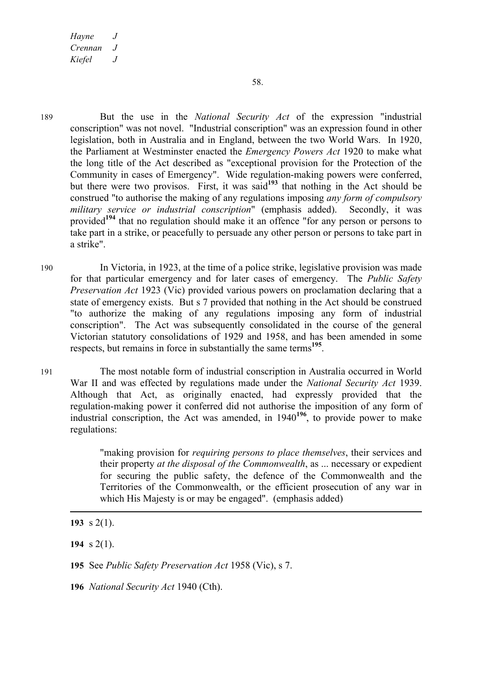189 But the use in the *National Security Act* of the expression "industrial conscription" was not novel. "Industrial conscription" was an expression found in other legislation, both in Australia and in England, between the two World Wars. In 1920, the Parliament at Westminster enacted the *Emergency Powers Act* 1920 to make what the long title of the Act described as "exceptional provision for the Protection of the Community in cases of Emergency". Wide regulation-making powers were conferred, but there were two provisos. First, it was said**<sup>193</sup>** that nothing in the Act should be construed "to authorise the making of any regulations imposing *any form of compulsory military service or industrial conscription*" (emphasis added). Secondly, it was provided<sup>194</sup> that no regulation should make it an offence "for any person or persons to take part in a strike, or peacefully to persuade any other person or persons to take part in a strike".

190 In Victoria, in 1923, at the time of a police strike, legislative provision was made for that particular emergency and for later cases of emergency. The *Public Safety Preservation Act* 1923 (Vic) provided various powers on proclamation declaring that a state of emergency exists. But s 7 provided that nothing in the Act should be construed "to authorize the making of any regulations imposing any form of industrial conscription". The Act was subsequently consolidated in the course of the general Victorian statutory consolidations of 1929 and 1958, and has been amended in some respects, but remains in force in substantially the same terms**<sup>195</sup>**.

191 The most notable form of industrial conscription in Australia occurred in World War II and was effected by regulations made under the *National Security Act* 1939. Although that Act, as originally enacted, had expressly provided that the regulation-making power it conferred did not authorise the imposition of any form of industrial conscription, the Act was amended, in 1940**<sup>196</sup>**, to provide power to make regulations:

> "making provision for *requiring persons to place themselves*, their services and their property *at the disposal of the Commonwealth*, as ... necessary or expedient for securing the public safety, the defence of the Commonwealth and the Territories of the Commonwealth, or the efficient prosecution of any war in which His Majesty is or may be engaged". (emphasis added)

**193** s 2(1).

 $\overline{a}$ 

**194** s 2(1).

**195** See *Public Safety Preservation Act* 1958 (Vic), s 7.

**196** *National Security Act* 1940 (Cth).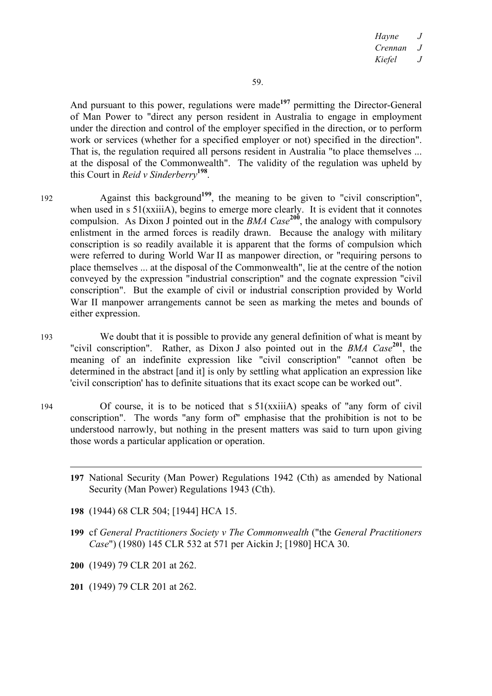And pursuant to this power, regulations were made<sup>197</sup> permitting the Director-General of Man Power to "direct any person resident in Australia to engage in employment under the direction and control of the employer specified in the direction, or to perform work or services (whether for a specified employer or not) specified in the direction". That is, the regulation required all persons resident in Australia "to place themselves ... at the disposal of the Commonwealth". The validity of the regulation was upheld by this Court in *Reid v Sinderberry***<sup>198</sup>**.

- 192 Against this background<sup>199</sup>, the meaning to be given to "civil conscription", when used in s 51(xxiiiA), begins to emerge more clearly. It is evident that it connotes compulsion. As Dixon J pointed out in the *BMA Case*<sup>200</sup>, the analogy with compulsory enlistment in the armed forces is readily drawn. Because the analogy with military conscription is so readily available it is apparent that the forms of compulsion which were referred to during World War II as manpower direction, or "requiring persons to place themselves ... at the disposal of the Commonwealth", lie at the centre of the notion conveyed by the expression "industrial conscription" and the cognate expression "civil conscription". But the example of civil or industrial conscription provided by World War II manpower arrangements cannot be seen as marking the metes and bounds of either expression.
- 193 We doubt that it is possible to provide any general definition of what is meant by "civil conscription". Rather, as Dixon J also pointed out in the *BMA Case***<sup>201</sup>**, the meaning of an indefinite expression like "civil conscription" "cannot often be determined in the abstract [and it] is only by settling what application an expression like 'civil conscription' has to definite situations that its exact scope can be worked out".
- 194 Of course, it is to be noticed that s 51(xxiiiA) speaks of "any form of civil conscription". The words "any form of" emphasise that the prohibition is not to be understood narrowly, but nothing in the present matters was said to turn upon giving those words a particular application or operation.
	- **197** National Security (Man Power) Regulations 1942 (Cth) as amended by National Security (Man Power) Regulations 1943 (Cth).
	- **198** (1944) 68 CLR 504; [1944] HCA 15.
	- **199** cf *General Practitioners Society v The Commonwealth* ("the *General Practitioners Case*") (1980) 145 CLR 532 at 571 per Aickin J; [1980] HCA 30.
	- **200** (1949) 79 CLR 201 at 262.

 $\overline{a}$ 

**201** (1949) 79 CLR 201 at 262.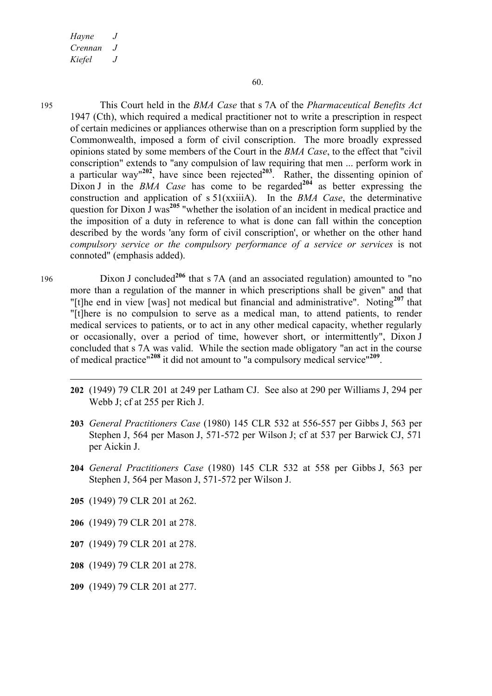$\overline{a}$ 

195 This Court held in the *BMA Case* that s 7A of the *Pharmaceutical Benefits Act*  1947 (Cth), which required a medical practitioner not to write a prescription in respect of certain medicines or appliances otherwise than on a prescription form supplied by the Commonwealth, imposed a form of civil conscription. The more broadly expressed opinions stated by some members of the Court in the *BMA Case*, to the effect that "civil conscription" extends to "any compulsion of law requiring that men ... perform work in a particular way" $202$ , have since been rejected $203$ . Rather, the dissenting opinion of Dixon J in the *BMA Case* has come to be regarded<sup>204</sup> as better expressing the construction and application of s 51(xxiiiA). In the *BMA Case*, the determinative question for Dixon J was**<sup>205</sup>** "whether the isolation of an incident in medical practice and the imposition of a duty in reference to what is done can fall within the conception described by the words 'any form of civil conscription', or whether on the other hand *compulsory service or the compulsory performance of a service or services* is not connoted" (emphasis added).

<sup>196</sup> Dixon J concluded**<sup>206</sup>** that s 7A (and an associated regulation) amounted to "no more than a regulation of the manner in which prescriptions shall be given" and that "[t]he end in view [was] not medical but financial and administrative". Noting**<sup>207</sup>** that "[t]here is no compulsion to serve as a medical man, to attend patients, to render medical services to patients, or to act in any other medical capacity, whether regularly or occasionally, over a period of time, however short, or intermittently", Dixon J concluded that s 7A was valid. While the section made obligatory "an act in the course of medical practice"**<sup>208</sup>** it did not amount to "a compulsory medical service"**<sup>209</sup>**.

- **202** (1949) 79 CLR 201 at 249 per Latham CJ. See also at 290 per Williams J, 294 per Webb J; cf at 255 per Rich J.
- **203** *General Practitioners Case* (1980) 145 CLR 532 at 556-557 per Gibbs J, 563 per Stephen J, 564 per Mason J, 571-572 per Wilson J; cf at 537 per Barwick CJ, 571 per Aickin J.
- **204** *General Practitioners Case* (1980) 145 CLR 532 at 558 per Gibbs J, 563 per Stephen J, 564 per Mason J, 571-572 per Wilson J.
- **205** (1949) 79 CLR 201 at 262.
- **206** (1949) 79 CLR 201 at 278.
- **207** (1949) 79 CLR 201 at 278.
- **208** (1949) 79 CLR 201 at 278.
- **209** (1949) 79 CLR 201 at 277.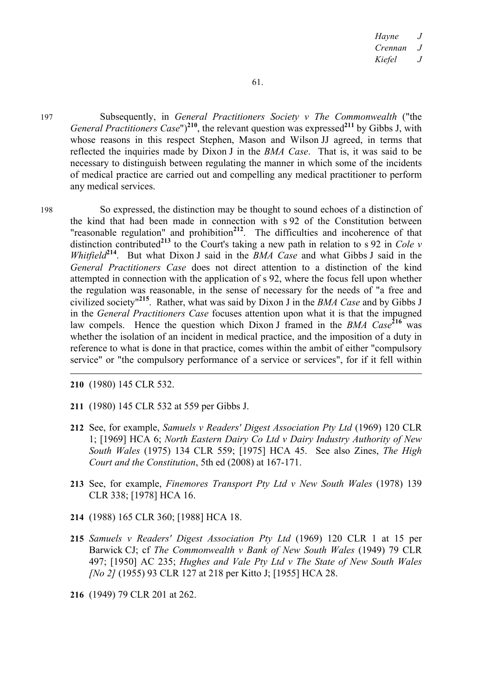197 Subsequently, in *General Practitioners Society v The Commonwealth* ("the *General Practitioners Case*")**<sup>210</sup>**, the relevant question was expressed**<sup>211</sup>** by Gibbs J, with whose reasons in this respect Stephen, Mason and Wilson JJ agreed, in terms that reflected the inquiries made by Dixon J in the *BMA Case*. That is, it was said to be necessary to distinguish between regulating the manner in which some of the incidents of medical practice are carried out and compelling any medical practitioner to perform any medical services.

198 So expressed, the distinction may be thought to sound echoes of a distinction of the kind that had been made in connection with s 92 of the Constitution between "reasonable regulation" and prohibition**<sup>212</sup>**. The difficulties and incoherence of that distinction contributed**<sup>213</sup>** to the Court's taking a new path in relation to s 92 in *Cole v Whitfield***<sup>214</sup>**. But what Dixon J said in the *BMA Case* and what Gibbs J said in the *General Practitioners Case* does not direct attention to a distinction of the kind attempted in connection with the application of s 92, where the focus fell upon whether the regulation was reasonable, in the sense of necessary for the needs of "a free and civilized society"**<sup>215</sup>**. Rather, what was said by Dixon J in the *BMA Case* and by Gibbs J in the *General Practitioners Case* focuses attention upon what it is that the impugned law compels. Hence the question which Dixon J framed in the *BMA Case*<sup>216</sup> was whether the isolation of an incident in medical practice, and the imposition of a duty in reference to what is done in that practice, comes within the ambit of either "compulsory service" or "the compulsory performance of a service or services", for if it fell within

**210** (1980) 145 CLR 532.

 $\overline{a}$ 

- **211** (1980) 145 CLR 532 at 559 per Gibbs J.
- **212** See, for example, *Samuels v Readers' Digest Association Pty Ltd* (1969) 120 CLR 1; [1969] HCA 6; *North Eastern Dairy Co Ltd v Dairy Industry Authority of New South Wales* (1975) 134 CLR 559; [1975] HCA 45. See also Zines, *The High Court and the Constitution*, 5th ed (2008) at 167-171.
- **213** See, for example, *Finemores Transport Pty Ltd v New South Wales* (1978) 139 CLR 338; [1978] HCA 16.
- **214** (1988) 165 CLR 360; [1988] HCA 18.
- **215** *Samuels v Readers' Digest Association Pty Ltd* (1969) 120 CLR 1 at 15 per Barwick CJ; cf *The Commonwealth v Bank of New South Wales* (1949) 79 CLR 497; [1950] AC 235; *Hughes and Vale Pty Ltd v The State of New South Wales [No 2]* (1955) 93 CLR 127 at 218 per Kitto J; [1955] HCA 28.
- **216** (1949) 79 CLR 201 at 262.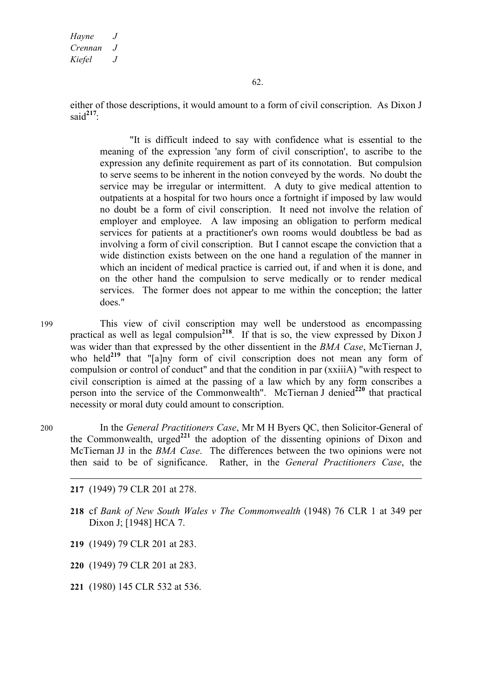either of those descriptions, it would amount to a form of civil conscription. As Dixon J said**<sup>217</sup>**:

"It is difficult indeed to say with confidence what is essential to the meaning of the expression 'any form of civil conscription', to ascribe to the expression any definite requirement as part of its connotation. But compulsion to serve seems to be inherent in the notion conveyed by the words. No doubt the service may be irregular or intermittent. A duty to give medical attention to outpatients at a hospital for two hours once a fortnight if imposed by law would no doubt be a form of civil conscription. It need not involve the relation of employer and employee. A law imposing an obligation to perform medical services for patients at a practitioner's own rooms would doubtless be bad as involving a form of civil conscription. But I cannot escape the conviction that a wide distinction exists between on the one hand a regulation of the manner in which an incident of medical practice is carried out, if and when it is done, and on the other hand the compulsion to serve medically or to render medical services. The former does not appear to me within the conception; the latter does."

199 This view of civil conscription may well be understood as encompassing practical as well as legal compulsion<sup>218</sup>. If that is so, the view expressed by  $\overline{D}$ ixon J was wider than that expressed by the other dissentient in the *BMA Case*, McTiernan J, who held<sup>219</sup> that "[a]ny form of civil conscription does not mean any form of compulsion or control of conduct" and that the condition in par (xxiiiA) "with respect to civil conscription is aimed at the passing of a law which by any form conscribes a person into the service of the Commonwealth". McTiernan J denied**<sup>220</sup>** that practical necessity or moral duty could amount to conscription.

200 In the *General Practitioners Case*, Mr M H Byers QC, then Solicitor-General of the Commonwealth, urged<sup>221</sup> the adoption of the dissenting opinions of Dixon and McTiernan JJ in the *BMA Case*. The differences between the two opinions were not then said to be of significance. Rather, in the *General Practitioners Case*, the

 $\overline{a}$ 

- **218** cf *Bank of New South Wales v The Commonwealth* (1948) 76 CLR 1 at 349 per Dixon J; [1948] HCA 7.
- **219** (1949) 79 CLR 201 at 283.
- **220** (1949) 79 CLR 201 at 283.
- **221** (1980) 145 CLR 532 at 536.

**<sup>217</sup>** (1949) 79 CLR 201 at 278.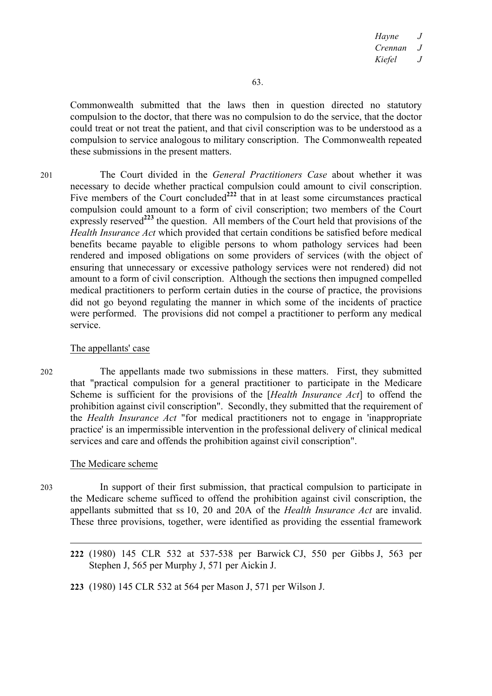Commonwealth submitted that the laws then in question directed no statutory compulsion to the doctor, that there was no compulsion to do the service, that the doctor could treat or not treat the patient, and that civil conscription was to be understood as a compulsion to service analogous to military conscription. The Commonwealth repeated these submissions in the present matters.

201 The Court divided in the *General Practitioners Case* about whether it was necessary to decide whether practical compulsion could amount to civil conscription. Five members of the Court concluded<sup>222</sup> that in at least some circumstances practical compulsion could amount to a form of civil conscription; two members of the Court expressly reserved**<sup>223</sup>** the question. All members of the Court held that provisions of the *Health Insurance Act* which provided that certain conditions be satisfied before medical benefits became payable to eligible persons to whom pathology services had been rendered and imposed obligations on some providers of services (with the object of ensuring that unnecessary or excessive pathology services were not rendered) did not amount to a form of civil conscription. Although the sections then impugned compelled medical practitioners to perform certain duties in the course of practice, the provisions did not go beyond regulating the manner in which some of the incidents of practice were performed. The provisions did not compel a practitioner to perform any medical service.

## The appellants' case

202 The appellants made two submissions in these matters. First, they submitted that "practical compulsion for a general practitioner to participate in the Medicare Scheme is sufficient for the provisions of the [*Health Insurance Act*] to offend the prohibition against civil conscription". Secondly, they submitted that the requirement of the *Health Insurance Act* "for medical practitioners not to engage in 'inappropriate practice' is an impermissible intervention in the professional delivery of clinical medical services and care and offends the prohibition against civil conscription".

# The Medicare scheme

203 In support of their first submission, that practical compulsion to participate in the Medicare scheme sufficed to offend the prohibition against civil conscription, the appellants submitted that ss 10, 20 and 20A of the *Health Insurance Act* are invalid. These three provisions, together, were identified as providing the essential framework

**<sup>222</sup>** (1980) 145 CLR 532 at 537-538 per Barwick CJ, 550 per Gibbs J, 563 per Stephen J, 565 per Murphy J, 571 per Aickin J.

**<sup>223</sup>** (1980) 145 CLR 532 at 564 per Mason J, 571 per Wilson J.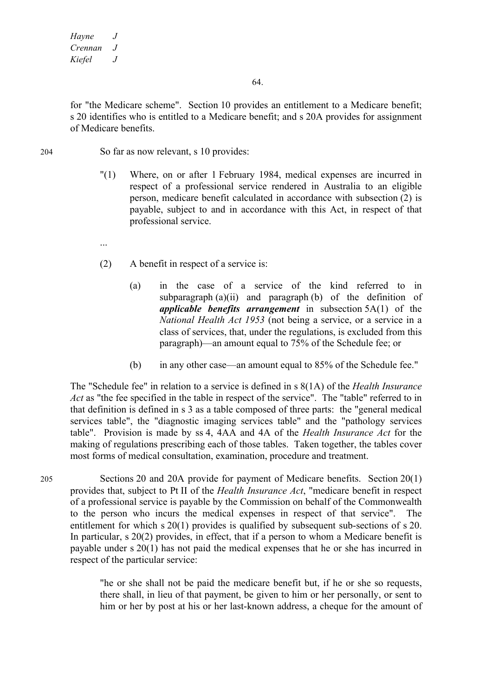...

64.

for "the Medicare scheme". Section 10 provides an entitlement to a Medicare benefit; s 20 identifies who is entitled to a Medicare benefit; and s 20A provides for assignment of Medicare benefits.

- 204 So far as now relevant, s 10 provides:
	- "(1) Where, on or after 1 February 1984, medical expenses are incurred in respect of a professional service rendered in Australia to an eligible person, medicare benefit calculated in accordance with subsection (2) is payable, subject to and in accordance with this Act, in respect of that professional service.
	- (2) A benefit in respect of a service is:
		- (a) in the case of a service of the kind referred to in subparagraph  $(a)(ii)$  and paragraph  $(b)$  of the definition of *applicable benefits arrangement* in subsection 5A(1) of the *National Health Act 1953* (not being a service, or a service in a class of services, that, under the regulations, is excluded from this paragraph)—an amount equal to 75% of the Schedule fee; or
		- (b) in any other case—an amount equal to 85% of the Schedule fee."

The "Schedule fee" in relation to a service is defined in s 8(1A) of the *Health Insurance Act* as "the fee specified in the table in respect of the service". The "table" referred to in that definition is defined in s 3 as a table composed of three parts: the "general medical services table", the "diagnostic imaging services table" and the "pathology services table". Provision is made by ss 4, 4AA and 4A of the *Health Insurance Act* for the making of regulations prescribing each of those tables. Taken together, the tables cover most forms of medical consultation, examination, procedure and treatment.

205 Sections 20 and 20A provide for payment of Medicare benefits. Section 20(1) provides that, subject to Pt II of the *Health Insurance Act*, "medicare benefit in respect of a professional service is payable by the Commission on behalf of the Commonwealth to the person who incurs the medical expenses in respect of that service". The entitlement for which s 20(1) provides is qualified by subsequent sub-sections of s 20. In particular, s 20(2) provides, in effect, that if a person to whom a Medicare benefit is payable under s 20(1) has not paid the medical expenses that he or she has incurred in respect of the particular service:

> "he or she shall not be paid the medicare benefit but, if he or she so requests, there shall, in lieu of that payment, be given to him or her personally, or sent to him or her by post at his or her last-known address, a cheque for the amount of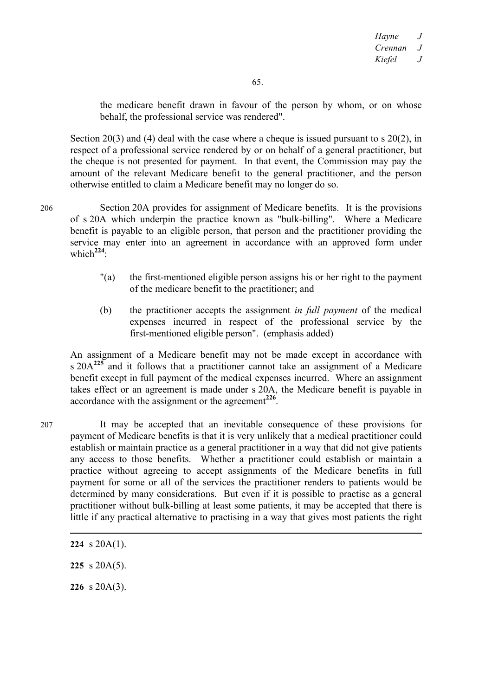the medicare benefit drawn in favour of the person by whom, or on whose behalf, the professional service was rendered".

Section 20(3) and (4) deal with the case where a cheque is issued pursuant to s 20(2), in respect of a professional service rendered by or on behalf of a general practitioner, but the cheque is not presented for payment. In that event, the Commission may pay the amount of the relevant Medicare benefit to the general practitioner, and the person otherwise entitled to claim a Medicare benefit may no longer do so.

206 Section 20A provides for assignment of Medicare benefits. It is the provisions of s 20A which underpin the practice known as "bulk-billing". Where a Medicare benefit is payable to an eligible person, that person and the practitioner providing the service may enter into an agreement in accordance with an approved form under which**<sup>224</sup>**:

- "(a) the first-mentioned eligible person assigns his or her right to the payment of the medicare benefit to the practitioner; and
- (b) the practitioner accepts the assignment *in full payment* of the medical expenses incurred in respect of the professional service by the first-mentioned eligible person". (emphasis added)

An assignment of a Medicare benefit may not be made except in accordance with s 20A**<sup>225</sup>** and it follows that a practitioner cannot take an assignment of a Medicare benefit except in full payment of the medical expenses incurred. Where an assignment takes effect or an agreement is made under s 20A, the Medicare benefit is payable in accordance with the assignment or the agreement**<sup>226</sup>**.

207 It may be accepted that an inevitable consequence of these provisions for payment of Medicare benefits is that it is very unlikely that a medical practitioner could establish or maintain practice as a general practitioner in a way that did not give patients any access to those benefits. Whether a practitioner could establish or maintain a practice without agreeing to accept assignments of the Medicare benefits in full payment for some or all of the services the practitioner renders to patients would be determined by many considerations. But even if it is possible to practise as a general practitioner without bulk-billing at least some patients, it may be accepted that there is little if any practical alternative to practising in a way that gives most patients the right

**225** s 20A(5).

**226** s 20A(3).

**<sup>224</sup>** s 20A(1).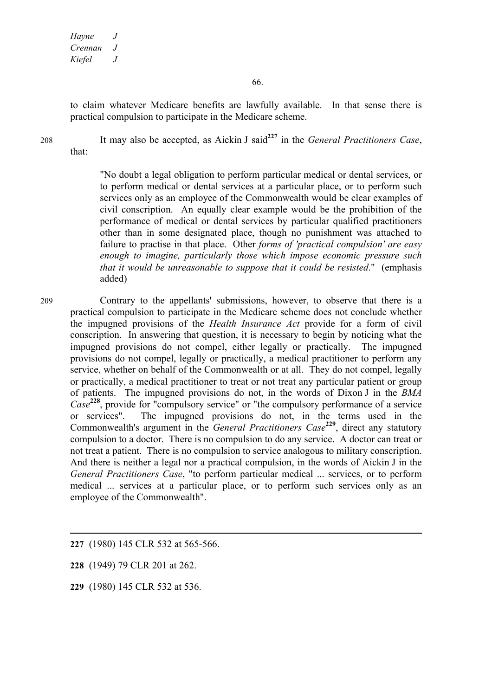to claim whatever Medicare benefits are lawfully available. In that sense there is practical compulsion to participate in the Medicare scheme.

<sup>208</sup> It may also be accepted, as Aickin J said**<sup>227</sup>** in the *General Practitioners Case*, that:

> "No doubt a legal obligation to perform particular medical or dental services, or to perform medical or dental services at a particular place, or to perform such services only as an employee of the Commonwealth would be clear examples of civil conscription. An equally clear example would be the prohibition of the performance of medical or dental services by particular qualified practitioners other than in some designated place, though no punishment was attached to failure to practise in that place. Other *forms of 'practical compulsion' are easy enough to imagine, particularly those which impose economic pressure such that it would be unreasonable to suppose that it could be resisted*." (emphasis added)

209 Contrary to the appellants' submissions, however, to observe that there is a practical compulsion to participate in the Medicare scheme does not conclude whether the impugned provisions of the *Health Insurance Act* provide for a form of civil conscription. In answering that question, it is necessary to begin by noticing what the impugned provisions do not compel, either legally or practically. The impugned provisions do not compel, legally or practically, a medical practitioner to perform any service, whether on behalf of the Commonwealth or at all. They do not compel, legally or practically, a medical practitioner to treat or not treat any particular patient or group of patients. The impugned provisions do not, in the words of Dixon J in the *BMA Case***<sup>228</sup>**, provide for "compulsory service" or "the compulsory performance of a service or services". The impugned provisions do not, in the terms used in the Commonwealth's argument in the *General Practitioners Case***<sup>229</sup>**, direct any statutory compulsion to a doctor. There is no compulsion to do any service. A doctor can treat or not treat a patient. There is no compulsion to service analogous to military conscription. And there is neither a legal nor a practical compulsion, in the words of Aickin J in the *General Practitioners Case*, "to perform particular medical ... services, or to perform medical ... services at a particular place, or to perform such services only as an employee of the Commonwealth".

**<sup>227</sup>** (1980) 145 CLR 532 at 565-566.

**<sup>228</sup>** (1949) 79 CLR 201 at 262.

**<sup>229</sup>** (1980) 145 CLR 532 at 536.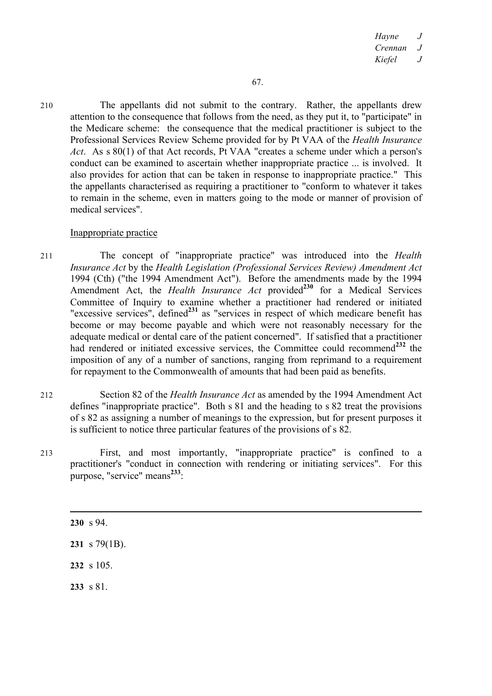210 The appellants did not submit to the contrary. Rather, the appellants drew attention to the consequence that follows from the need, as they put it, to "participate" in the Medicare scheme: the consequence that the medical practitioner is subject to the Professional Services Review Scheme provided for by Pt VAA of the *Health Insurance Act*. As s 80(1) of that Act records, Pt VAA "creates a scheme under which a person's conduct can be examined to ascertain whether inappropriate practice ... is involved. It also provides for action that can be taken in response to inappropriate practice." This the appellants characterised as requiring a practitioner to "conform to whatever it takes to remain in the scheme, even in matters going to the mode or manner of provision of medical services".

## Inappropriate practice

- 211 The concept of "inappropriate practice" was introduced into the *Health Insurance Act* by the *Health Legislation (Professional Services Review) Amendment Act*  1994 (Cth) ("the 1994 Amendment Act"). Before the amendments made by the 1994 Amendment Act, the *Health Insurance Act* provided<sup>230</sup> for a Medical Services Committee of Inquiry to examine whether a practitioner had rendered or initiated "excessive services", defined**<sup>231</sup>** as "services in respect of which medicare benefit has become or may become payable and which were not reasonably necessary for the adequate medical or dental care of the patient concerned". If satisfied that a practitioner had rendered or initiated excessive services, the Committee could recommend**<sup>232</sup>** the imposition of any of a number of sanctions, ranging from reprimand to a requirement for repayment to the Commonwealth of amounts that had been paid as benefits.
- 212 Section 82 of the *Health Insurance Act* as amended by the 1994 Amendment Act defines "inappropriate practice". Both s 81 and the heading to s 82 treat the provisions of s 82 as assigning a number of meanings to the expression, but for present purposes it is sufficient to notice three particular features of the provisions of s 82.
- 213 First, and most importantly, "inappropriate practice" is confined to a practitioner's "conduct in connection with rendering or initiating services". For this purpose, "service" means**<sup>233</sup>**:

 $\overline{a}$ **230** s 94. **231** s 79(1B). **232** s 105.

**233** s 81.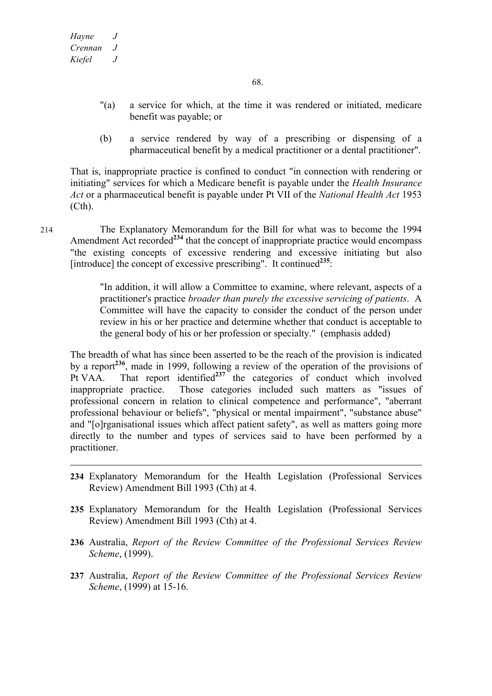- "(a) a service for which, at the time it was rendered or initiated, medicare benefit was payable; or
- (b) a service rendered by way of a prescribing or dispensing of a pharmaceutical benefit by a medical practitioner or a dental practitioner".

That is, inappropriate practice is confined to conduct "in connection with rendering or initiating" services for which a Medicare benefit is payable under the *Health Insurance Act* or a pharmaceutical benefit is payable under Pt VII of the *National Health Act* 1953 (Cth).

214 The Explanatory Memorandum for the Bill for what was to become the 1994 Amendment Act recorded<sup>234</sup> that the concept of inappropriate practice would encompass "the existing concepts of excessive rendering and excessive initiating but also [introduce] the concept of excessive prescribing". It continued<sup>235</sup>:

> "In addition, it will allow a Committee to examine, where relevant, aspects of a practitioner's practice *broader than purely the excessive servicing of patients*. A Committee will have the capacity to consider the conduct of the person under review in his or her practice and determine whether that conduct is acceptable to the general body of his or her profession or specialty." (emphasis added)

The breadth of what has since been asserted to be the reach of the provision is indicated by a report**<sup>236</sup>**, made in 1999, following a review of the operation of the provisions of Pt VAA. That report identified**<sup>237</sup>** the categories of conduct which involved inappropriate practice. Those categories included such matters as "issues of professional concern in relation to clinical competence and performance", "aberrant professional behaviour or beliefs", "physical or mental impairment", "substance abuse" and "[o]rganisational issues which affect patient safety", as well as matters going more directly to the number and types of services said to have been performed by a practitioner.

- **234** Explanatory Memorandum for the Health Legislation (Professional Services Review) Amendment Bill 1993 (Cth) at 4.
- **235** Explanatory Memorandum for the Health Legislation (Professional Services Review) Amendment Bill 1993 (Cth) at 4.
- **236** Australia, *Report of the Review Committee of the Professional Services Review Scheme*, (1999).
- **237** Australia, *Report of the Review Committee of the Professional Services Review Scheme*, (1999) at 15-16.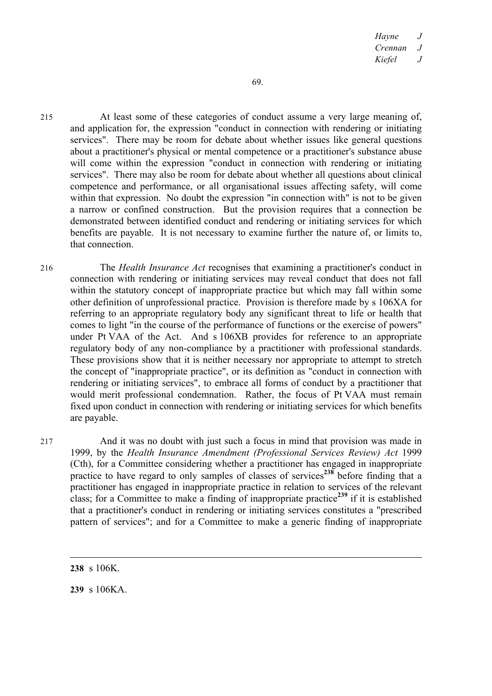215 At least some of these categories of conduct assume a very large meaning of, and application for, the expression "conduct in connection with rendering or initiating services". There may be room for debate about whether issues like general questions about a practitioner's physical or mental competence or a practitioner's substance abuse will come within the expression "conduct in connection with rendering or initiating services". There may also be room for debate about whether all questions about clinical competence and performance, or all organisational issues affecting safety, will come within that expression. No doubt the expression "in connection with" is not to be given a narrow or confined construction. But the provision requires that a connection be demonstrated between identified conduct and rendering or initiating services for which benefits are payable. It is not necessary to examine further the nature of, or limits to, that connection.

216 The *Health Insurance Act* recognises that examining a practitioner's conduct in connection with rendering or initiating services may reveal conduct that does not fall within the statutory concept of inappropriate practice but which may fall within some other definition of unprofessional practice. Provision is therefore made by s 106XA for referring to an appropriate regulatory body any significant threat to life or health that comes to light "in the course of the performance of functions or the exercise of powers" under Pt VAA of the Act. And s 106XB provides for reference to an appropriate regulatory body of any non-compliance by a practitioner with professional standards. These provisions show that it is neither necessary nor appropriate to attempt to stretch the concept of "inappropriate practice", or its definition as "conduct in connection with rendering or initiating services", to embrace all forms of conduct by a practitioner that would merit professional condemnation. Rather, the focus of Pt VAA must remain fixed upon conduct in connection with rendering or initiating services for which benefits are payable.

217 And it was no doubt with just such a focus in mind that provision was made in 1999, by the *Health Insurance Amendment (Professional Services Review) Act* 1999 (Cth), for a Committee considering whether a practitioner has engaged in inappropriate practice to have regard to only samples of classes of services<sup>238</sup> before finding that a practitioner has engaged in inappropriate practice in relation to services of the relevant class; for a Committee to make a finding of inappropriate practice**<sup>239</sup>** if it is established that a practitioner's conduct in rendering or initiating services constitutes a "prescribed pattern of services"; and for a Committee to make a generic finding of inappropriate

**239** s 106KA.

**<sup>238</sup>** s 106K.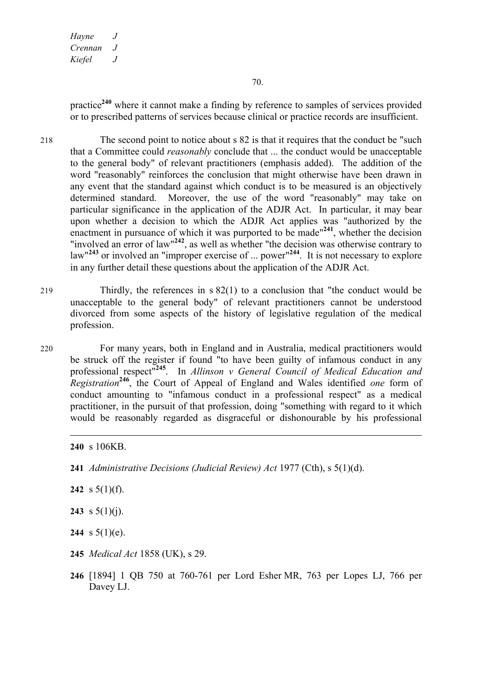practice**<sup>240</sup>** where it cannot make a finding by reference to samples of services provided or to prescribed patterns of services because clinical or practice records are insufficient.

218 The second point to notice about s 82 is that it requires that the conduct be "such that a Committee could *reasonably* conclude that ... the conduct would be unacceptable to the general body" of relevant practitioners (emphasis added). The addition of the word "reasonably" reinforces the conclusion that might otherwise have been drawn in any event that the standard against which conduct is to be measured is an objectively determined standard. Moreover, the use of the word "reasonably" may take on particular significance in the application of the ADJR Act. In particular, it may bear upon whether a decision to which the ADJR Act applies was "authorized by the enactment in pursuance of which it was purported to be made"**<sup>241</sup>**, whether the decision "involved an error of law"**<sup>242</sup>**, as well as whether "the decision was otherwise contrary to law"**<sup>243</sup>** or involved an "improper exercise of ... power"**<sup>244</sup>**. It is not necessary to explore in any further detail these questions about the application of the ADJR Act.

- 219 Thirdly, the references in s 82(1) to a conclusion that "the conduct would be unacceptable to the general body" of relevant practitioners cannot be understood divorced from some aspects of the history of legislative regulation of the medical profession.
- 220 For many years, both in England and in Australia, medical practitioners would be struck off the register if found "to have been guilty of infamous conduct in any professional respect"**<sup>245</sup>**. In *Allinson v General Council of Medical Education and Registration***<sup>246</sup>**, the Court of Appeal of England and Wales identified *one* form of conduct amounting to "infamous conduct in a professional respect" as a medical practitioner, in the pursuit of that profession, doing "something with regard to it which would be reasonably regarded as disgraceful or dishonourable by his professional

- **242** s 5(1)(f).
- **243** s  $5(1)(i)$ .
- **244** s  $5(1)(e)$ .
- **245** *Medical Act* 1858 (UK), s 29.
- **246** [1894] 1 QB 750 at 760-761 per Lord Esher MR, 763 per Lopes LJ, 766 per Davey LJ.

**<sup>240</sup>** s 106KB.

**<sup>241</sup>** *Administrative Decisions (Judicial Review) Act* 1977 (Cth), s 5(1)(d).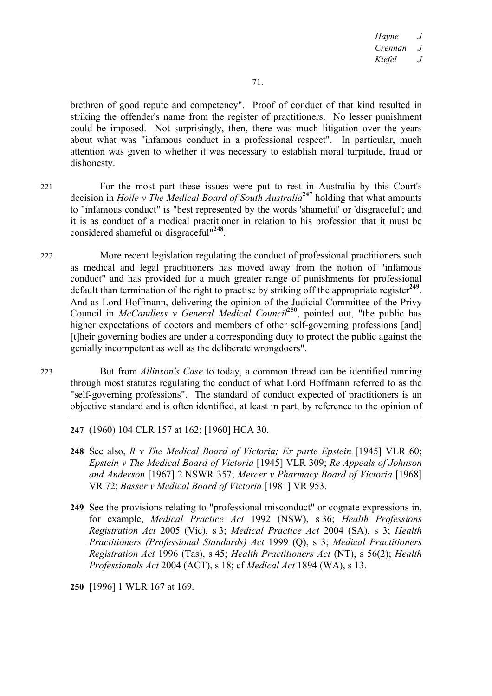brethren of good repute and competency". Proof of conduct of that kind resulted in striking the offender's name from the register of practitioners. No lesser punishment could be imposed. Not surprisingly, then, there was much litigation over the years about what was "infamous conduct in a professional respect". In particular, much attention was given to whether it was necessary to establish moral turpitude, fraud or dishonesty.

221 For the most part these issues were put to rest in Australia by this Court's decision in *Hoile v The Medical Board of South Australia***<sup>247</sup>** holding that what amounts to "infamous conduct" is "best represented by the words 'shameful' or 'disgraceful'; and it is as conduct of a medical practitioner in relation to his profession that it must be considered shameful or disgraceful"**<sup>248</sup>**.

222 More recent legislation regulating the conduct of professional practitioners such as medical and legal practitioners has moved away from the notion of "infamous conduct" and has provided for a much greater range of punishments for professional default than termination of the right to practise by striking off the appropriate register**<sup>249</sup>**. And as Lord Hoffmann, delivering the opinion of the Judicial Committee of the Privy Council in *McCandless v General Medical Council***<sup>250</sup>**, pointed out, "the public has higher expectations of doctors and members of other self-governing professions [and] [t]heir governing bodies are under a corresponding duty to protect the public against the genially incompetent as well as the deliberate wrongdoers".

223 But from *Allinson's Case* to today, a common thread can be identified running through most statutes regulating the conduct of what Lord Hoffmann referred to as the "self-governing professions". The standard of conduct expected of practitioners is an objective standard and is often identified, at least in part, by reference to the opinion of

# **247** (1960) 104 CLR 157 at 162; [1960] HCA 30.

- **248** See also, *R v The Medical Board of Victoria; Ex parte Epstein* [1945] VLR 60; *Epstein v The Medical Board of Victoria* [1945] VLR 309; *Re Appeals of Johnson and Anderson* [1967] 2 NSWR 357; *Mercer v Pharmacy Board of Victoria* [1968] VR 72; *Basser v Medical Board of Victoria* [1981] VR 953.
- **249** See the provisions relating to "professional misconduct" or cognate expressions in, for example, *Medical Practice Act* 1992 (NSW), s 36; *Health Professions Registration Act* 2005 (Vic), s 3; *Medical Practice Act* 2004 (SA), s 3; *Health Practitioners (Professional Standards) Act* 1999 (Q), s 3; *Medical Practitioners Registration Act* 1996 (Tas), s 45; *Health Practitioners Act* (NT), s 56(2); *Health Professionals Act* 2004 (ACT), s 18; cf *Medical Act* 1894 (WA), s 13.
- **250** [1996] 1 WLR 167 at 169.

 $\overline{a}$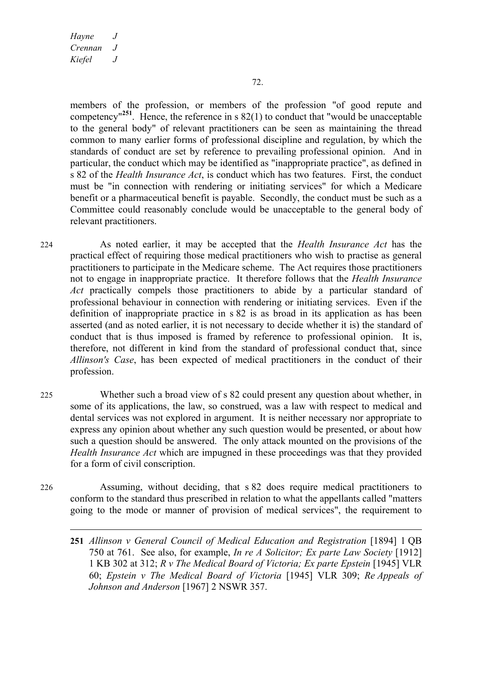members of the profession, or members of the profession "of good repute and competency<sup>"251</sup>. Hence, the reference in s  $82(1)$  to conduct that "would be unacceptable" to the general body" of relevant practitioners can be seen as maintaining the thread common to many earlier forms of professional discipline and regulation, by which the standards of conduct are set by reference to prevailing professional opinion. And in particular, the conduct which may be identified as "inappropriate practice", as defined in s 82 of the *Health Insurance Act*, is conduct which has two features. First, the conduct must be "in connection with rendering or initiating services" for which a Medicare benefit or a pharmaceutical benefit is payable. Secondly, the conduct must be such as a Committee could reasonably conclude would be unacceptable to the general body of relevant practitioners.

224 As noted earlier, it may be accepted that the *Health Insurance Act* has the practical effect of requiring those medical practitioners who wish to practise as general practitioners to participate in the Medicare scheme. The Act requires those practitioners not to engage in inappropriate practice. It therefore follows that the *Health Insurance Act* practically compels those practitioners to abide by a particular standard of professional behaviour in connection with rendering or initiating services. Even if the definition of inappropriate practice in s 82 is as broad in its application as has been asserted (and as noted earlier, it is not necessary to decide whether it is) the standard of conduct that is thus imposed is framed by reference to professional opinion. It is, therefore, not different in kind from the standard of professional conduct that, since *Allinson's Case*, has been expected of medical practitioners in the conduct of their profession.

225 Whether such a broad view of s 82 could present any question about whether, in some of its applications, the law, so construed, was a law with respect to medical and dental services was not explored in argument. It is neither necessary nor appropriate to express any opinion about whether any such question would be presented, or about how such a question should be answered. The only attack mounted on the provisions of the *Health Insurance Act* which are impugned in these proceedings was that they provided for a form of civil conscription.

226 Assuming, without deciding, that s 82 does require medical practitioners to conform to the standard thus prescribed in relation to what the appellants called "matters going to the mode or manner of provision of medical services", the requirement to

**<sup>251</sup>** *Allinson v General Council of Medical Education and Registration* [1894] 1 QB 750 at 761. See also, for example, *In re A Solicitor; Ex parte Law Society* [1912] 1 KB 302 at 312; *R v The Medical Board of Victoria; Ex parte Epstein* [1945] VLR 60; *Epstein v The Medical Board of Victoria* [1945] VLR 309; *Re Appeals of Johnson and Anderson* [1967] 2 NSWR 357.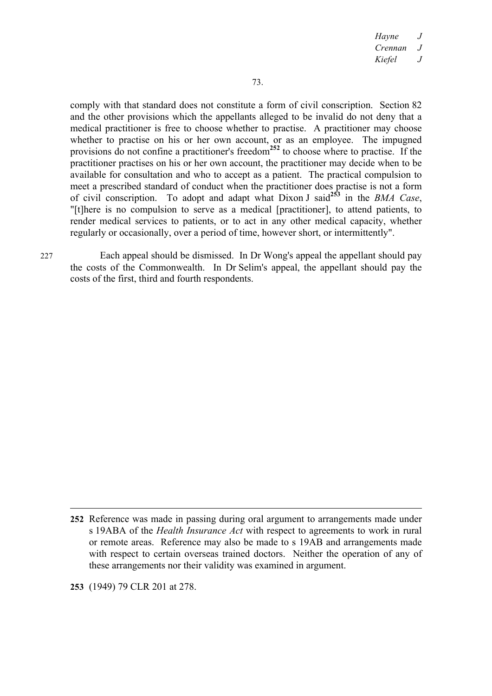*Hayne J Crennan J Kiefel J*

comply with that standard does not constitute a form of civil conscription. Section 82 and the other provisions which the appellants alleged to be invalid do not deny that a medical practitioner is free to choose whether to practise. A practitioner may choose whether to practise on his or her own account, or as an employee. The impugned provisions do not confine a practitioner's freedom**<sup>252</sup>** to choose where to practise. If the practitioner practises on his or her own account, the practitioner may decide when to be available for consultation and who to accept as a patient. The practical compulsion to meet a prescribed standard of conduct when the practitioner does practise is not a form of civil conscription. To adopt and adapt what Dixon J said**<sup>253</sup>** in the *BMA Case*, "[t]here is no compulsion to serve as a medical [practitioner], to attend patients, to render medical services to patients, or to act in any other medical capacity, whether regularly or occasionally, over a period of time, however short, or intermittently".

227 Each appeal should be dismissed. In Dr Wong's appeal the appellant should pay the costs of the Commonwealth. In Dr Selim's appeal, the appellant should pay the costs of the first, third and fourth respondents.

**253** (1949) 79 CLR 201 at 278.

**<sup>252</sup>** Reference was made in passing during oral argument to arrangements made under s 19ABA of the *Health Insurance Act* with respect to agreements to work in rural or remote areas. Reference may also be made to s 19AB and arrangements made with respect to certain overseas trained doctors. Neither the operation of any of these arrangements nor their validity was examined in argument.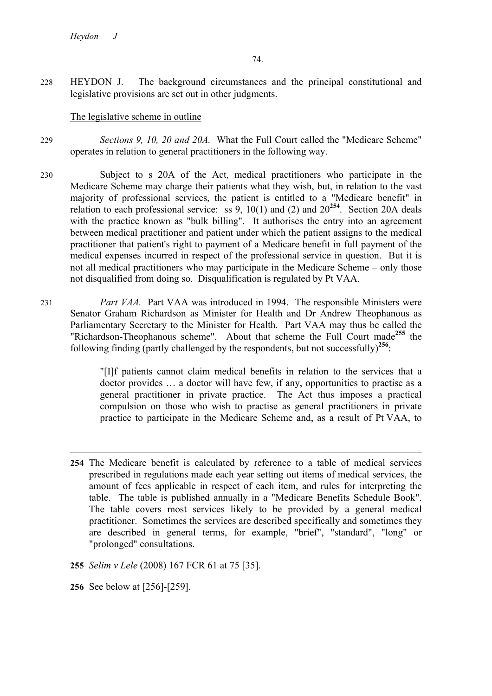228 HEYDON J. The background circumstances and the principal constitutional and legislative provisions are set out in other judgments.

# The legislative scheme in outline

- 229 *Sections 9, 10, 20 and 20A.* What the Full Court called the "Medicare Scheme" operates in relation to general practitioners in the following way.
- 230 Subject to s 20A of the Act, medical practitioners who participate in the Medicare Scheme may charge their patients what they wish, but, in relation to the vast majority of professional services, the patient is entitled to a "Medicare benefit" in relation to each professional service: ss  $9, 10(1)$  and (2) and  $20^{254}$ . Section 20A deals with the practice known as "bulk billing". It authorises the entry into an agreement between medical practitioner and patient under which the patient assigns to the medical practitioner that patient's right to payment of a Medicare benefit in full payment of the medical expenses incurred in respect of the professional service in question. But it is not all medical practitioners who may participate in the Medicare Scheme – only those not disqualified from doing so. Disqualification is regulated by Pt VAA.
- 231 *Part VAA.* Part VAA was introduced in 1994. The responsible Ministers were Senator Graham Richardson as Minister for Health and Dr Andrew Theophanous as Parliamentary Secretary to the Minister for Health. Part VAA may thus be called the "Richardson-Theophanous scheme". About that scheme the Full Court made**<sup>255</sup>** the following finding (partly challenged by the respondents, but not successfully)**<sup>256</sup>**:

"[I]f patients cannot claim medical benefits in relation to the services that a doctor provides … a doctor will have few, if any, opportunities to practise as a general practitioner in private practice. The Act thus imposes a practical compulsion on those who wish to practise as general practitioners in private practice to participate in the Medicare Scheme and, as a result of Pt VAA, to

- **255** *Selim v Lele* (2008) 167 FCR 61 at 75 [35].
- **256** See below at [256]-[259].

**<sup>254</sup>** The Medicare benefit is calculated by reference to a table of medical services prescribed in regulations made each year setting out items of medical services, the amount of fees applicable in respect of each item, and rules for interpreting the table. The table is published annually in a "Medicare Benefits Schedule Book". The table covers most services likely to be provided by a general medical practitioner. Sometimes the services are described specifically and sometimes they are described in general terms, for example, "brief", "standard", "long" or "prolonged" consultations.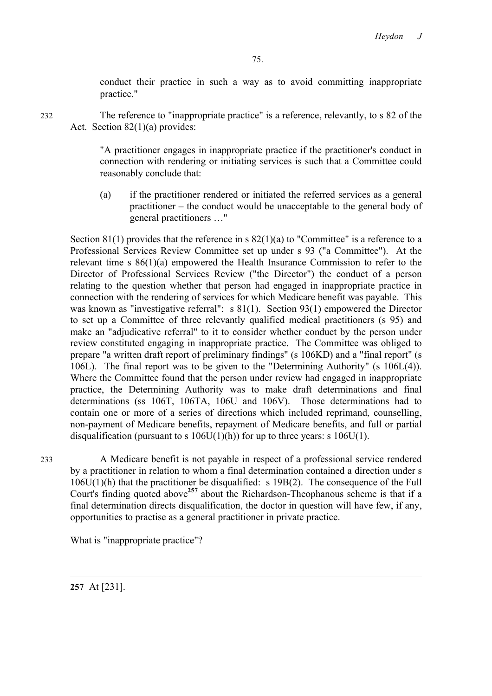conduct their practice in such a way as to avoid committing inappropriate practice."

232 The reference to "inappropriate practice" is a reference, relevantly, to s 82 of the Act. Section 82(1)(a) provides:

> "A practitioner engages in inappropriate practice if the practitioner's conduct in connection with rendering or initiating services is such that a Committee could reasonably conclude that:

> (a) if the practitioner rendered or initiated the referred services as a general practitioner – the conduct would be unacceptable to the general body of general practitioners …"

Section 81(1) provides that the reference in s  $82(1)(a)$  to "Committee" is a reference to a Professional Services Review Committee set up under s 93 ("a Committee"). At the relevant time s 86(1)(a) empowered the Health Insurance Commission to refer to the Director of Professional Services Review ("the Director") the conduct of a person relating to the question whether that person had engaged in inappropriate practice in connection with the rendering of services for which Medicare benefit was payable. This was known as "investigative referral": s 81(1). Section 93(1) empowered the Director to set up a Committee of three relevantly qualified medical practitioners (s 95) and make an "adjudicative referral" to it to consider whether conduct by the person under review constituted engaging in inappropriate practice. The Committee was obliged to prepare "a written draft report of preliminary findings" (s 106KD) and a "final report" (s 106L). The final report was to be given to the "Determining Authority" (s 106L(4)). Where the Committee found that the person under review had engaged in inappropriate practice, the Determining Authority was to make draft determinations and final determinations (ss 106T, 106TA, 106U and 106V). Those determinations had to contain one or more of a series of directions which included reprimand, counselling, non-payment of Medicare benefits, repayment of Medicare benefits, and full or partial disqualification (pursuant to s  $106U(1)(h)$ ) for up to three years: s  $106U(1)$ .

233 A Medicare benefit is not payable in respect of a professional service rendered by a practitioner in relation to whom a final determination contained a direction under s 106U(1)(h) that the practitioner be disqualified: s 19B(2). The consequence of the Full Court's finding quoted above**<sup>257</sup>** about the Richardson-Theophanous scheme is that if a final determination directs disqualification, the doctor in question will have few, if any, opportunities to practise as a general practitioner in private practice.

What is "inappropriate practice"?

**257** At [231].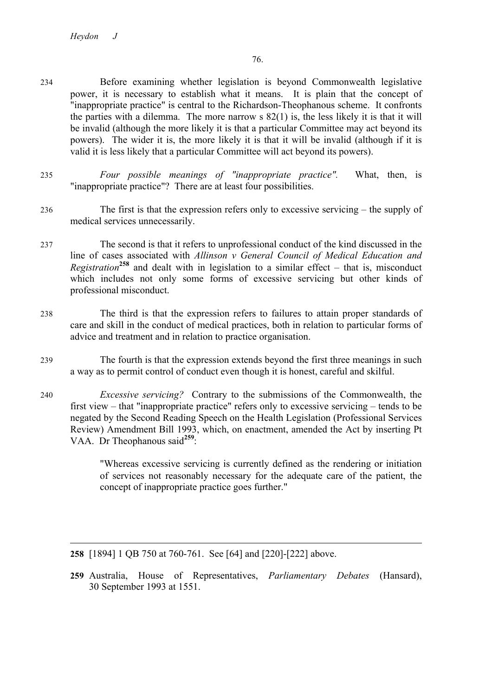- 234 Before examining whether legislation is beyond Commonwealth legislative power, it is necessary to establish what it means. It is plain that the concept of "inappropriate practice" is central to the Richardson-Theophanous scheme. It confronts the parties with a dilemma. The more narrow s 82(1) is, the less likely it is that it will be invalid (although the more likely it is that a particular Committee may act beyond its powers). The wider it is, the more likely it is that it will be invalid (although if it is valid it is less likely that a particular Committee will act beyond its powers).
- 235 *Four possible meanings of "inappropriate practice".* What, then, is "inappropriate practice"? There are at least four possibilities.
- 236 The first is that the expression refers only to excessive servicing the supply of medical services unnecessarily.
- 237 The second is that it refers to unprofessional conduct of the kind discussed in the line of cases associated with *Allinson v General Council of Medical Education and Registration***<sup>258</sup>** and dealt with in legislation to a similar effect – that is, misconduct which includes not only some forms of excessive servicing but other kinds of professional misconduct.
- 238 The third is that the expression refers to failures to attain proper standards of care and skill in the conduct of medical practices, both in relation to particular forms of advice and treatment and in relation to practice organisation.
- 239 The fourth is that the expression extends beyond the first three meanings in such a way as to permit control of conduct even though it is honest, careful and skilful.
- 240 *Excessive servicing?* Contrary to the submissions of the Commonwealth, the first view – that "inappropriate practice" refers only to excessive servicing – tends to be negated by the Second Reading Speech on the Health Legislation (Professional Services Review) Amendment Bill 1993, which, on enactment, amended the Act by inserting Pt VAA. Dr Theophanous said**<sup>259</sup>**:

"Whereas excessive servicing is currently defined as the rendering or initiation of services not reasonably necessary for the adequate care of the patient, the concept of inappropriate practice goes further."

**259** Australia, House of Representatives, *Parliamentary Debates* (Hansard), 30 September 1993 at 1551.

**<sup>258</sup>** [1894] 1 QB 750 at 760-761. See [64] and [220]-[222] above.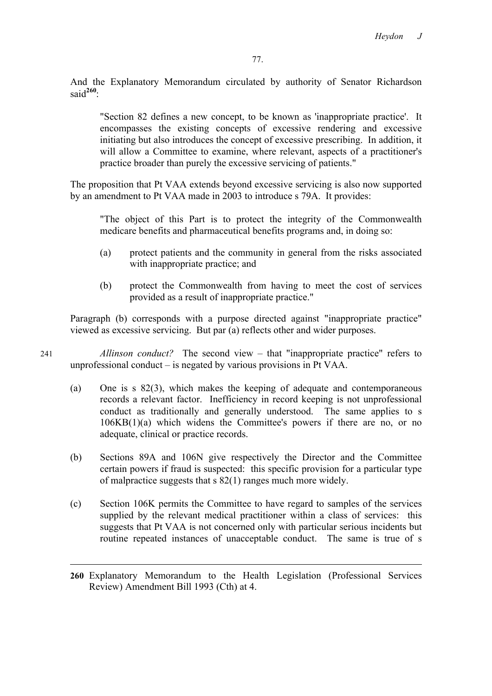And the Explanatory Memorandum circulated by authority of Senator Richardson said<sup>260</sup>:

"Section 82 defines a new concept, to be known as 'inappropriate practice'. It encompasses the existing concepts of excessive rendering and excessive initiating but also introduces the concept of excessive prescribing. In addition, it will allow a Committee to examine, where relevant, aspects of a practitioner's practice broader than purely the excessive servicing of patients."

The proposition that Pt VAA extends beyond excessive servicing is also now supported by an amendment to Pt VAA made in 2003 to introduce s 79A. It provides:

"The object of this Part is to protect the integrity of the Commonwealth medicare benefits and pharmaceutical benefits programs and, in doing so:

- (a) protect patients and the community in general from the risks associated with inappropriate practice; and
- (b) protect the Commonwealth from having to meet the cost of services provided as a result of inappropriate practice."

Paragraph (b) corresponds with a purpose directed against "inappropriate practice" viewed as excessive servicing. But par (a) reflects other and wider purposes.

241 *Allinson conduct?* The second view – that "inappropriate practice" refers to unprofessional conduct – is negated by various provisions in Pt VAA.

- (a) One is s 82(3), which makes the keeping of adequate and contemporaneous records a relevant factor. Inefficiency in record keeping is not unprofessional conduct as traditionally and generally understood. The same applies to s 106KB(1)(a) which widens the Committee's powers if there are no, or no adequate, clinical or practice records.
- (b) Sections 89A and 106N give respectively the Director and the Committee certain powers if fraud is suspected: this specific provision for a particular type of malpractice suggests that s 82(1) ranges much more widely.
- (c) Section 106K permits the Committee to have regard to samples of the services supplied by the relevant medical practitioner within a class of services: this suggests that Pt VAA is not concerned only with particular serious incidents but routine repeated instances of unacceptable conduct. The same is true of s

**<sup>260</sup>** Explanatory Memorandum to the Health Legislation (Professional Services Review) Amendment Bill 1993 (Cth) at 4.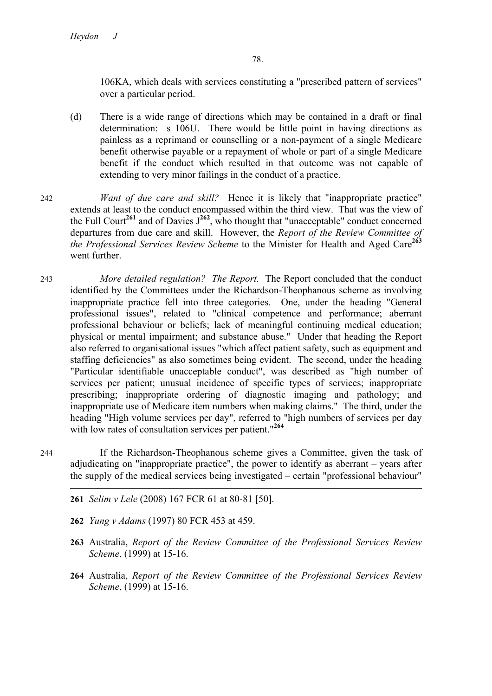106KA, which deals with services constituting a "prescribed pattern of services" over a particular period.

- (d) There is a wide range of directions which may be contained in a draft or final determination: s 106U. There would be little point in having directions as painless as a reprimand or counselling or a non-payment of a single Medicare benefit otherwise payable or a repayment of whole or part of a single Medicare benefit if the conduct which resulted in that outcome was not capable of extending to very minor failings in the conduct of a practice.
- 242 *Want of due care and skill?* Hence it is likely that "inappropriate practice" extends at least to the conduct encompassed within the third view. That was the view of the Full Court<sup>261</sup> and of Davies  $J^{262}$ , who thought that "unacceptable" conduct concerned departures from due care and skill. However, the *Report of the Review Committee of the Professional Services Review Scheme* to the Minister for Health and Aged Care**<sup>263</sup>** went further.
- 243 *More detailed regulation? The Report.* The Report concluded that the conduct identified by the Committees under the Richardson-Theophanous scheme as involving inappropriate practice fell into three categories. One, under the heading "General professional issues", related to "clinical competence and performance; aberrant professional behaviour or beliefs; lack of meaningful continuing medical education; physical or mental impairment; and substance abuse." Under that heading the Report also referred to organisational issues "which affect patient safety, such as equipment and staffing deficiencies" as also sometimes being evident. The second, under the heading "Particular identifiable unacceptable conduct", was described as "high number of services per patient; unusual incidence of specific types of services; inappropriate prescribing; inappropriate ordering of diagnostic imaging and pathology; and inappropriate use of Medicare item numbers when making claims." The third, under the heading "High volume services per day", referred to "high numbers of services per day with low rates of consultation services per patient."**<sup>264</sup>**
- 244 If the Richardson-Theophanous scheme gives a Committee, given the task of adjudicating on "inappropriate practice", the power to identify as aberrant – years after the supply of the medical services being investigated – certain "professional behaviour"
	- **261** *Selim v Lele* (2008) 167 FCR 61 at 80-81 [50].
	- **262** *Yung v Adams* (1997) 80 FCR 453 at 459.

- **263** Australia, *Report of the Review Committee of the Professional Services Review Scheme*, (1999) at 15-16.
- **264** Australia, *Report of the Review Committee of the Professional Services Review Scheme*, (1999) at 15-16.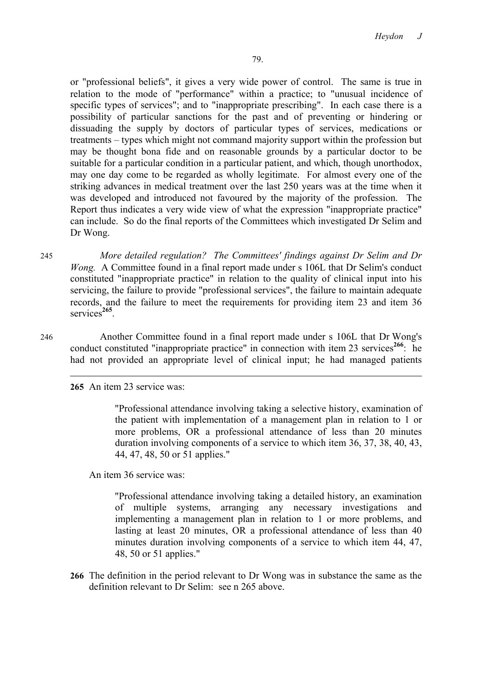or "professional beliefs", it gives a very wide power of control. The same is true in relation to the mode of "performance" within a practice; to "unusual incidence of specific types of services"; and to "inappropriate prescribing". In each case there is a possibility of particular sanctions for the past and of preventing or hindering or dissuading the supply by doctors of particular types of services, medications or treatments – types which might not command majority support within the profession but may be thought bona fide and on reasonable grounds by a particular doctor to be suitable for a particular condition in a particular patient, and which, though unorthodox, may one day come to be regarded as wholly legitimate. For almost every one of the striking advances in medical treatment over the last 250 years was at the time when it was developed and introduced not favoured by the majority of the profession. The Report thus indicates a very wide view of what the expression "inappropriate practice" can include. So do the final reports of the Committees which investigated Dr Selim and Dr Wong.

245 *More detailed regulation? The Committees' findings against Dr Selim and Dr Wong.* A Committee found in a final report made under s 106L that Dr Selim's conduct constituted "inappropriate practice" in relation to the quality of clinical input into his servicing, the failure to provide "professional services", the failure to maintain adequate records, and the failure to meet the requirements for providing item 23 and item 36 services<sup>265</sup>

246 Another Committee found in a final report made under s 106L that Dr Wong's conduct constituted "inappropriate practice" in connection with item 23 services<sup>266</sup>: he had not provided an appropriate level of clinical input; he had managed patients

**265** An item 23 service was:

"Professional attendance involving taking a selective history, examination of the patient with implementation of a management plan in relation to 1 or more problems, OR a professional attendance of less than 20 minutes duration involving components of a service to which item 36, 37, 38, 40, 43, 44, 47, 48, 50 or 51 applies."

An item 36 service was:

"Professional attendance involving taking a detailed history, an examination of multiple systems, arranging any necessary investigations and implementing a management plan in relation to 1 or more problems, and lasting at least 20 minutes, OR a professional attendance of less than 40 minutes duration involving components of a service to which item 44, 47, 48, 50 or 51 applies."

**266** The definition in the period relevant to Dr Wong was in substance the same as the definition relevant to Dr Selim: see n 265 above.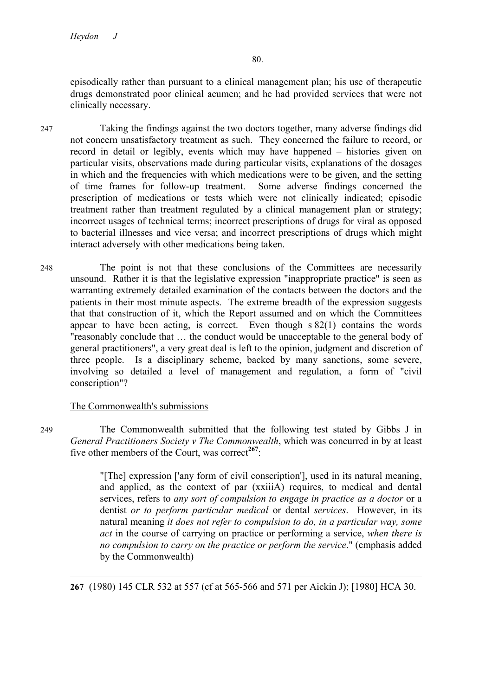episodically rather than pursuant to a clinical management plan; his use of therapeutic drugs demonstrated poor clinical acumen; and he had provided services that were not clinically necessary.

- 247 Taking the findings against the two doctors together, many adverse findings did not concern unsatisfactory treatment as such. They concerned the failure to record, or record in detail or legibly, events which may have happened – histories given on particular visits, observations made during particular visits, explanations of the dosages in which and the frequencies with which medications were to be given, and the setting of time frames for follow-up treatment. Some adverse findings concerned the prescription of medications or tests which were not clinically indicated; episodic treatment rather than treatment regulated by a clinical management plan or strategy; incorrect usages of technical terms; incorrect prescriptions of drugs for viral as opposed to bacterial illnesses and vice versa; and incorrect prescriptions of drugs which might interact adversely with other medications being taken.
- 248 The point is not that these conclusions of the Committees are necessarily unsound. Rather it is that the legislative expression "inappropriate practice" is seen as warranting extremely detailed examination of the contacts between the doctors and the patients in their most minute aspects. The extreme breadth of the expression suggests that that construction of it, which the Report assumed and on which the Committees appear to have been acting, is correct. Even though s 82(1) contains the words "reasonably conclude that … the conduct would be unacceptable to the general body of general practitioners", a very great deal is left to the opinion, judgment and discretion of three people. Is a disciplinary scheme, backed by many sanctions, some severe, involving so detailed a level of management and regulation, a form of "civil conscription"?

### The Commonwealth's submissions

 $\overline{a}$ 

249 The Commonwealth submitted that the following test stated by Gibbs J in *General Practitioners Society v The Commonwealth*, which was concurred in by at least five other members of the Court, was correct<sup>267</sup>:

> "[The] expression ['any form of civil conscription'], used in its natural meaning, and applied, as the context of par (xxiiiA) requires, to medical and dental services, refers to *any sort of compulsion to engage in practice as a doctor* or a dentist *or to perform particular medical* or dental *services*. However, in its natural meaning *it does not refer to compulsion to do, in a particular way, some act* in the course of carrying on practice or performing a service, *when there is no compulsion to carry on the practice or perform the service*." (emphasis added by the Commonwealth)

**267** (1980) 145 CLR 532 at 557 (cf at 565-566 and 571 per Aickin J); [1980] HCA 30.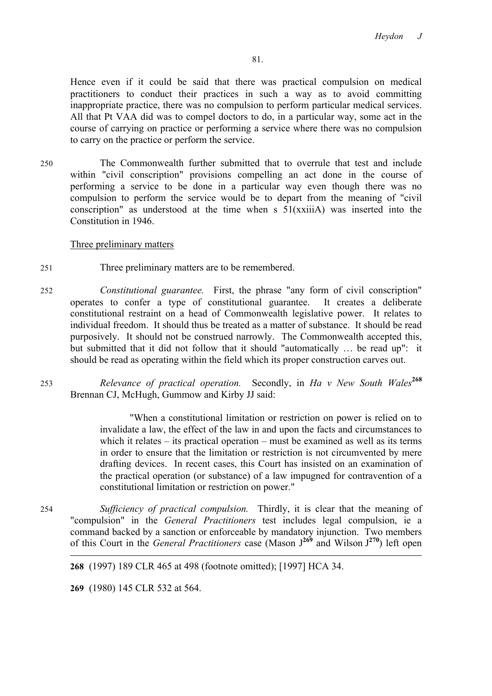Hence even if it could be said that there was practical compulsion on medical practitioners to conduct their practices in such a way as to avoid committing inappropriate practice, there was no compulsion to perform particular medical services. All that Pt VAA did was to compel doctors to do, in a particular way, some act in the course of carrying on practice or performing a service where there was no compulsion to carry on the practice or perform the service.

250 The Commonwealth further submitted that to overrule that test and include within "civil conscription" provisions compelling an act done in the course of performing a service to be done in a particular way even though there was no compulsion to perform the service would be to depart from the meaning of "civil conscription" as understood at the time when s  $51(xxii)$  was inserted into the Constitution in 1946.

### Three preliminary matters

- 251 Three preliminary matters are to be remembered.
- 252 *Constitutional guarantee.* First, the phrase "any form of civil conscription" operates to confer a type of constitutional guarantee. It creates a deliberate constitutional restraint on a head of Commonwealth legislative power. It relates to individual freedom. It should thus be treated as a matter of substance. It should be read purposively. It should not be construed narrowly. The Commonwealth accepted this, but submitted that it did not follow that it should "automatically … be read up": it should be read as operating within the field which its proper construction carves out.
- <sup>253</sup> *Relevance of practical operation.* Secondly, in *Ha v New South Wales***<sup>268</sup>** Brennan CJ, McHugh, Gummow and Kirby JJ said:

"When a constitutional limitation or restriction on power is relied on to invalidate a law, the effect of the law in and upon the facts and circumstances to which it relates – its practical operation – must be examined as well as its terms in order to ensure that the limitation or restriction is not circumvented by mere drafting devices. In recent cases, this Court has insisted on an examination of the practical operation (or substance) of a law impugned for contravention of a constitutional limitation or restriction on power."

254 *Sufficiency of practical compulsion.* Thirdly, it is clear that the meaning of "compulsion" in the *General Practitioners* test includes legal compulsion, ie a command backed by a sanction or enforceable by mandatory injunction. Two members of this Court in the *General Practitioners* case (Mason J**<sup>269</sup>** and Wilson J **<sup>270</sup>**) left open  $\overline{a}$ 

**268** (1997) 189 CLR 465 at 498 (footnote omitted); [1997] HCA 34.

**269** (1980) 145 CLR 532 at 564.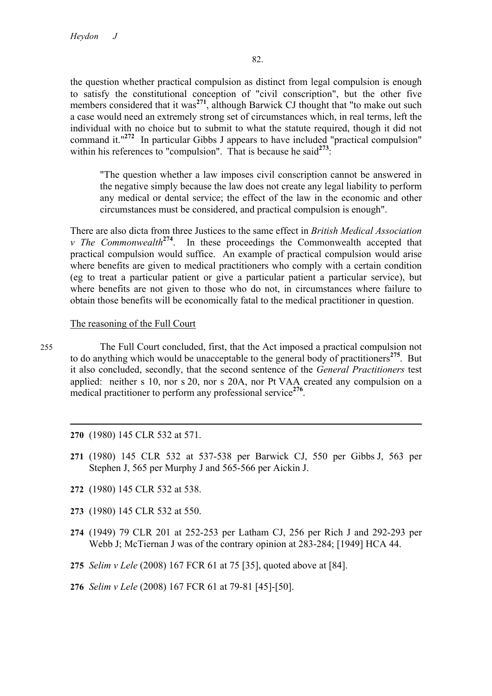the question whether practical compulsion as distinct from legal compulsion is enough to satisfy the constitutional conception of "civil conscription", but the other five members considered that it was<sup>271</sup>, although Barwick CJ thought that "to make out such a case would need an extremely strong set of circumstances which, in real terms, left the individual with no choice but to submit to what the statute required, though it did not command it."**<sup>272</sup>** In particular Gibbs J appears to have included "practical compulsion" within his references to "compulsion". That is because he said<sup>273</sup>:

"The question whether a law imposes civil conscription cannot be answered in the negative simply because the law does not create any legal liability to perform any medical or dental service; the effect of the law in the economic and other circumstances must be considered, and practical compulsion is enough".

There are also dicta from three Justices to the same effect in *British Medical Association v The Commonwealth***<sup>274</sup>**. In these proceedings the Commonwealth accepted that practical compulsion would suffice. An example of practical compulsion would arise where benefits are given to medical practitioners who comply with a certain condition (eg to treat a particular patient or give a particular patient a particular service), but where benefits are not given to those who do not, in circumstances where failure to obtain those benefits will be economically fatal to the medical practitioner in question.

### The reasoning of the Full Court

- 255 The Full Court concluded, first, that the Act imposed a practical compulsion not to do anything which would be unacceptable to the general body of practitioners**<sup>275</sup>**. But it also concluded, secondly, that the second sentence of the *General Practitioners* test applied: neither s 10, nor s 20, nor s 20A, nor Pt VAA created any compulsion on a medical practitioner to perform any professional service<sup>276</sup>.
	- **270** (1980) 145 CLR 532 at 571.

- **271** (1980) 145 CLR 532 at 537-538 per Barwick CJ, 550 per Gibbs J, 563 per Stephen J, 565 per Murphy J and 565-566 per Aickin J.
- **272** (1980) 145 CLR 532 at 538.
- **273** (1980) 145 CLR 532 at 550.
- **274** (1949) 79 CLR 201 at 252-253 per Latham CJ, 256 per Rich J and 292-293 per Webb J; McTiernan J was of the contrary opinion at 283-284; [1949] HCA 44.
- **275** *Selim v Lele* (2008) 167 FCR 61 at 75 [35], quoted above at [84].
- **276** *Selim v Lele* (2008) 167 FCR 61 at 79-81 [45]-[50].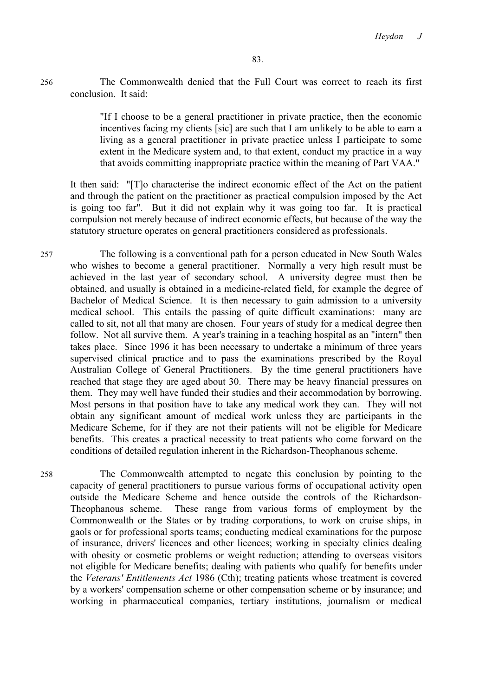256 The Commonwealth denied that the Full Court was correct to reach its first conclusion. It said:

> "If I choose to be a general practitioner in private practice, then the economic incentives facing my clients [sic] are such that I am unlikely to be able to earn a living as a general practitioner in private practice unless I participate to some extent in the Medicare system and, to that extent, conduct my practice in a way that avoids committing inappropriate practice within the meaning of Part VAA."

It then said: "[T]o characterise the indirect economic effect of the Act on the patient and through the patient on the practitioner as practical compulsion imposed by the Act is going too far". But it did not explain why it was going too far. It is practical compulsion not merely because of indirect economic effects, but because of the way the statutory structure operates on general practitioners considered as professionals.

257 The following is a conventional path for a person educated in New South Wales who wishes to become a general practitioner. Normally a very high result must be achieved in the last year of secondary school. A university degree must then be obtained, and usually is obtained in a medicine-related field, for example the degree of Bachelor of Medical Science. It is then necessary to gain admission to a university medical school. This entails the passing of quite difficult examinations: many are called to sit, not all that many are chosen. Four years of study for a medical degree then follow. Not all survive them. A year's training in a teaching hospital as an "intern" then takes place. Since 1996 it has been necessary to undertake a minimum of three years supervised clinical practice and to pass the examinations prescribed by the Royal Australian College of General Practitioners. By the time general practitioners have reached that stage they are aged about 30. There may be heavy financial pressures on them. They may well have funded their studies and their accommodation by borrowing. Most persons in that position have to take any medical work they can. They will not obtain any significant amount of medical work unless they are participants in the Medicare Scheme, for if they are not their patients will not be eligible for Medicare benefits. This creates a practical necessity to treat patients who come forward on the conditions of detailed regulation inherent in the Richardson-Theophanous scheme.

258 The Commonwealth attempted to negate this conclusion by pointing to the capacity of general practitioners to pursue various forms of occupational activity open outside the Medicare Scheme and hence outside the controls of the Richardson-Theophanous scheme. These range from various forms of employment by the Commonwealth or the States or by trading corporations, to work on cruise ships, in gaols or for professional sports teams; conducting medical examinations for the purpose of insurance, drivers' licences and other licences; working in specialty clinics dealing with obesity or cosmetic problems or weight reduction; attending to overseas visitors not eligible for Medicare benefits; dealing with patients who qualify for benefits under the *Veterans' Entitlements Act* 1986 (Cth); treating patients whose treatment is covered by a workers' compensation scheme or other compensation scheme or by insurance; and working in pharmaceutical companies, tertiary institutions, journalism or medical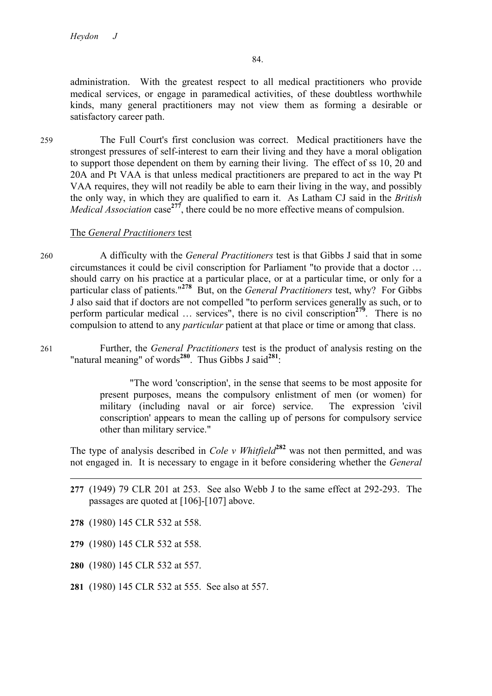84.

administration. With the greatest respect to all medical practitioners who provide medical services, or engage in paramedical activities, of these doubtless worthwhile kinds, many general practitioners may not view them as forming a desirable or satisfactory career path.

259 The Full Court's first conclusion was correct. Medical practitioners have the strongest pressures of self-interest to earn their living and they have a moral obligation to support those dependent on them by earning their living. The effect of ss 10, 20 and 20A and Pt VAA is that unless medical practitioners are prepared to act in the way Pt VAA requires, they will not readily be able to earn their living in the way, and possibly the only way, in which they are qualified to earn it. As Latham CJ said in the *British Medical Association* case<sup>277</sup>, there could be no more effective means of compulsion.

### The *General Practitioners* test

- 260 A difficulty with the *General Practitioners* test is that Gibbs J said that in some circumstances it could be civil conscription for Parliament "to provide that a doctor … should carry on his practice at a particular place, or at a particular time, or only for a particular class of patients."**<sup>278</sup>** But, on the *General Practitioners* test, why? For Gibbs J also said that if doctors are not compelled "to perform services generally as such, or to perform particular medical … services", there is no civil conscription**<sup>279</sup>**. There is no compulsion to attend to any *particular* patient at that place or time or among that class.
- 261 Further, the *General Practitioners* test is the product of analysis resting on the "natural meaning" of words<sup>280</sup>. Thus Gibbs J said<sup>281</sup>:

"The word 'conscription', in the sense that seems to be most apposite for present purposes, means the compulsory enlistment of men (or women) for military (including naval or air force) service. The expression 'civil conscription' appears to mean the calling up of persons for compulsory service other than military service."

The type of analysis described in *Cole v Whitfield*<sup>282</sup> was not then permitted, and was not engaged in. It is necessary to engage in it before considering whether the *General* 

- **277** (1949) 79 CLR 201 at 253. See also Webb J to the same effect at 292-293. The passages are quoted at [106]-[107] above.
- **278** (1980) 145 CLR 532 at 558.

- **279** (1980) 145 CLR 532 at 558.
- **280** (1980) 145 CLR 532 at 557.
- **281** (1980) 145 CLR 532 at 555. See also at 557.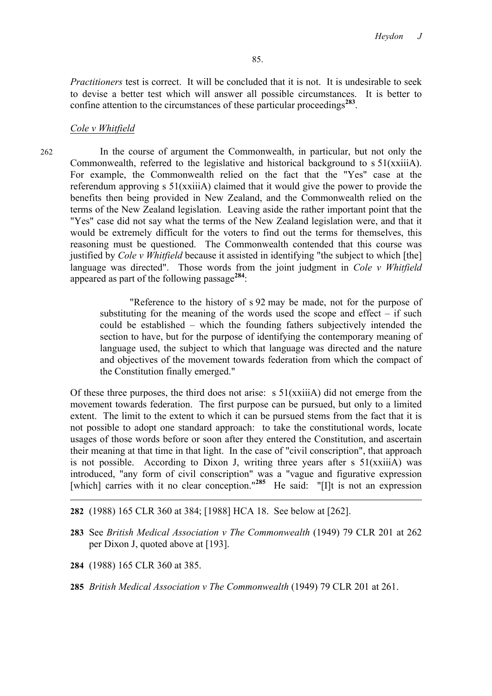*Practitioners* test is correct. It will be concluded that it is not. It is undesirable to seek to devise a better test which will answer all possible circumstances. It is better to confine attention to the circumstances of these particular proceedings**<sup>283</sup>**.

### *Cole v Whitfield*

262 In the course of argument the Commonwealth, in particular, but not only the Commonwealth, referred to the legislative and historical background to s 51(xxiiiA). For example, the Commonwealth relied on the fact that the "Yes" case at the referendum approving s 51(xxiiiA) claimed that it would give the power to provide the benefits then being provided in New Zealand, and the Commonwealth relied on the terms of the New Zealand legislation. Leaving aside the rather important point that the "Yes" case did not say what the terms of the New Zealand legislation were, and that it would be extremely difficult for the voters to find out the terms for themselves, this reasoning must be questioned. The Commonwealth contended that this course was justified by *Cole v Whitfield* because it assisted in identifying "the subject to which [the] language was directed". Those words from the joint judgment in *Cole v Whitfield* appeared as part of the following passage**<sup>284</sup>**:

> "Reference to the history of s 92 may be made, not for the purpose of substituting for the meaning of the words used the scope and effect  $-$  if such could be established – which the founding fathers subjectively intended the section to have, but for the purpose of identifying the contemporary meaning of language used, the subject to which that language was directed and the nature and objectives of the movement towards federation from which the compact of the Constitution finally emerged."

Of these three purposes, the third does not arise:  $s 51(xxii)$  did not emerge from the movement towards federation. The first purpose can be pursued, but only to a limited extent. The limit to the extent to which it can be pursued stems from the fact that it is not possible to adopt one standard approach: to take the constitutional words, locate usages of those words before or soon after they entered the Constitution, and ascertain their meaning at that time in that light. In the case of "civil conscription", that approach is not possible. According to Dixon J, writing three years after  $s \sim 51(x\pi i iA)$  was introduced, "any form of civil conscription" was a "vague and figurative expression [which] carries with it no clear conception."**<sup>285</sup>** He said: "[I]t is not an expression

**282** (1988) 165 CLR 360 at 384; [1988] HCA 18. See below at [262].

- **283** See *British Medical Association v The Commonwealth* (1949) 79 CLR 201 at 262 per Dixon J, quoted above at [193].
- **284** (1988) 165 CLR 360 at 385.

**285** *British Medical Association v The Commonwealth* (1949) 79 CLR 201 at 261.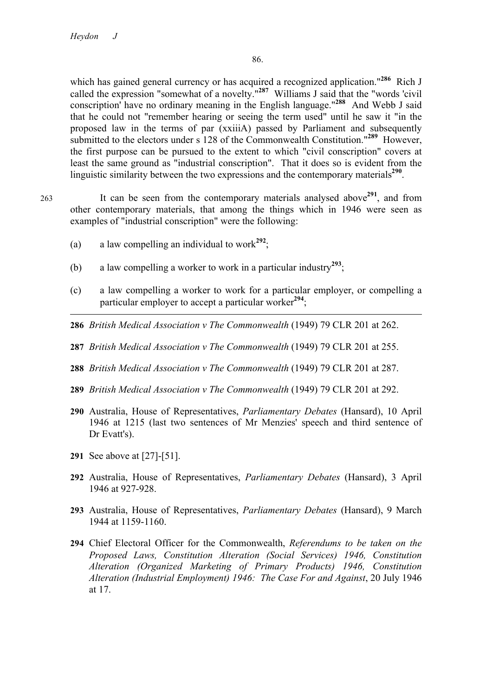$\overline{a}$ 

which has gained general currency or has acquired a recognized application."**<sup>286</sup>** Rich J called the expression "somewhat of a novelty."**<sup>287</sup>** Williams J said that the "words 'civil conscription' have no ordinary meaning in the English language."**<sup>288</sup>** And Webb J said that he could not "remember hearing or seeing the term used" until he saw it "in the proposed law in the terms of par (xxiiiA) passed by Parliament and subsequently submitted to the electors under s 128 of the Commonwealth Constitution."**<sup>289</sup>** However, the first purpose can be pursued to the extent to which "civil conscription" covers at least the same ground as "industrial conscription". That it does so is evident from the linguistic similarity between the two expressions and the contemporary materials**<sup>290</sup>**.

<sup>263</sup> It can be seen from the contemporary materials analysed above**<sup>291</sup>**, and from other contemporary materials, that among the things which in 1946 were seen as examples of "industrial conscription" were the following:

- (a) a law compelling an individual to work<sup>292</sup>;
- (b) a law compelling a worker to work in a particular industry<sup>293</sup>;
- (c) a law compelling a worker to work for a particular employer, or compelling a particular employer to accept a particular worker<sup>294</sup>;
- **286** *British Medical Association v The Commonwealth* (1949) 79 CLR 201 at 262.
- **287** *British Medical Association v The Commonwealth* (1949) 79 CLR 201 at 255.
- **288** *British Medical Association v The Commonwealth* (1949) 79 CLR 201 at 287.
- **289** *British Medical Association v The Commonwealth* (1949) 79 CLR 201 at 292.
- **290** Australia, House of Representatives, *Parliamentary Debates* (Hansard), 10 April 1946 at 1215 (last two sentences of Mr Menzies' speech and third sentence of Dr Evatt's).
- **291** See above at [27]-[51].
- **292** Australia, House of Representatives, *Parliamentary Debates* (Hansard), 3 April 1946 at 927-928.
- **293** Australia, House of Representatives, *Parliamentary Debates* (Hansard), 9 March 1944 at 1159-1160.
- **294** Chief Electoral Officer for the Commonwealth, *Referendums to be taken on the Proposed Laws, Constitution Alteration (Social Services) 1946, Constitution Alteration (Organized Marketing of Primary Products) 1946, Constitution Alteration (Industrial Employment) 1946: The Case For and Against*, 20 July 1946 at 17.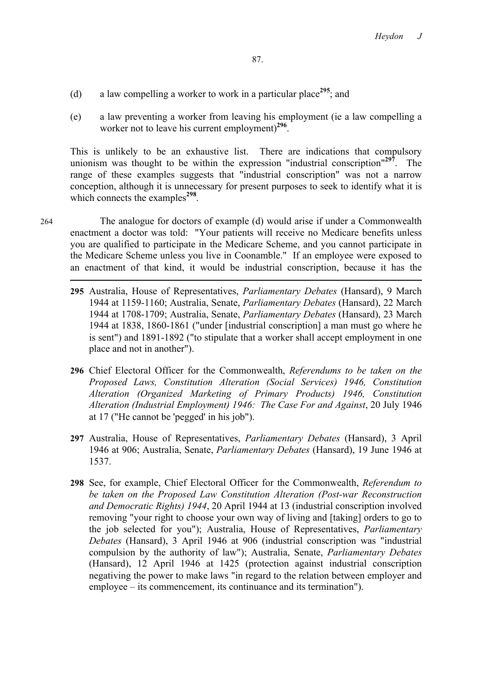- (d) a law compelling a worker to work in a particular place**<sup>295</sup>**; and
- (e) a law preventing a worker from leaving his employment (ie a law compelling a worker not to leave his current employment)**<sup>296</sup>**.

This is unlikely to be an exhaustive list. There are indications that compulsory unionism was thought to be within the expression "industrial conscription"**<sup>297</sup>**. The range of these examples suggests that "industrial conscription" was not a narrow conception, although it is unnecessary for present purposes to seek to identify what it is which connects the examples<sup>298</sup>.

264 The analogue for doctors of example (d) would arise if under a Commonwealth enactment a doctor was told: "Your patients will receive no Medicare benefits unless you are qualified to participate in the Medicare Scheme, and you cannot participate in the Medicare Scheme unless you live in Coonamble." If an employee were exposed to an enactment of that kind, it would be industrial conscription, because it has the

- **295** Australia, House of Representatives, *Parliamentary Debates* (Hansard), 9 March 1944 at 1159-1160; Australia, Senate, *Parliamentary Debates* (Hansard), 22 March 1944 at 1708-1709; Australia, Senate, *Parliamentary Debates* (Hansard), 23 March 1944 at 1838, 1860-1861 ("under [industrial conscription] a man must go where he is sent") and 1891-1892 ("to stipulate that a worker shall accept employment in one place and not in another").
- **296** Chief Electoral Officer for the Commonwealth, *Referendums to be taken on the Proposed Laws, Constitution Alteration (Social Services) 1946, Constitution Alteration (Organized Marketing of Primary Products) 1946, Constitution Alteration (Industrial Employment) 1946: The Case For and Against*, 20 July 1946 at 17 ("He cannot be 'pegged' in his job").
- **297** Australia, House of Representatives, *Parliamentary Debates* (Hansard), 3 April 1946 at 906; Australia, Senate, *Parliamentary Debates* (Hansard), 19 June 1946 at 1537.
- **298** See, for example, Chief Electoral Officer for the Commonwealth, *Referendum to be taken on the Proposed Law Constitution Alteration (Post-war Reconstruction and Democratic Rights) 1944*, 20 April 1944 at 13 (industrial conscription involved removing "your right to choose your own way of living and [taking] orders to go to the job selected for you"); Australia, House of Representatives, *Parliamentary Debates* (Hansard), 3 April 1946 at 906 (industrial conscription was "industrial compulsion by the authority of law"); Australia, Senate, *Parliamentary Debates*  (Hansard), 12 April 1946 at 1425 (protection against industrial conscription negativing the power to make laws "in regard to the relation between employer and employee – its commencement, its continuance and its termination").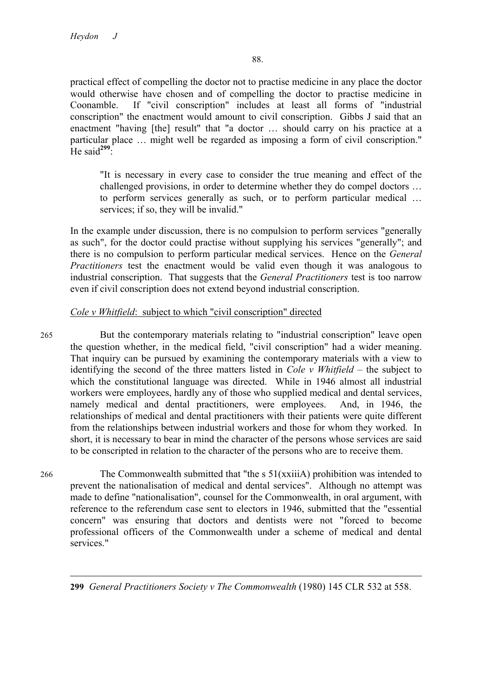practical effect of compelling the doctor not to practise medicine in any place the doctor would otherwise have chosen and of compelling the doctor to practise medicine in Coonamble. If "civil conscription" includes at least all forms of "industrial conscription" the enactment would amount to civil conscription. Gibbs J said that an enactment "having [the] result" that "a doctor ... should carry on his practice at a particular place … might well be regarded as imposing a form of civil conscription." He said<sup>299</sup>:

"It is necessary in every case to consider the true meaning and effect of the challenged provisions, in order to determine whether they do compel doctors … to perform services generally as such, or to perform particular medical … services; if so, they will be invalid."

In the example under discussion, there is no compulsion to perform services "generally as such", for the doctor could practise without supplying his services "generally"; and there is no compulsion to perform particular medical services. Hence on the *General Practitioners* test the enactment would be valid even though it was analogous to industrial conscription. That suggests that the *General Practitioners* test is too narrow even if civil conscription does not extend beyond industrial conscription.

# *Cole v Whitfield*: subject to which "civil conscription" directed

265 But the contemporary materials relating to "industrial conscription" leave open the question whether, in the medical field, "civil conscription" had a wider meaning. That inquiry can be pursued by examining the contemporary materials with a view to identifying the second of the three matters listed in *Cole v Whitfield* – the subject to which the constitutional language was directed. While in 1946 almost all industrial workers were employees, hardly any of those who supplied medical and dental services, namely medical and dental practitioners, were employees. And, in 1946, the relationships of medical and dental practitioners with their patients were quite different from the relationships between industrial workers and those for whom they worked. In short, it is necessary to bear in mind the character of the persons whose services are said to be conscripted in relation to the character of the persons who are to receive them.

266 The Commonwealth submitted that "the s 51(xxiiiA) prohibition was intended to prevent the nationalisation of medical and dental services". Although no attempt was made to define "nationalisation", counsel for the Commonwealth, in oral argument, with reference to the referendum case sent to electors in 1946, submitted that the "essential concern" was ensuring that doctors and dentists were not "forced to become professional officers of the Commonwealth under a scheme of medical and dental services."

**299** *General Practitioners Society v The Commonwealth* (1980) 145 CLR 532 at 558.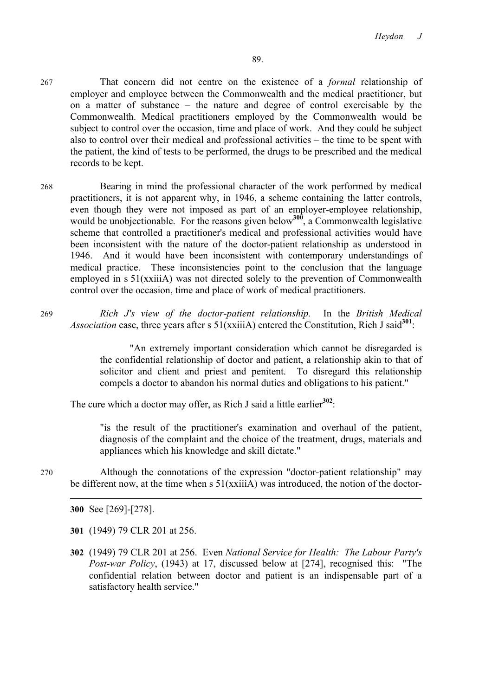- 267 That concern did not centre on the existence of a *formal* relationship of employer and employee between the Commonwealth and the medical practitioner, but on a matter of substance – the nature and degree of control exercisable by the Commonwealth. Medical practitioners employed by the Commonwealth would be subject to control over the occasion, time and place of work. And they could be subject also to control over their medical and professional activities – the time to be spent with the patient, the kind of tests to be performed, the drugs to be prescribed and the medical records to be kept.
- 268 Bearing in mind the professional character of the work performed by medical practitioners, it is not apparent why, in 1946, a scheme containing the latter controls, even though they were not imposed as part of an employer-employee relationship, would be unobjectionable. For the reasons given below<sup>300</sup>, a Commonwealth legislative scheme that controlled a practitioner's medical and professional activities would have been inconsistent with the nature of the doctor-patient relationship as understood in 1946. And it would have been inconsistent with contemporary understandings of medical practice. These inconsistencies point to the conclusion that the language employed in s 51(xxiiiA) was not directed solely to the prevention of Commonwealth control over the occasion, time and place of work of medical practitioners.
- 269 *Rich J's view of the doctor-patient relationship.* In the *British Medical*  Association case, three years after s 51(xxiiiA) entered the Constitution, Rich J said<sup>301</sup>:

"An extremely important consideration which cannot be disregarded is the confidential relationship of doctor and patient, a relationship akin to that of solicitor and client and priest and penitent. To disregard this relationship compels a doctor to abandon his normal duties and obligations to his patient."

The cure which a doctor may offer, as Rich J said a little earlier**<sup>302</sup>**:

"is the result of the practitioner's examination and overhaul of the patient, diagnosis of the complaint and the choice of the treatment, drugs, materials and appliances which his knowledge and skill dictate."

270 Although the connotations of the expression "doctor-patient relationship" may be different now, at the time when s  $51(xxii)$  was introduced, the notion of the doctor-

**300** See [269]-[278].

**301** (1949) 79 CLR 201 at 256.

**302** (1949) 79 CLR 201 at 256. Even *National Service for Health: The Labour Party's Post-war Policy*, (1943) at 17, discussed below at [274], recognised this: "The confidential relation between doctor and patient is an indispensable part of a satisfactory health service."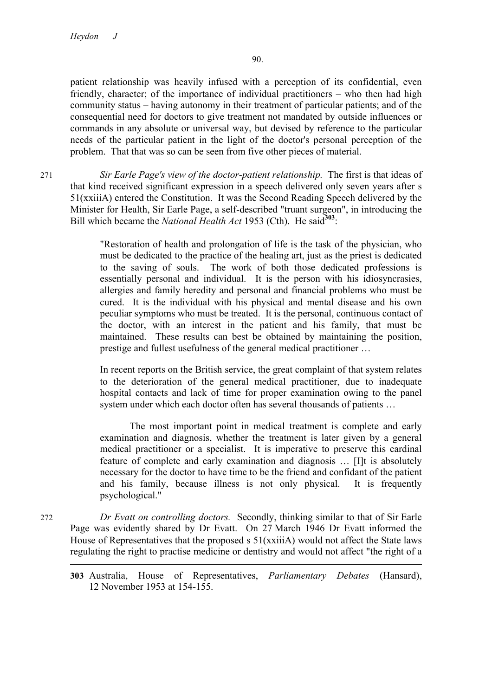patient relationship was heavily infused with a perception of its confidential, even friendly, character; of the importance of individual practitioners – who then had high community status – having autonomy in their treatment of particular patients; and of the consequential need for doctors to give treatment not mandated by outside influences or commands in any absolute or universal way, but devised by reference to the particular needs of the particular patient in the light of the doctor's personal perception of the problem. That that was so can be seen from five other pieces of material.

271 *Sir Earle Page's view of the doctor-patient relationship.* The first is that ideas of that kind received significant expression in a speech delivered only seven years after s 51(xxiiiA) entered the Constitution. It was the Second Reading Speech delivered by the Minister for Health, Sir Earle Page, a self-described "truant surgeon", in introducing the Bill which became the *National Health Act* 1953 (Cth). He said<sup>303</sup>:

> "Restoration of health and prolongation of life is the task of the physician, who must be dedicated to the practice of the healing art, just as the priest is dedicated to the saving of souls. The work of both those dedicated professions is essentially personal and individual. It is the person with his idiosyncrasies, allergies and family heredity and personal and financial problems who must be cured. It is the individual with his physical and mental disease and his own peculiar symptoms who must be treated. It is the personal, continuous contact of the doctor, with an interest in the patient and his family, that must be maintained. These results can best be obtained by maintaining the position, prestige and fullest usefulness of the general medical practitioner …

> In recent reports on the British service, the great complaint of that system relates to the deterioration of the general medical practitioner, due to inadequate hospital contacts and lack of time for proper examination owing to the panel system under which each doctor often has several thousands of patients …

> The most important point in medical treatment is complete and early examination and diagnosis, whether the treatment is later given by a general medical practitioner or a specialist. It is imperative to preserve this cardinal feature of complete and early examination and diagnosis … [I]t is absolutely necessary for the doctor to have time to be the friend and confidant of the patient and his family, because illness is not only physical. It is frequently psychological."

272 *Dr Evatt on controlling doctors.* Secondly, thinking similar to that of Sir Earle Page was evidently shared by Dr Evatt. On 27 March 1946 Dr Evatt informed the House of Representatives that the proposed s 51(xxiiiA) would not affect the State laws regulating the right to practise medicine or dentistry and would not affect "the right of a 

**<sup>303</sup>** Australia, House of Representatives, *Parliamentary Debates* (Hansard), 12 November 1953 at 154-155.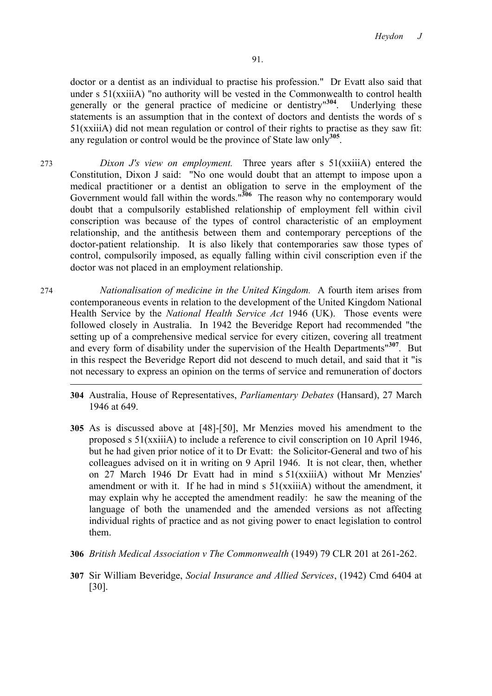doctor or a dentist as an individual to practise his profession." Dr Evatt also said that under s 51(xxiiiA) "no authority will be vested in the Commonwealth to control health generally or the general practice of medicine or dentistry"**<sup>304</sup>**. Underlying these statements is an assumption that in the context of doctors and dentists the words of s 51(xxiiiA) did not mean regulation or control of their rights to practise as they saw fit: any regulation or control would be the province of State law only**<sup>305</sup>**.

- 273 *Dixon J's view on employment.* Three years after s 51(xxiiiA) entered the Constitution, Dixon J said: "No one would doubt that an attempt to impose upon a medical practitioner or a dentist an obligation to serve in the employment of the Government would fall within the words.<sup>"306</sup> The reason why no contemporary would doubt that a compulsorily established relationship of employment fell within civil conscription was because of the types of control characteristic of an employment relationship, and the antithesis between them and contemporary perceptions of the doctor-patient relationship. It is also likely that contemporaries saw those types of control, compulsorily imposed, as equally falling within civil conscription even if the doctor was not placed in an employment relationship.
- 274 *Nationalisation of medicine in the United Kingdom.* A fourth item arises from contemporaneous events in relation to the development of the United Kingdom National Health Service by the *National Health Service Act* 1946 (UK). Those events were followed closely in Australia. In 1942 the Beveridge Report had recommended "the setting up of a comprehensive medical service for every citizen, covering all treatment and every form of disability under the supervision of the Health Departments"**<sup>307</sup>**. But in this respect the Beveridge Report did not descend to much detail, and said that it "is not necessary to express an opinion on the terms of service and remuneration of doctors

- **304** Australia, House of Representatives, *Parliamentary Debates* (Hansard), 27 March 1946 at 649.
- **305** As is discussed above at [48]-[50], Mr Menzies moved his amendment to the proposed s 51(xxiiiA) to include a reference to civil conscription on 10 April 1946, but he had given prior notice of it to Dr Evatt: the Solicitor-General and two of his colleagues advised on it in writing on 9 April 1946. It is not clear, then, whether on 27 March 1946 Dr Evatt had in mind s 51(xxiiiA) without Mr Menzies' amendment or with it. If he had in mind s 51(xxiiiA) without the amendment, it may explain why he accepted the amendment readily: he saw the meaning of the language of both the unamended and the amended versions as not affecting individual rights of practice and as not giving power to enact legislation to control them.
- **306** *British Medical Association v The Commonwealth* (1949) 79 CLR 201 at 261-262.
- **307** Sir William Beveridge, *Social Insurance and Allied Services*, (1942) Cmd 6404 at [30].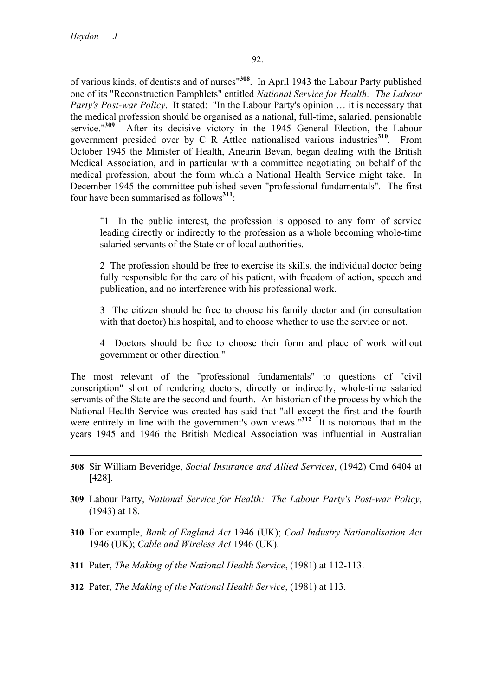of various kinds, of dentists and of nurses"**<sup>308</sup>**. In April 1943 the Labour Party published one of its "Reconstruction Pamphlets" entitled *National Service for Health: The Labour Party's Post-war Policy*. It stated: "In the Labour Party's opinion … it is necessary that the medical profession should be organised as a national, full-time, salaried, pensionable service."<sup>309</sup> After its decisive victory in the 1945 General Election, the Labour government presided over by C R Attlee nationalised various industries**<sup>310</sup>**. From October 1945 the Minister of Health, Aneurin Bevan, began dealing with the British Medical Association, and in particular with a committee negotiating on behalf of the medical profession, about the form which a National Health Service might take. In December 1945 the committee published seven "professional fundamentals". The first four have been summarised as follows**<sup>311</sup>**:

"1 In the public interest, the profession is opposed to any form of service leading directly or indirectly to the profession as a whole becoming whole-time salaried servants of the State or of local authorities.

2 The profession should be free to exercise its skills, the individual doctor being fully responsible for the care of his patient, with freedom of action, speech and publication, and no interference with his professional work.

3 The citizen should be free to choose his family doctor and (in consultation with that doctor) his hospital, and to choose whether to use the service or not.

4 Doctors should be free to choose their form and place of work without government or other direction."

The most relevant of the "professional fundamentals" to questions of "civil conscription" short of rendering doctors, directly or indirectly, whole-time salaried servants of the State are the second and fourth. An historian of the process by which the National Health Service was created has said that "all except the first and the fourth were entirely in line with the government's own views.<sup>"312</sup> It is notorious that in the years 1945 and 1946 the British Medical Association was influential in Australian

**308** Sir William Beveridge, *Social Insurance and Allied Services*, (1942) Cmd 6404 at [428].

- **309** Labour Party, *National Service for Health: The Labour Party's Post-war Policy*, (1943) at 18.
- **310** For example, *Bank of England Act* 1946 (UK); *Coal Industry Nationalisation Act* 1946 (UK); *Cable and Wireless Act* 1946 (UK).
- **311** Pater, *The Making of the National Health Service*, (1981) at 112-113.
- **312** Pater, *The Making of the National Health Service*, (1981) at 113.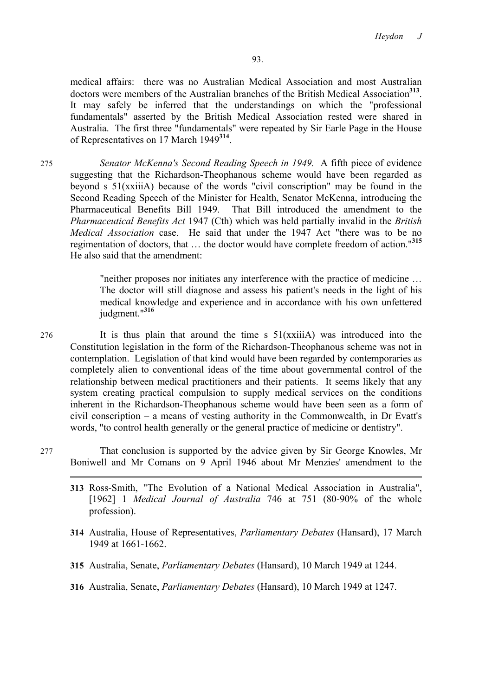medical affairs: there was no Australian Medical Association and most Australian doctors were members of the Australian branches of the British Medical Association<sup>313</sup>. It may safely be inferred that the understandings on which the "professional fundamentals" asserted by the British Medical Association rested were shared in Australia. The first three "fundamentals" were repeated by Sir Earle Page in the House of Representatives on 17 March 1949**<sup>314</sup>**.

275 *Senator McKenna's Second Reading Speech in 1949.* A fifth piece of evidence suggesting that the Richardson-Theophanous scheme would have been regarded as beyond s 51(xxiiiA) because of the words "civil conscription" may be found in the Second Reading Speech of the Minister for Health, Senator McKenna, introducing the Pharmaceutical Benefits Bill 1949. That Bill introduced the amendment to the *Pharmaceutical Benefits Act* 1947 (Cth) which was held partially invalid in the *British Medical Association* case. He said that under the 1947 Act "there was to be no regimentation of doctors, that … the doctor would have complete freedom of action."**<sup>315</sup>** He also said that the amendment:

> "neither proposes nor initiates any interference with the practice of medicine … The doctor will still diagnose and assess his patient's needs in the light of his medical knowledge and experience and in accordance with his own unfettered judgment."**<sup>316</sup>**

- 276 It is thus plain that around the time s 51(xxiiiA) was introduced into the Constitution legislation in the form of the Richardson-Theophanous scheme was not in contemplation. Legislation of that kind would have been regarded by contemporaries as completely alien to conventional ideas of the time about governmental control of the relationship between medical practitioners and their patients. It seems likely that any system creating practical compulsion to supply medical services on the conditions inherent in the Richardson-Theophanous scheme would have been seen as a form of civil conscription – a means of vesting authority in the Commonwealth, in Dr Evatt's words, "to control health generally or the general practice of medicine or dentistry".
- 277 That conclusion is supported by the advice given by Sir George Knowles, Mr Boniwell and Mr Comans on 9 April 1946 about Mr Menzies' amendment to the
	- **313** Ross-Smith, "The Evolution of a National Medical Association in Australia", [1962] 1 *Medical Journal of Australia* 746 at 751 (80-90% of the whole profession).
	- **314** Australia, House of Representatives, *Parliamentary Debates* (Hansard), 17 March 1949 at 1661-1662.
	- **315** Australia, Senate, *Parliamentary Debates* (Hansard), 10 March 1949 at 1244.
	- **316** Australia, Senate, *Parliamentary Debates* (Hansard), 10 March 1949 at 1247.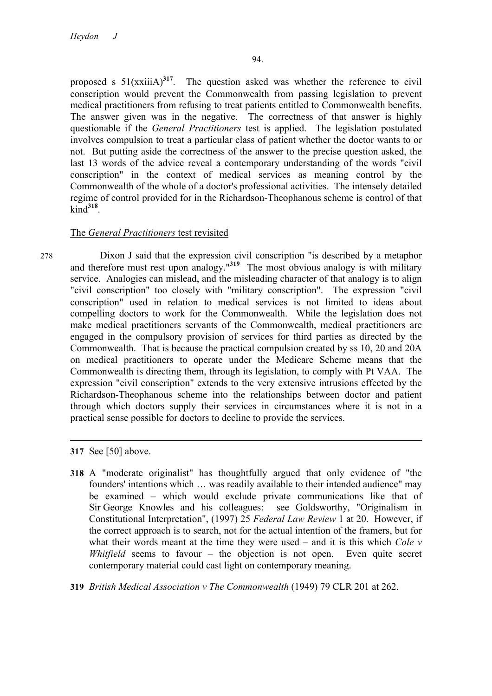proposed s 51(xxiiiA)**<sup>317</sup>**. The question asked was whether the reference to civil conscription would prevent the Commonwealth from passing legislation to prevent medical practitioners from refusing to treat patients entitled to Commonwealth benefits. The answer given was in the negative. The correctness of that answer is highly questionable if the *General Practitioners* test is applied. The legislation postulated involves compulsion to treat a particular class of patient whether the doctor wants to or not. But putting aside the correctness of the answer to the precise question asked, the last 13 words of the advice reveal a contemporary understanding of the words "civil conscription" in the context of medical services as meaning control by the Commonwealth of the whole of a doctor's professional activities. The intensely detailed regime of control provided for in the Richardson-Theophanous scheme is control of that kind**<sup>318</sup>**.

# The *General Practitioners* test revisited

278 Dixon J said that the expression civil conscription "is described by a metaphor and therefore must rest upon analogy."**<sup>319</sup>** The most obvious analogy is with military service. Analogies can mislead, and the misleading character of that analogy is to align "civil conscription" too closely with "military conscription". The expression "civil conscription" used in relation to medical services is not limited to ideas about compelling doctors to work for the Commonwealth. While the legislation does not make medical practitioners servants of the Commonwealth, medical practitioners are engaged in the compulsory provision of services for third parties as directed by the Commonwealth. That is because the practical compulsion created by ss 10, 20 and 20A on medical practitioners to operate under the Medicare Scheme means that the Commonwealth is directing them, through its legislation, to comply with Pt VAA. The expression "civil conscription" extends to the very extensive intrusions effected by the Richardson-Theophanous scheme into the relationships between doctor and patient through which doctors supply their services in circumstances where it is not in a practical sense possible for doctors to decline to provide the services.

**317** See [50] above.

**318** A "moderate originalist" has thoughtfully argued that only evidence of "the founders' intentions which … was readily available to their intended audience" may be examined – which would exclude private communications like that of Sir George Knowles and his colleagues: see Goldsworthy, "Originalism in Constitutional Interpretation", (1997) 25 *Federal Law Review* 1 at 20. However, if the correct approach is to search, not for the actual intention of the framers, but for what their words meant at the time they were used – and it is this which *Cole v Whitfield* seems to favour – the objection is not open. Even quite secret contemporary material could cast light on contemporary meaning.

**319** *British Medical Association v The Commonwealth* (1949) 79 CLR 201 at 262.